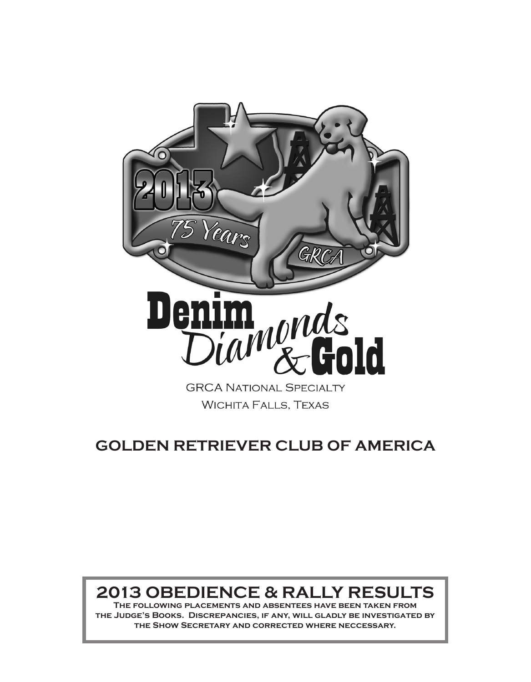

# **GOLDEN RETRIEVER CLUB OF AMERICA**

# **2013 OBEDIENCE & RALLY RESULTS**

**The following placements and absentees have been taken from the Judge's Books. Discrepancies, if any, will gladly be investigated by the Show Secretary and corrected where neccessary.**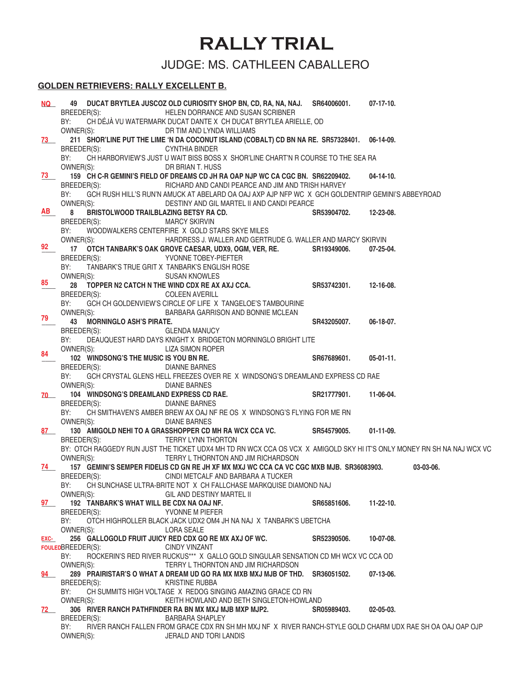# **RALLY TRIAL**

JUDGE: MS. CATHLEEN CABALLERO

#### **GOLDEN RETRIEVERS: RALLY EXCELLENT B.**

| NQ L   | 49 DUCAT BRYTLEA JUSCOZ OLD CURIOSITY SHOP BN, CD, RA, NA, NAJ. SR64006001. 07-17-10.<br>HELEN DORRANCE AND SUSAN SCRIBNER<br>BREEDER(S):<br>CH DÉJÀ VU WATERMARK DUCAT DANTE X CH DUCAT BRYTLEA ARIELLE, OD<br>BY:<br>OWNER(S):<br>DR TIM AND LYNDA WILLIAMS |                       |                  |
|--------|---------------------------------------------------------------------------------------------------------------------------------------------------------------------------------------------------------------------------------------------------------------|-----------------------|------------------|
| 73 — 1 | 211 SHOR'LINE PUT THE LIME 'N DA COCONUT ISLAND (COBALT) CD BN NA RE. SR57328401. 06-14-09.                                                                                                                                                                   |                       |                  |
|        | BREEDER(S):<br><b>CYNTHIA BINDER</b>                                                                                                                                                                                                                          |                       |                  |
|        | CH HARBORVIEW'S JUST U WAIT BISS BOSS X SHOR'LINE CHART'N R COURSE TO THE SEA RA<br>BY:                                                                                                                                                                       |                       |                  |
|        | OWNER(S):<br>DR BRIAN T. HUSS                                                                                                                                                                                                                                 |                       |                  |
| 73     | 159 CH C-R GEMINI'S FIELD OF DREAMS CD JH RA OAP NJP WC CA CGC BN. SR62209402.                                                                                                                                                                                |                       | $04-14-10.$      |
|        | BREEDER(S):<br>RICHARD AND CANDI PEARCE AND JIM AND TRISH HARVEY                                                                                                                                                                                              |                       |                  |
|        | BY:<br>GCH RUSH HILL'S RUN'N AMUCK AT ABELARD OA OAJ AXP AJP NFP WC X GCH GOLDENTRIP GEMINI'S ABBEYROAD                                                                                                                                                       |                       |                  |
|        | OWNER(S):<br>DESTINY AND GIL MARTEL II AND CANDI PEARCE                                                                                                                                                                                                       |                       |                  |
| AB     | 8<br><b>BRISTOLWOOD TRAILBLAZING BETSY RA CD.</b>                                                                                                                                                                                                             | SR53904702. 12-23-08. |                  |
|        | BREEDER(S):<br><b>MARCY SKIRVIN</b>                                                                                                                                                                                                                           |                       |                  |
|        | BY:<br>WOODWALKERS CENTERFIRE X GOLD STARS SKYE MILES                                                                                                                                                                                                         |                       |                  |
|        | OWNER(S):<br>HARDRESS J. WALLER AND GERTRUDE G. WALLER AND MARCY SKIRVIN                                                                                                                                                                                      |                       |                  |
| 92     | 17 OTCH TANBARK'S OAK GROVE CAESAR, UDX9, OGM, VER, RE. SR19349006.                                                                                                                                                                                           |                       | 07-25-04.        |
|        | BREEDER(S):<br><b>SECONDE TOBEY-PIEFTER</b>                                                                                                                                                                                                                   |                       |                  |
|        | TANBARK'S TRUE GRIT X TANBARK'S ENGLISH ROSE<br>BY:                                                                                                                                                                                                           |                       |                  |
| 85     | OWNER(S):<br><b>SUSAN KNOWLES</b><br>28 TOPPER N2 CATCH N THE WIND CDX RE AX AXJ CCA.                                                                                                                                                                         | SR53742301. 12-16-08. |                  |
|        | BREEDER(S):<br><b>COLEEN AVERILL</b>                                                                                                                                                                                                                          |                       |                  |
|        | BY:<br>GCH CH GOLDENVIEW'S CIRCLE OF LIFE X TANGELOE'S TAMBOURINE                                                                                                                                                                                             |                       |                  |
|        | OWNER(S):<br>BARBARA GARRISON AND BONNIE MCLEAN                                                                                                                                                                                                               |                       |                  |
| 79     | 43 MORNINGLO ASH'S PIRATE.                                                                                                                                                                                                                                    | SR43205007.           | 06-18-07.        |
|        | BREEDER(S):<br><b>GLENDA MANUCY</b>                                                                                                                                                                                                                           |                       |                  |
|        | DEAUQUEST HARD DAYS KNIGHT X BRIDGETON MORNINGLO BRIGHT LITE<br>BY:                                                                                                                                                                                           |                       |                  |
| 84     | OWNER(S):<br>LIZA SIMON ROPER                                                                                                                                                                                                                                 |                       |                  |
|        | 102 WINDSONG'S THE MUSIC IS YOU BN RE.                                                                                                                                                                                                                        | SR67689601.           | $05-01-11.$      |
|        | BREEDER(S):<br><b>DIANNE BARNES</b>                                                                                                                                                                                                                           |                       |                  |
|        | BY:<br>GCH CRYSTAL GLENS HELL FREEZES OVER RE X WINDSONG'S DREAMLAND EXPRESS CD RAE                                                                                                                                                                           |                       |                  |
|        | OWNER(S):<br><b>DIANE BARNES</b>                                                                                                                                                                                                                              |                       |                  |
| 70     | 104 WINDSONG'S DREAMLAND EXPRESS CD RAE.                                                                                                                                                                                                                      | SR21777901.           | 11-06-04.        |
|        | BREEDER(S):<br><b>DIANNE BARNES</b><br>CH SMITHAVEN'S AMBER BREW AX OAJ NF RE OS X WINDSONG'S FLYING FOR ME RN<br>BY:                                                                                                                                         |                       |                  |
|        | OWNER(S):<br><b>DIANE BARNES</b>                                                                                                                                                                                                                              |                       |                  |
| 87     | 130 AMIGOLD NEHI TO A GRASSHOPPER CD MH RA WCX CCA VC.                                                                                                                                                                                                        | SR54579005.           | $01-11-09.$      |
|        | BREEDER(S):<br>TERRY LYNN THORTON                                                                                                                                                                                                                             |                       |                  |
|        | BY: OTCH RAGGEDY RUN JUST THE TICKET UDX4 MH TD RN WCX CCA OS VCX X AMIGOLD SKY HI IT'S ONLY MONEY RN SH NA NAJ WCX VC                                                                                                                                        |                       |                  |
|        | OWNER(S):<br>TERRY L THORNTON AND JIM RICHARDSON                                                                                                                                                                                                              |                       |                  |
| 74 — 1 | 157 GEMINI'S SEMPER FIDELIS CD GN RE JH XF MX MXJ WC CCA CA VC CGC MXB MJB. SR36083903.                                                                                                                                                                       |                       | 03-03-06.        |
|        | CINDI METCALF AND BARBARA A TUCKER<br>BREEDER(S):                                                                                                                                                                                                             |                       |                  |
|        | BY:<br>CH SUNCHASE ULTRA-BRITE NOT X CH FALLCHASE MARKQUISE DIAMOND NAJ                                                                                                                                                                                       |                       |                  |
|        | OWNER(S):<br>GIL AND DESTINY MARTEL II                                                                                                                                                                                                                        |                       |                  |
| 97     | 192 TANBARK'S WHAT WILL BE CDX NA OAJ NF.                                                                                                                                                                                                                     | SR65851606.           | 11-22-10.        |
|        | BREEDER(S):<br>YVONNE M PIEFER<br>BY:                                                                                                                                                                                                                         |                       |                  |
|        | OTCH HIGHROLLER BLACK JACK UDX2 OM4 JH NA NAJ X TANBARK'S UBETCHA<br>OWNER(S):<br><b>LORA SEALE</b>                                                                                                                                                           |                       |                  |
| EXC-   | 256 GALLOGOLD FRUIT JUICY RED CDX GO RE MX AXJ OF WC.                                                                                                                                                                                                         | SR52390506.           | 10-07-08.        |
|        | FOULEDBREEDER(S):<br><b>CINDY VINZANT</b>                                                                                                                                                                                                                     |                       |                  |
|        | BY:<br>ROCKERIN'S RED RIVER RUCKUS*** X GALLO GOLD SINGULAR SENSATION CD MH WCX VC CCA OD                                                                                                                                                                     |                       |                  |
|        | OWNER(S):<br>TERRY L THORNTON AND JIM RICHARDSON                                                                                                                                                                                                              |                       |                  |
| 94     | 289 PRAIRISTAR'S O WHAT A DREAM UD GO RA MX MXB MXJ MJB OF THD. SR36051502.                                                                                                                                                                                   |                       | 07-13-06.        |
|        | BREEDER(S):<br><b>KRISTINE RUBBA</b>                                                                                                                                                                                                                          |                       |                  |
|        | BY:<br>CH SUMMITS HIGH VOLTAGE X REDOG SINGING AMAZING GRACE CD RN                                                                                                                                                                                            |                       |                  |
|        | OWNER(S):<br>KEITH HOWLAND AND BETH SINGLETON-HOWLAND                                                                                                                                                                                                         |                       |                  |
| 72     | 306 RIVER RANCH PATHFINDER RA BN MX MXJ MJB MXP MJP2.                                                                                                                                                                                                         | SR05989403.           | $02 - 05 - 03$ . |
|        | BREEDER(S):<br><b>BARBARA SHAPLEY</b><br>BY:<br>RIVER RANCH FALLEN FROM GRACE CDX RN SH MH MXJ NF X RIVER RANCH-STYLE GOLD CHARM UDX RAE SH OA OAJ OAP OJP                                                                                                    |                       |                  |
|        | OWNER(S):<br>JERALD AND TORI LANDIS                                                                                                                                                                                                                           |                       |                  |
|        |                                                                                                                                                                                                                                                               |                       |                  |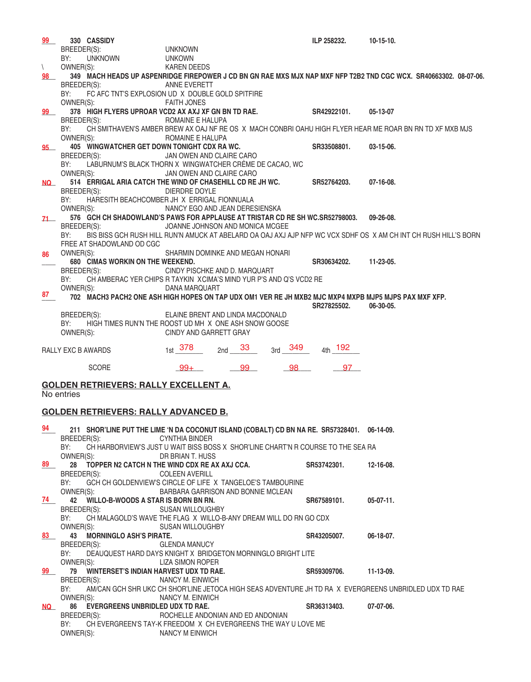| 99           | 330 CASSIDY                                                                                           |                                    |          |         | ILP 258232.        | $10-15-10.$                                                                                                       |
|--------------|-------------------------------------------------------------------------------------------------------|------------------------------------|----------|---------|--------------------|-------------------------------------------------------------------------------------------------------------------|
|              | BREEDER(S):                                                                                           | <b>UNKNOWN</b>                     |          |         |                    |                                                                                                                   |
|              | <b>UNKNOWN</b><br>BY:                                                                                 | <b>UNKOWN</b>                      |          |         |                    |                                                                                                                   |
| $\backslash$ | OWNER(S):                                                                                             | <b>KAREN DEEDS</b>                 |          |         |                    |                                                                                                                   |
| 98           |                                                                                                       |                                    |          |         |                    | 349 MACH HEADS UP ASPENRIDGE FIREPOWER J CD BN GN RAE MXS MJX NAP MXF NFP T2B2 TND CGC WCX. SR40663302. 08-07-06. |
|              | BREEDER(S):                                                                                           | ANNE EVERETT                       |          |         |                    |                                                                                                                   |
|              | BY:<br>FC AFC TNT'S EXPLOSION UD X DOUBLE GOLD SPITFIRE                                               |                                    |          |         |                    |                                                                                                                   |
|              | OWNER(S):                                                                                             | <b>FAITH JONES</b>                 |          |         |                    |                                                                                                                   |
| 99           | 378 HIGH FLYERS UPROAR VCD2 AX AXJ XF GN BN TD RAE.                                                   |                                    |          |         | SR42922101.        | 05-13-07                                                                                                          |
|              | BREEDER(S):                                                                                           | ROMAINE E HALUPA                   |          |         |                    |                                                                                                                   |
|              | BY:<br>OWNER(S):                                                                                      |                                    |          |         |                    | CH SMITHAVEN'S AMBER BREW AX OAJ NF RE OS X MACH CONBRI OAHU HIGH FLYER HEAR ME ROAR BN RN TD XF MXB MJS          |
|              | 405 WINGWATCHER GET DOWN TONIGHT CDX RA WC.                                                           | ROMAINE E HALUPA                   |          |         | SR33508801.        | $03-15-06.$                                                                                                       |
| 95           | BREEDER(S):                                                                                           | JAN OWEN AND CLAIRE CARO           |          |         |                    |                                                                                                                   |
|              | LABURNUM'S BLACK THORN X WINGWATCHER CRÈME DE CACAO, WC<br>BY:                                        |                                    |          |         |                    |                                                                                                                   |
|              | OWNER(S):                                                                                             | JAN OWEN AND CLAIRE CARO           |          |         |                    |                                                                                                                   |
| NQ L         | 514 ERRIGAL ARIA CATCH THE WIND OF CHASEHILL CD RE JH WC.                                             |                                    |          |         | SR52764203.        | $07-16-08.$                                                                                                       |
|              | BREEDER(S):                                                                                           | DIERDRE DOYLE                      |          |         |                    |                                                                                                                   |
|              | HARESITH BEACHCOMBER JH X ERRIGAL FIONNUALA<br>BY:                                                    |                                    |          |         |                    |                                                                                                                   |
|              | OWNER(S):                                                                                             | NANCY EGO AND JEAN DERESIENSKA     |          |         |                    |                                                                                                                   |
| 71           | 576 GCH CH SHADOWLAND'S PAWS FOR APPLAUSE AT TRISTAR CD RE SH WC.SR52798003.                          |                                    |          |         |                    | $09 - 26 - 08$ .                                                                                                  |
|              | BREEDER(S):                                                                                           | JOANNE JOHNSON AND MONICA MCGEE    |          |         |                    |                                                                                                                   |
|              | BY:                                                                                                   |                                    |          |         |                    | BIS BISS GCH RUSH HILL RUN'N AMUCK AT ABELARD OA OAJ AXJ AJP NFP WC VCX SDHF OS X AM CH INT CH RUSH HILL'S BORN   |
|              | FREE AT SHADOWLAND OD CGC                                                                             |                                    |          |         |                    |                                                                                                                   |
| 86           | OWNER(S):                                                                                             | SHARMIN DOMINKE AND MEGAN HONARI   |          |         |                    |                                                                                                                   |
|              | 680 CIMAS WORKIN ON THE WEEKEND.                                                                      |                                    |          |         | SR30634202.        | $11 - 23 - 05$ .                                                                                                  |
|              | BREEDER(S):                                                                                           | CINDY PISCHKE AND D. MARQUART      |          |         |                    |                                                                                                                   |
|              | CH AMBERAC YER CHIPS R TAYKIN XCIMA'S MIND YUR P'S AND Q'S VCD2 RE<br>BY:                             |                                    |          |         |                    |                                                                                                                   |
| 87           | OWNER(S):                                                                                             | DANA MARQUART                      |          |         |                    |                                                                                                                   |
|              | 702 MACH3 PACH2 ONE ASH HIGH HOPES ON TAP UDX OM1 VER RE JH MXB2 MJC MXP4 MXPB MJP5 MJPS PAX MXF XFP. |                                    |          |         | SR27825502.        | 06-30-05.                                                                                                         |
|              | BREEDER(S):                                                                                           | ELAINE BRENT AND LINDA MACDONALD   |          |         |                    |                                                                                                                   |
|              | BY:<br>HIGH TIMES RUN'N THE ROOST UD MH X ONE ASH SNOW GOOSE                                          |                                    |          |         |                    |                                                                                                                   |
|              | OWNER(S):                                                                                             | CINDY AND GARRETT GRAY             |          |         |                    |                                                                                                                   |
|              |                                                                                                       |                                    |          |         |                    |                                                                                                                   |
|              | RALLY EXC B AWARDS                                                                                    | $_{1st}$ 378                       | 2nd $33$ | 3rd 349 | <sub>4th</sub> 192 |                                                                                                                   |
|              |                                                                                                       |                                    |          |         |                    |                                                                                                                   |
|              | <b>SCORE</b>                                                                                          | $99+$                              | 99       | 98      | 97                 |                                                                                                                   |
|              |                                                                                                       |                                    |          |         |                    |                                                                                                                   |
|              | <b>GOLDEN RETRIEVERS: RALLY EXCELLENT A.</b>                                                          |                                    |          |         |                    |                                                                                                                   |
|              | No entries                                                                                            |                                    |          |         |                    |                                                                                                                   |
|              |                                                                                                       |                                    |          |         |                    |                                                                                                                   |
|              | <b>GOLDEN RETRIEVERS: RALLY ADVANCED B.</b>                                                           |                                    |          |         |                    |                                                                                                                   |
| 94           | 211 SHOR'LINE PUT THE LIME 'N DA COCONUT ISLAND (COBALT) CD BN NA RE. SR57328401. 06-14-09.           |                                    |          |         |                    |                                                                                                                   |
|              | BREEDER(S):                                                                                           | <b>CYNTHIA BINDER</b>              |          |         |                    |                                                                                                                   |
|              | CH HARBORVIEW'S JUST U WAIT BISS BOSS X SHOR'LINE CHART'N R COURSE TO THE SEA RA<br>BY:               |                                    |          |         |                    |                                                                                                                   |
|              | OWNER(S):                                                                                             | DR BRIAN T. HUSS                   |          |         |                    |                                                                                                                   |
| 89           | 28 TOPPER N2 CATCH N THE WIND CDX RE AX AXJ CCA.                                                      |                                    |          |         | SR53742301.        | 12-16-08.                                                                                                         |
|              | BREEDER(S):                                                                                           | <b>COLEEN AVERILL</b>              |          |         |                    |                                                                                                                   |
|              | BY:<br>GCH CH GOLDENVIEW'S CIRCLE OF LIFE X TANGELOE'S TAMBOURINE                                     |                                    |          |         |                    |                                                                                                                   |
|              | OWNER(S):                                                                                             | BARBARA GARRISON AND BONNIE MCLEAN |          |         |                    |                                                                                                                   |

| 94 L      | 211 SHOR'LINE PUT THE LIME 'N DA COCONUT ISLAND (COBALT) CD BN NA RE. SR57328401. 06-14-09.                  |             |             |
|-----------|--------------------------------------------------------------------------------------------------------------|-------------|-------------|
|           | BREEDER(S):<br>CYNTHIA BINDER                                                                                |             |             |
|           | BY: CH HARBORVIEW'S JUST U WAIT BISS BOSS X SHOR'LINE CHART'N R COURSE TO THE SEA RA                         |             |             |
|           | DR BRIAN T. HUSS<br>OWNER(S):                                                                                |             |             |
| 89        | 28 TOPPER N2 CATCH N THE WIND CDX RE AX AXJ CCA. SR53742301.                                                 |             | 12-16-08.   |
|           | BREEDER(S): COLEEN AVERILL                                                                                   |             |             |
|           | BY: GCH CH GOLDENVIEW'S CIRCLE OF LIFE X TANGELOE'S TAMBOURINE                                               |             |             |
|           | OWNER(S): BARBARA GARRISON AND BONNIE MCLEAN                                                                 |             |             |
| 74        | 42 WILLO-B-WOODS A STAR IS BORN BN RN.                                                                       | SR67589101. | $05-07-11.$ |
|           | BREEDER(S): SUSAN WILLOUGHBY                                                                                 |             |             |
|           | BY: CH MALAGOLD'S WAVE THE FLAG X WILLO-B-ANY DREAM WILL DO RN GO CDX                                        |             |             |
|           | OWNER(S): SUSAN WILLOUGHBY                                                                                   |             |             |
| 83        | 43 MORNINGLO ASH'S PIRATE.                                                                                   | SR43205007. | 06-18-07.   |
|           | BREEDER(S): GLENDA MANUCY                                                                                    |             |             |
|           | BY: DEAUQUEST HARD DAYS KNIGHT X BRIDGETON MORNINGLO BRIGHT LITE                                             |             |             |
|           | OWNER(S): LIZA SIMON ROPER                                                                                   |             |             |
| 99        | 79 WINTERSET'S INDIAN HARVEST UDX TD RAE.                                                                    | SR59309706. | 11-13-09.   |
|           | BREEDER(S):<br>NANCY M. EINWICH                                                                              |             |             |
|           | AM/CAN GCH SHR UKC CH SHOR'LINE JETOCA HIGH SEAS ADVENTURE JH TD RA X EVERGREENS UNBRIDLED UDX TD RAE<br>BY: |             |             |
|           | OWNER(S):<br>NANCY M. EINWICH                                                                                |             |             |
| <b>NQ</b> | 86 EVERGREENS UNBRIDLED UDX TD RAE.<br>SR36313403.                                                           |             | 07-07-06.   |
|           | BREEDER(S):<br>ROCHELLE ANDONIAN AND ED ANDONIAN                                                             |             |             |
|           | CH EVERGREEN'S TAY-K FREEDOM X CH EVERGREENS THE WAY U LOVE ME<br>BY:                                        |             |             |
|           | NANCY M EINWICH<br>OWNER(S):                                                                                 |             |             |
|           |                                                                                                              |             |             |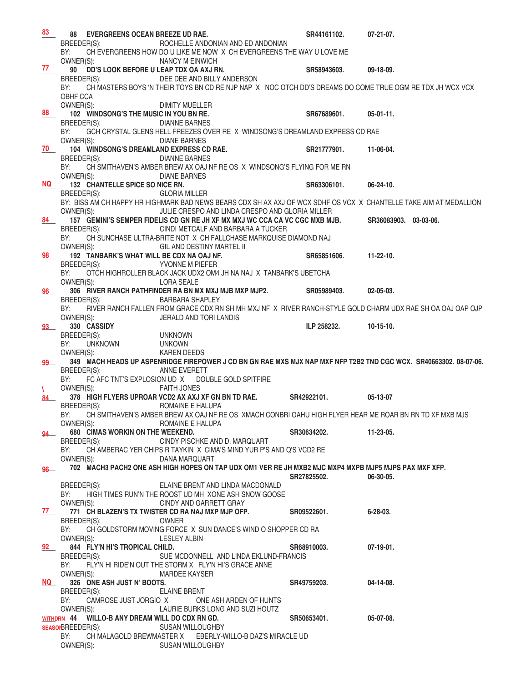| 83            |                                 | 88 EVERGREENS OCEAN BREEZE UD RAE.              |                                                                                                                        | SR44161102.           | $07-21-07$ .          |
|---------------|---------------------------------|-------------------------------------------------|------------------------------------------------------------------------------------------------------------------------|-----------------------|-----------------------|
|               | BREEDER(S):                     |                                                 | ROCHELLE ANDONIAN AND ED ANDONIAN                                                                                      |                       |                       |
|               | BY:                             |                                                 | CH EVERGREENS HOW DO U LIKE ME NOW X CH EVERGREENS THE WAY U LOVE ME                                                   |                       |                       |
| 77            | OWNER(S):                       |                                                 | NANCY M EINWICH                                                                                                        |                       |                       |
|               |                                 | 90 DD'S LOOK BEFORE U LEAP TDX OA AXJ RN.       |                                                                                                                        | SR58943603.           | 09-18-09.             |
|               | BREEDER(S):<br>BY:              |                                                 | DEE DEE AND BILLY ANDERSON                                                                                             |                       |                       |
|               | OBHF CCA                        |                                                 | CH MASTERS BOYS 'N THEIR TOYS BN CD RE NJP NAP X NOC OTCH DD'S DREAMS DO COME TRUE OGM RE TDX JH WCX VCX               |                       |                       |
|               | OWNER(S):                       |                                                 | DIMITY MUELLER                                                                                                         |                       |                       |
| 88            |                                 | 102 WINDSONG'S THE MUSIC IN YOU BN RE.          |                                                                                                                        | SR67689601.           | $05-01-11.$           |
|               | BREEDER(S):                     |                                                 | <b>DIANNE BARNES</b>                                                                                                   |                       |                       |
|               | BY:                             |                                                 | GCH CRYSTAL GLENS HELL FREEZES OVER RE X WINDSONG'S DREAMLAND EXPRESS CD RAE                                           |                       |                       |
|               | OWNER(S):                       |                                                 | <b>DIANE BARNES</b>                                                                                                    |                       |                       |
| 70            |                                 | 104 WINDSONG'S DREAMLAND EXPRESS CD RAE.        |                                                                                                                        | SR21777901.           | 11-06-04.             |
|               | BREEDER(S):                     |                                                 | <b>DIANNE BARNES</b>                                                                                                   |                       |                       |
|               | BY:                             |                                                 | CH SMITHAVEN'S AMBER BREW AX OAJ NF RE OS X WINDSONG'S FLYING FOR ME RN                                                |                       |                       |
|               | OWNER(S):                       |                                                 | <b>DIANE BARNES</b>                                                                                                    |                       |                       |
| NQ            | BREEDER(S):                     | 132 CHANTELLE SPICE SO NICE RN.                 | <b>GLORIA MILLER</b>                                                                                                   | SR63306101.           | 06-24-10.             |
|               |                                 |                                                 | BY: BISS AM CH HAPPY HR HIGHMARK BAD NEWS BEARS CDX SH AX AXJ OF WCX SDHF OS VCX X CHANTELLE TAKE AIM AT MEDALLION     |                       |                       |
|               | OWNER(S):                       |                                                 | JULIE CRESPO AND LINDA CRESPO AND GLORIA MILLER                                                                        |                       |                       |
| 84            |                                 |                                                 | 157 GEMINI'S SEMPER FIDELIS CD GN RE JH XF MX MXJ WC CCA CA VC CGC MXB MJB.                                            |                       | SR36083903. 03-03-06. |
|               | BREEDER(S):                     |                                                 | CINDI METCALF AND BARBARA A TUCKER                                                                                     |                       |                       |
|               | BY:                             |                                                 | CH SUNCHASE ULTRA-BRITE NOT X CH FALLCHASE MARKQUISE DIAMOND NAJ                                                       |                       |                       |
|               | OWNER(S):                       |                                                 | GIL AND DESTINY MARTEL II                                                                                              |                       |                       |
| 98            |                                 | 192 TANBARK'S WHAT WILL BE CDX NA OAJ NF.       |                                                                                                                        | SR65851606.           | $11-22-10$ .          |
|               | BREEDER(S):                     |                                                 | YVONNE M PIEFER                                                                                                        |                       |                       |
|               | BY:                             |                                                 | OTCH HIGHROLLER BLACK JACK UDX2 OM4 JH NA NAJ X TANBARK'S UBETCHA                                                      |                       |                       |
|               | OWNER(S):                       |                                                 | <b>LORA SEALE</b><br>306 RIVER RANCH PATHFINDER RA BN MX MXJ MJB MXP MJP2.                                             | SR05989403.           | $02 - 05 - 03$ .      |
| 96            | BREEDER(S):                     |                                                 | <b>BARBARA SHAPLEY</b>                                                                                                 |                       |                       |
|               | BY:                             |                                                 | RIVER RANCH FALLEN FROM GRACE CDX RN SH MH MXJ NF X RIVER RANCH-STYLE GOLD CHARM UDX RAE SH OA OAJ OAP OJP             |                       |                       |
|               | OWNER(S):                       |                                                 | JERALD AND TORI LANDIS                                                                                                 |                       |                       |
| <b>93</b>     |                                 | 330 CASSIDY                                     |                                                                                                                        | ILP 258232.           | $10-15-10.$           |
|               | BREEDER(S):                     |                                                 | <b>UNKNOWN</b>                                                                                                         |                       |                       |
|               | BY:                             | <b>UNKNOWN</b>                                  | <b>UNKOWN</b>                                                                                                          |                       |                       |
|               | OWNER(S):                       |                                                 | <b>KAREN DEEDS</b>                                                                                                     |                       |                       |
| 99            |                                 |                                                 | 349 MACH HEADS UP ASPENRIDGE FIREPOWER J CD BN GN RAE MXS MJX NAP MXF NFP T2B2 TND CGC WCX. SR40663302. 08-07-06.      |                       |                       |
|               | BREEDER(S):<br>BY:              |                                                 | ANNE EVERETT<br>FC AFC TNT'S EXPLOSION UD X DOUBLE GOLD SPITFIRE                                                       |                       |                       |
| $\mathcal{N}$ | OWNER(S):                       |                                                 | <b>FAITH JONES</b>                                                                                                     |                       |                       |
| 84.           |                                 |                                                 | 378 HIGH FLYERS UPROAR VCD2 AX AXJ XF GN BN TD RAE. SR42922101.                                                        |                       | 05-13-07              |
|               | BREEDER(S):                     |                                                 | <b>ROMAINE E HALUPA</b>                                                                                                |                       |                       |
|               | BY:                             |                                                 | CH SMITHAVEN'S AMBER BREW AX OAJ NF RE OS XMACH CONBRI OAHU HIGH FLYER HEAR ME ROAR BN RN TD XF MXB MJS                |                       |                       |
|               | OWNER(S):                       |                                                 | ROMAINE E HALUPA                                                                                                       |                       |                       |
|               |                                 | 94 680 CIMAS WORKIN ON THE WEEKEND.             |                                                                                                                        | SR30634202. 11-23-05. |                       |
|               | BREEDER(S):                     |                                                 | CINDY PISCHKE AND D. MARQUART                                                                                          |                       |                       |
|               | BY:                             |                                                 | CH AMBERAC YER CHIPS R TAYKIN X CIMA'S MIND YUR P'S AND Q'S VCD2 RE                                                    |                       |                       |
| $96 -$        |                                 | OWNER(S):                                       | DANA MARQUART<br>702 MACH3 PACH2 ONE ASH HIGH HOPES ON TAP UDX OM1 VER RE JH MXB2 MJC MXP4 MXPB MJP5 MJPS PAX MXF XFP. |                       |                       |
|               |                                 |                                                 |                                                                                                                        | SR27825502.           | 06-30-05.             |
|               | BREEDER(S):                     |                                                 | ELAINE BRENT AND LINDA MACDONALD                                                                                       |                       |                       |
|               | BY:                             |                                                 | HIGH TIMES RUN'N THE ROOST UD MH XONE ASH SNOW GOOSE                                                                   |                       |                       |
|               | OWNER(S):                       |                                                 | CINDY AND GARRETT GRAY                                                                                                 |                       |                       |
| 77            |                                 |                                                 | 771 CH BLAZEN'S TX TWISTER CD RA NAJ MXP MJP OFP. SR09522601.                                                          |                       | $6 - 28 - 03$ .       |
|               | BREEDER(S):                     |                                                 | <b>OWNER</b>                                                                                                           |                       |                       |
|               | BY:                             |                                                 | CH GOLDSTORM MOVING FORCE X SUN DANCE'S WIND O SHOPPER CD RA                                                           |                       |                       |
|               |                                 | OWNER(S):<br>92 844 FLY'N HI'S TROPICAL CHILD.  | LESLEY ALBIN                                                                                                           | SR68910003.           | $07-19-01.$           |
|               | BREEDER(S):                     |                                                 | SUE MCDONNELL AND LINDA EKLUND-FRANCIS                                                                                 |                       |                       |
|               | BY:                             |                                                 | FLY'N HI RIDE'N OUT THE STORM X FLY'N HI'S GRACE ANNE                                                                  |                       |                       |
|               | OWNER(S):                       |                                                 | MARDEE KAYSER                                                                                                          |                       |                       |
| <b>NQ</b>     |                                 | 326 ONE ASH JUST N' BOOTS.                      |                                                                                                                        | SR49759203.           | 04-14-08.             |
|               | BREEDER(S):                     |                                                 | <b>ELAINE BRENT</b>                                                                                                    |                       |                       |
|               | BY:                             |                                                 | CAMROSE JUST JORGIO X ONE ASH ARDEN OF HUNTS                                                                           |                       |                       |
|               | OWNER(S):                       |                                                 | LAURIE BURKS LONG AND SUZI HOUTZ                                                                                       |                       |                       |
|               |                                 | WITHDRN 44 WILLO-B ANY DREAM WILL DO CDX RN GD. |                                                                                                                        | SR50653401.           | 05-07-08.             |
|               | <b>SEASONBREEDER(S):</b><br>BY: |                                                 | <b>SUSAN WILLOUGHBY</b><br>CH MALAGOLD BREWMASTER X EBERLY-WILLO-B DAZ'S MIRACLE UD                                    |                       |                       |
|               | OWNER(S):                       |                                                 | <b>SUSAN WILLOUGHBY</b>                                                                                                |                       |                       |
|               |                                 |                                                 |                                                                                                                        |                       |                       |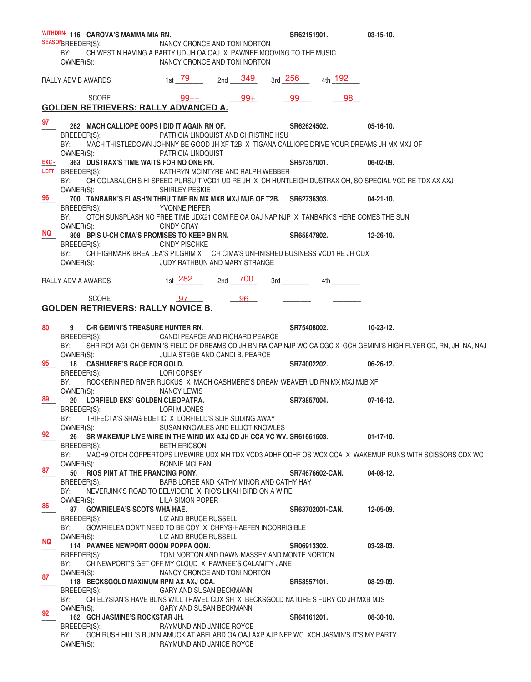|           |                    | WITHDRN- 116 CAROVA'S MAMMA MIA RN.       |                                                                                                              | SR62151901.                                                                                                    |             | $03-15-10.$                                                                                                         |
|-----------|--------------------|-------------------------------------------|--------------------------------------------------------------------------------------------------------------|----------------------------------------------------------------------------------------------------------------|-------------|---------------------------------------------------------------------------------------------------------------------|
|           | SEASON BREEDER(S): |                                           | NANCY CRONCE AND TONI NORTON                                                                                 |                                                                                                                |             |                                                                                                                     |
|           | BY:<br>OWNER(S):   |                                           | CH WESTIN HAVING A PARTY UD JH OA OAJ X PAWNEE MOOVING TO THE MUSIC<br>NANCY CRONCE AND TONI NORTON          |                                                                                                                |             |                                                                                                                     |
|           |                    |                                           |                                                                                                              |                                                                                                                |             |                                                                                                                     |
|           |                    | RALLY ADV B AWARDS                        |                                                                                                              | 3rd 256 4th 192                                                                                                |             |                                                                                                                     |
|           |                    |                                           |                                                                                                              |                                                                                                                |             |                                                                                                                     |
|           |                    | <b>SCORE</b>                              | $99++$ 99+                                                                                                   | 99                                                                                                             | 98          |                                                                                                                     |
|           |                    |                                           | <b>GOLDEN RETRIEVERS: RALLY ADVANCED A.</b>                                                                  |                                                                                                                |             |                                                                                                                     |
| 97        |                    |                                           | 282 MACH CALLIOPE OOPS I DID IT AGAIN RN OF.                                                                 | SR62624502.                                                                                                    |             | $05-16-10.$                                                                                                         |
|           | BREEDER(S):        |                                           | PATRICIA LINDQUIST AND CHRISTINE HSU                                                                         |                                                                                                                |             |                                                                                                                     |
|           | BY:                |                                           | MACH THISTLEDOWN JOHNNY BE GOOD JH XF T2B X TIGANA CALLIOPE DRIVE YOUR DREAMS JH MX MXJ OF                   |                                                                                                                |             |                                                                                                                     |
|           | OWNER(S):          |                                           | PATRICIA LINDQUIST                                                                                           |                                                                                                                |             |                                                                                                                     |
| EXC -     | LEFT BREEDER(S):   | 363 DUSTRAX'S TIME WAITS FOR NO ONE RN.   | KATHRYN MCINTYRE AND RALPH WEBBER                                                                            | SR57357001.                                                                                                    |             | $06-02-09.$                                                                                                         |
|           | BY:                |                                           |                                                                                                              |                                                                                                                |             | CH COLABAUGH'S HI SPEED PURSUIT VCD1 UD RE JH X CH HUNTLEIGH DUSTRAX OH, SO SPECIAL VCD RE TDX AX AXJ               |
|           | OWNER(S):          |                                           | SHIRLEY PESKIE                                                                                               |                                                                                                                |             |                                                                                                                     |
| 96        |                    |                                           | 700 TANBARK'S FLASH'N THRU TIME RN MX MXB MXJ MJB OF T2B. SR62736303.                                        |                                                                                                                | $04-21-10.$ |                                                                                                                     |
|           | BREEDER(S):        |                                           | <b>YVONNE PIEFER</b>                                                                                         |                                                                                                                |             |                                                                                                                     |
|           | BY:<br>OWNER(S):   |                                           | OTCH SUNSPLASH NO FREE TIME UDX21 OGM RE OA OAJ NAP NJP X TANBARK'S HERE COMES THE SUN<br><b>CINDY GRAY</b>  |                                                                                                                |             |                                                                                                                     |
| <b>NQ</b> |                    |                                           | 808 BPIS U-CH CIMA'S PROMISES TO KEEP BN RN.                                                                 | SR65847802.                                                                                                    |             | $12 - 26 - 10$ .                                                                                                    |
|           | BREEDER(S):        |                                           | <b>CINDY PISCHKE</b>                                                                                         |                                                                                                                |             |                                                                                                                     |
|           | BY:                |                                           | CH HIGHMARK BREA LEA'S PILGRIM X CH CIMA'S UNFINISHED BUSINESS VCD1 RE JH CDX                                |                                                                                                                |             |                                                                                                                     |
|           | OWNER(S):          |                                           | JUDY RATHBUN AND MARY STRANGE                                                                                |                                                                                                                |             |                                                                                                                     |
|           |                    | RALLY ADV A AWARDS                        | $_{1st}$ 282 $_{2nd}$ 700                                                                                    | 3rd and the state of the state of the state of the state of the state of the state of the state of the state o | 4th         |                                                                                                                     |
|           |                    |                                           |                                                                                                              |                                                                                                                |             |                                                                                                                     |
|           |                    | <b>SCORE</b>                              | 97 96                                                                                                        |                                                                                                                |             |                                                                                                                     |
|           |                    | <b>GOLDEN RETRIEVERS: RALLY NOVICE B.</b> |                                                                                                              |                                                                                                                |             |                                                                                                                     |
|           |                    |                                           |                                                                                                              |                                                                                                                |             |                                                                                                                     |
| $80 -$    |                    | 9 C-R GEMINI'S TREASURE HUNTER RN.        |                                                                                                              | SR75408002.                                                                                                    |             | 10-23-12.                                                                                                           |
|           | BREEDER(S):<br>BY: |                                           | CANDI PEARCE AND RICHARD PEARCE                                                                              |                                                                                                                |             | SHR RO1 AG1 CH GEMINI'S FIELD OF DREAMS CD JH BN RA OAP NJP WC CA CGC X GCH GEMINI'S HIGH FLYER CD, RN, JH, NA, NAJ |
|           | OWNER(S):          |                                           | JULIA STEGE AND CANDI B. PEARCE                                                                              |                                                                                                                |             |                                                                                                                     |
| 95        |                    | 18 CASHMERE'S RACE FOR GOLD.              |                                                                                                              | SR74002202.                                                                                                    |             | $06 - 26 - 12$ .                                                                                                    |
|           | BREEDER(S):        |                                           | LORI COPSEY                                                                                                  |                                                                                                                |             |                                                                                                                     |
|           | BY:                |                                           | ROCKERIN RED RIVER RUCKUS X MACH CASHMERE'S DREAM WEAVER UD RN MX MXJ MJB XF                                 |                                                                                                                |             |                                                                                                                     |
| 89        | OWNER(S):          | 20 LORFIELD EKS' GOLDEN CLEOPATRA.        | NANCY LEWIS                                                                                                  | SR73857004.                                                                                                    |             | $07-16-12.$                                                                                                         |
|           | BREEDER(S):        |                                           | LORI M JONES                                                                                                 |                                                                                                                |             |                                                                                                                     |
|           | BY:                |                                           | TRIFECTA'S SHAG EDETIC X LORFIELD'S SLIP SLIDING AWAY                                                        |                                                                                                                |             |                                                                                                                     |
|           | OWNER(S):          |                                           | SUSAN KNOWLES AND ELLIOT KNOWLES                                                                             |                                                                                                                |             |                                                                                                                     |
| 92        |                    |                                           | 26 SR WAKEMUP LIVE WIRE IN THE WIND MX AXJ CD JH CCA VC WV. SR61661603.                                      |                                                                                                                |             | $01-17-10.$                                                                                                         |
|           | BREEDER(S):<br>BY: |                                           | <b>BETH ERICSON</b>                                                                                          |                                                                                                                |             | MACH9 OTCH COPPERTOPS LIVEWIRE UDX MH TDX VCD3 ADHF ODHF OS WCX CCA X WAKEMUP RUNS WITH SCISSORS CDX WC             |
|           | OWNER(S):          |                                           | <b>BONNIE MCLEAN</b>                                                                                         |                                                                                                                |             |                                                                                                                     |
| 87        |                    | 50 RIOS PINT AT THE PRANCING PONY.        |                                                                                                              | SR74676602-CAN.                                                                                                |             | $04 - 08 - 12$ .                                                                                                    |
|           | BREEDER(S):        |                                           | BARB LOREE AND KATHY MINOR AND CATHY HAY                                                                     |                                                                                                                |             |                                                                                                                     |
|           | BY:                |                                           | NEVERJINK'S ROAD TO BELVIDERE X RIO'S LIKAH BIRD ON A WIRE                                                   |                                                                                                                |             |                                                                                                                     |
| 86        | OWNER(S):          | 87 GOWRIELEA'S SCOTS WHA HAE.             | LILA SIMON POPER                                                                                             | SR63702001-CAN.                                                                                                |             | 12-05-09.                                                                                                           |
|           | BREEDER(S):        |                                           | LIZ AND BRUCE RUSSELL                                                                                        |                                                                                                                |             |                                                                                                                     |
|           | BY:                |                                           | GOWRIELEA DON'T NEED TO BE COY X CHRYS-HAEFEN INCORRIGIBLE                                                   |                                                                                                                |             |                                                                                                                     |
| <b>NQ</b> | OWNER(S):          |                                           | LIZ AND BRUCE RUSSELL                                                                                        |                                                                                                                |             |                                                                                                                     |
|           |                    | 114 PAWNEE NEWPORT OOOM POPPA OOM.        |                                                                                                              | SR06913302.                                                                                                    |             | $03 - 28 - 03$ .                                                                                                    |
|           | BREEDER(S):<br>BY: |                                           | TONI NORTON AND DAWN MASSEY AND MONTE NORTON<br>CH NEWPORT'S GET OFF MY CLOUD X PAWNEE'S CALAMITY JANE       |                                                                                                                |             |                                                                                                                     |
|           | OWNER(S):          |                                           | NANCY CRONCE AND TONI NORTON                                                                                 |                                                                                                                |             |                                                                                                                     |
| 87        |                    | 118 BECKSGOLD MAXIMUM RPM AX AXJ CCA.     |                                                                                                              | SR58557101.                                                                                                    |             | $08-29-09.$                                                                                                         |
|           | BREEDER(S):        |                                           | GARY AND SUSAN BECKMANN                                                                                      |                                                                                                                |             |                                                                                                                     |
|           | BY:<br>OWNER(S):   |                                           | CH ELYSIAN'S HAVE BUNS WILL TRAVEL CDX SH X BECKSGOLD NATURE'S FURY CD JH MXB MJS<br>GARY AND SUSAN BECKMANN |                                                                                                                |             |                                                                                                                     |
| 92        |                    | 162 GCH JASMINE'S ROCKSTAR JH.            |                                                                                                              | SR64161201.                                                                                                    |             | $08-30-10.$                                                                                                         |
|           | BREEDER(S):        |                                           | RAYMUND AND JANICE ROYCE                                                                                     |                                                                                                                |             |                                                                                                                     |
|           | BY:                |                                           | GCH RUSH HILL'S RUN'N AMUCK AT ABELARD OA OAJ AXP AJP NFP WC XCH JASMIN'S IT'S MY PARTY                      |                                                                                                                |             |                                                                                                                     |
|           | OWNER(S):          |                                           | RAYMUND AND JANICE ROYCE                                                                                     |                                                                                                                |             |                                                                                                                     |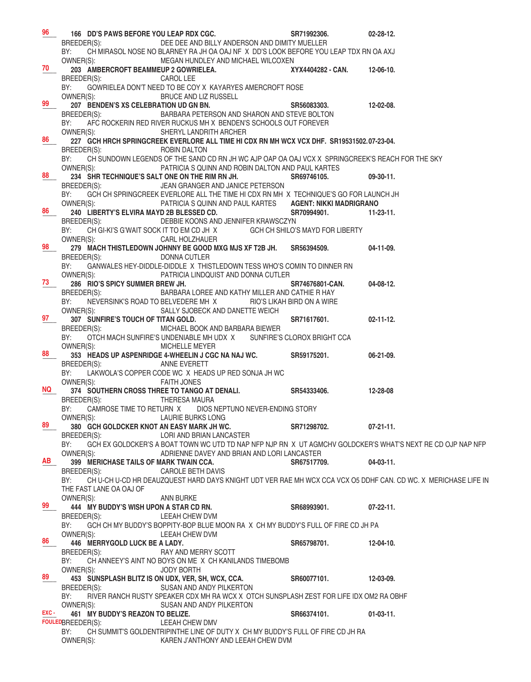| 96                 | 166 DD'S PAWS BEFORE YOU LEAP RDX CGC.                                                                                                                                         | SR71992306.            | $02 - 28 - 12$ . |
|--------------------|--------------------------------------------------------------------------------------------------------------------------------------------------------------------------------|------------------------|------------------|
|                    | BREEDER(S):<br>DEE DEE AND BILLY ANDERSON AND DIMITY MUELLER                                                                                                                   |                        |                  |
|                    | BY:<br>CH MIRASOL NOSE NO BLARNEY RA JH OA OAJ NF X DD'S LOOK BEFORE YOU LEAP TDX RN OA AXJ<br>OWNER(S):                                                                       |                        |                  |
| 70                 | MEGAN HUNDLEY AND MICHAEL WILCOXEN<br>203 AMBERCROFT BEAMMEUP 2 GOWRIELEA.                                                                                                     | XYX4404282 - CAN.      | 12-06-10.        |
|                    | BREEDER(S):<br><b>CAROL LEE</b>                                                                                                                                                |                        |                  |
|                    | GOWRIELEA DON'T NEED TO BE COY X KAYARYES AMERCROFT ROSE<br>BY:                                                                                                                |                        |                  |
|                    | OWNER(S):<br><b>BRUCE AND LIZ RUSSELL</b>                                                                                                                                      |                        |                  |
| 99                 | 207 BENDEN'S XS CELEBRATION UD GN BN.                                                                                                                                          | SR56083303.            | 12-02-08.        |
|                    | BARBARA PETERSON AND SHARON AND STEVE BOLTON<br>BREEDER(S):<br>BY:<br>AFC ROCKERIN RED RIVER RUCKUS MH X BENDEN'S SCHOOLS OUT FOREVER                                          |                        |                  |
|                    | OWNER(S):<br>SHERYL LANDRITH ARCHER                                                                                                                                            |                        |                  |
| $86$ <sub>--</sub> | 227 GCH HRCH SPRINGCREEK EVERLORE ALL TIME HI CDX RN MH WCX VCX DHF. SR19531502.07-23-04.                                                                                      |                        |                  |
|                    | BREEDER(S):<br>ROBIN DALTON                                                                                                                                                    |                        |                  |
|                    | BY:<br>CH SUNDOWN LEGENDS OF THE SAND CD RN JH WC AJP OAP OA OAJ VCX X SPRINGCREEK'S REACH FOR THE SKY                                                                         |                        |                  |
| 88                 | OWNER(S):<br>PATRICIA S QUINN AND ROBIN DALTON AND PAUL KARTES<br>234 SHR TECHNIQUE'S SALT ONE ON THE RIM RN JH.                                                               | SR69746105.            | $09-30-11.$      |
|                    | BREEDER(S):<br>JEAN GRANGER AND JANICE PETERSON                                                                                                                                |                        |                  |
|                    | GCH CH SPRINGCREEK EVERLORE ALL THE TIME HI CDX RN MH X TECHNIQUE'S GO FOR LAUNCH JH<br>BY:                                                                                    |                        |                  |
|                    | OWNER(S):<br>PATRICIA S QUINN AND PAUL KARTES AGENT: NIKKI MADRIGRANO                                                                                                          |                        |                  |
| 86                 | 240 LIBERTY'S ELVIRA MAYD 2B BLESSED CD.                                                                                                                                       | SR70994901.            | $11 - 23 - 11$ . |
|                    | DEBBIE KOONS AND JENNIFER KRAWSCZYN<br>BREEDER(S):                                                                                                                             |                        |                  |
|                    | CH GI-KI'S G'WAIT SOCK IT TO EM CD JH X GCH CH SHILO'S MAYD FOR LIBERTY<br>BY:<br>OWNER(S):<br><b>CARL HOLZHAUER</b>                                                           |                        |                  |
| 98                 | 279 MACH THISTLEDOWN JOHNNY BE GOOD MXG MJS XF T2B JH. SR56394509.                                                                                                             |                        | $04-11-09.$      |
|                    | BREEDER(S):<br><b>DONNA CUTLER</b>                                                                                                                                             |                        |                  |
|                    | BY:<br>GANWALES HEY-DIDDLE-DIDDLE X THISTLEDOWN TESS WHO'S COMIN TO DINNER RN                                                                                                  |                        |                  |
| 73                 | PATRICIA LINDQUIST AND DONNA CUTLER<br>OWNER(S):                                                                                                                               |                        |                  |
|                    | 286 RIO'S SPICY SUMMER BREW JH.<br>BREEDER(S):<br>BARBARA LOREE AND KATHY MILLER AND CATHIE R HAY                                                                              | <b>SR74676801-CAN.</b> | $04-08-12.$      |
|                    | NEVERSINK'S ROAD TO BELVEDERE MH X RIO'S LIKAH BIRD ON A WIRE<br>BY:                                                                                                           |                        |                  |
|                    | SALLY SJOBECK AND DANETTE WEICH<br>OWNER(S):                                                                                                                                   |                        |                  |
| 97                 | 307 SUNFIRE'S TOUCH OF TITAN GOLD.                                                                                                                                             | SR71617601.            | $02 - 11 - 12.$  |
|                    | BREEDER(S):<br>MICHAEL BOOK AND BARBARA BIEWER                                                                                                                                 |                        |                  |
|                    | OTCH MACH SUNFIRE'S UNDENIABLE MH UDX X SUNFIRE'S CLOROX BRIGHT CCA<br>BY:                                                                                                     |                        |                  |
| 88                 | OWNER(S):<br><b>MICHELLE MEYER</b><br>353 HEADS UP ASPENRIDGE 4-WHEELIN J CGC NA NAJ WC. SR59175201.                                                                           |                        | $06-21-09.$      |
|                    | BREEDER(S):<br>ANNE EVERETT                                                                                                                                                    |                        |                  |
|                    | BY: LAKWOLA'S COPPER CODE WC X HEADS UP RED SONJA JH WC                                                                                                                        |                        |                  |
|                    | OWNER(S):<br><b>FAITH JONES</b>                                                                                                                                                |                        |                  |
| NQ .               | 374 SOUTHERN CROSS THREE TO TANGO AT DENALI.<br>BREEDER(S):<br><b>THERESA MAURA</b>                                                                                            | SR54333406.            | 12-28-08         |
|                    | CAMROSE TIME TO RETURN X DIOS NEPTUNO NEVER-ENDING STORY<br>BY:                                                                                                                |                        |                  |
|                    | OWNER(S):<br>LAURIE BURKS LONG                                                                                                                                                 |                        |                  |
| 89                 | 380 GCH GOLDCKER KNOT AN EASY MARK JH WC.                                                                                                                                      | SR71298702.            | $07 - 21 - 11$ . |
|                    | BREEDER(S):<br>LORI AND BRIAN LANCASTER                                                                                                                                        |                        |                  |
|                    | BY:<br>GCH EX GOLDCKER'S A BOAT TOWN WC UTD TD NAP NFP NJP RN X UT AGMCHV GOLDCKER'S WHAT'S NEXT RE CD OJP NAP NFP<br>OWNER(S):<br>ADRIENNE DAVEY AND BRIAN AND LORI LANCASTER |                        |                  |
| AB I               | 399 MERICHASE TAILS OF MARK TWAIN CCA.                                                                                                                                         | SR67517709.            | $04-03-11.$      |
|                    | BREEDER(S):<br><b>CAROLE BETH DAVIS</b>                                                                                                                                        |                        |                  |
|                    | BY:<br>CH U-CH U-CD HR DEAUZQUEST HARD DAYS KNIGHT UDT VER RAE MH WCX CCA VCX O5 DDHF CAN. CD WC. X MERICHASE LIFE IN                                                          |                        |                  |
|                    | THE FAST LANE OA OAJ OF                                                                                                                                                        |                        |                  |
| 99                 | OWNER(S):<br>ANN BURKE<br>444 MY BUDDY'S WISH UPON A STAR CD RN.                                                                                                               |                        | $07 - 22 - 11$ . |
|                    | BREEDER(S):<br>LEEAH CHEW DVM                                                                                                                                                  | SR68993901.            |                  |
|                    | BY:<br>GCH CH MY BUDDY'S BOPPITY-BOP BLUE MOON RA X CH MY BUDDY'S FULL OF FIRE CD JH PA                                                                                        |                        |                  |
|                    | OWNER(S):<br>LEEAH CHEW DVM                                                                                                                                                    |                        |                  |
| 86                 | 446 MERRYGOLD LUCK BE A LADY.                                                                                                                                                  | SR65798701.            | $12 - 04 - 10$ . |
|                    | RAY AND MERRY SCOTT<br>BREEDER(S):                                                                                                                                             |                        |                  |
|                    | CH ANNEEY'S AINT NO BOYS ON ME X CH KANILANDS TIMEBOMB<br>BY:<br>OWNER(S):<br><b>JODY BORTH</b>                                                                                |                        |                  |
| 89                 | 453 SUNSPLASH BLITZ IS ON UDX, VER, SH, WCX, CCA.                                                                                                                              | SR60077101.            | 12-03-09.        |
|                    | BREEDER(S):<br>SUSAN AND ANDY PILKERTON                                                                                                                                        |                        |                  |
|                    | RIVER RANCH RUSTY SPEAKER CDX MH RA WCX X OTCH SUNSPLASH ZEST FOR LIFE IDX OM2 RA OBHF<br>BY:                                                                                  |                        |                  |
| EXC -              | OWNER(S):<br>SUSAN AND ANDY PILKERTON                                                                                                                                          |                        |                  |
|                    | 461 MY BUDDY'S REAZON TO BELIZE.<br>FOULEDBREEDER(S):<br>LEEAH CHEW DMV                                                                                                        | SR66374101.            | $01-03-11.$      |
|                    | BY:<br>CH SUMMIT'S GOLDENTRIPINTHE LINE OF DUTY X CH MY BUDDY'S FULL OF FIRE CD JH RA                                                                                          |                        |                  |
|                    | OWNER(S):<br>KAREN J'ANTHONY AND LEEAH CHEW DVM                                                                                                                                |                        |                  |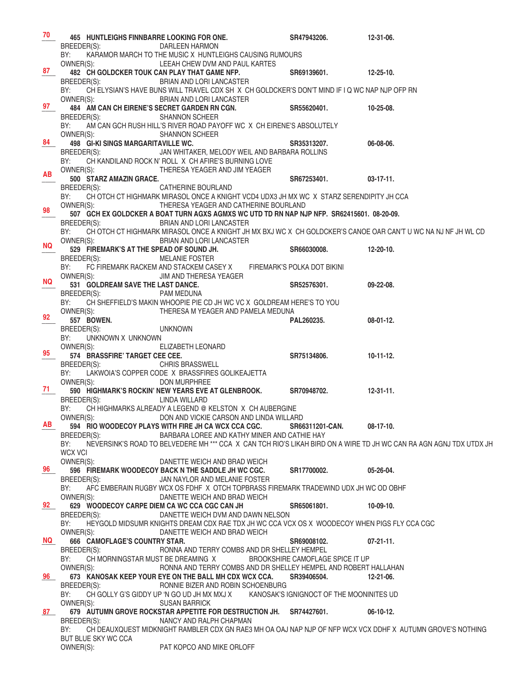| 70        | 465 HUNTLEIGHS FINNBARRE LOOKING FOR ONE.                 |                                                                                                                                  | SR47943206.                      | 12-31-06.        |
|-----------|-----------------------------------------------------------|----------------------------------------------------------------------------------------------------------------------------------|----------------------------------|------------------|
|           | BREEDER(S):                                               | <b>DARLEEN HARMON</b>                                                                                                            |                                  |                  |
|           | BY:                                                       | KARAMOR MARCH TO THE MUSIC X HUNTLEIGHS CAUSING RUMOURS                                                                          |                                  |                  |
| 87        | OWNER(S):<br>482 CH GOLDCKER TOUK CAN PLAY THAT GAME NFP. | LEEAH CHEW DVM AND PAUL KARTES                                                                                                   | SR69139601.                      | $12 - 25 - 10$   |
|           | BREEDER(S):                                               | BRIAN AND LORI LANCASTER                                                                                                         |                                  |                  |
|           | BY:                                                       | CH ELYSIAN'S HAVE BUNS WILL TRAVEL CDX SH X CH GOLDCKER'S DON'T MIND IF I Q WC NAP NJP OFP RN                                    |                                  |                  |
|           | OWNER(S):                                                 | BRIAN AND LORI LANCASTER                                                                                                         |                                  |                  |
| 97        | 484 AM CAN CH EIRENE'S SECRET GARDEN RN CGN.              |                                                                                                                                  | SR55620401.                      | $10 - 25 - 08$ . |
|           | BREEDER(S):                                               | <b>SHANNON SCHEER</b>                                                                                                            |                                  |                  |
|           | BY:                                                       | AM CAN GCH RUSH HILL'S RIVER ROAD PAYOFF WC X CH EIRENE'S ABSOLUTELY                                                             |                                  |                  |
| 84        | OWNER(S):<br>498 GI-KI SINGS MARGARITAVILLE WC.           | <b>SHANNON SCHEER</b>                                                                                                            | SR35313207.                      | 06-08-06.        |
|           | BREEDER(S):                                               | JAN WHITAKER, MELODY WEIL AND BARBARA ROLLINS                                                                                    |                                  |                  |
|           | BY:                                                       | CH KANDILAND ROCK N' ROLL X CH AFIRE'S BURNING LOVE                                                                              |                                  |                  |
| AB        | OWNER(S):                                                 | THERESA YEAGER AND JIM YEAGER                                                                                                    |                                  |                  |
|           | 500 STARZ AMAZIN GRACE.                                   |                                                                                                                                  | SR67253401.                      | $03-17-11.$      |
|           | BREEDER(S):                                               | CATHERINE BOURLAND                                                                                                               |                                  |                  |
|           | BY:<br>OWNER(S):                                          | CH OTCH CT HIGHMARK MIRASOL ONCE A KNIGHT VCD4 UDX3 JH MX WC X STARZ SERENDIPITY JH CCA<br>THERESA YEAGER AND CATHERINE BOURLAND |                                  |                  |
| 98        |                                                           | 507 GCH EX GOLDCKER A BOAT TURN AGXS AGMXS WC UTD TD RN NAP NJP NFP. SR62415601. 08-20-09.                                       |                                  |                  |
|           | BREEDER(S):                                               | BRIAN AND LORI LANCASTER                                                                                                         |                                  |                  |
|           | BY:                                                       | CH OTCH CT HIGHMARK MIRASOL ONCE A KNIGHT JH MX BXJ WC X CH GOLDCKER'S CANOE OAR CAN'T U WC NA NJ NF JH WL CD                    |                                  |                  |
| NQ .      | OWNER(S):                                                 | <b>BRIAN AND LORI LANCASTER</b>                                                                                                  |                                  |                  |
|           | 529 FIREMARK'S AT THE SPEAD OF SOUND JH.                  |                                                                                                                                  | SR66030008.                      | $12 - 20 - 10$ . |
|           | BREEDER(S):<br>BY:                                        | <b>MELANIE FOSTER</b><br>FC FIREMARK RACKEM AND STACKEM CASEY X FIREMARK'S POLKA DOT BIKINI                                      |                                  |                  |
|           | OWNER(S):                                                 | JIM AND THERESA YEAGER                                                                                                           |                                  |                  |
| NQ.       | 531 GOLDREAM SAVE THE LAST DANCE.                         |                                                                                                                                  | SR52576301.                      | $09-22-08.$      |
|           | BREEDER(S):                                               | PAM MEDUNA                                                                                                                       |                                  |                  |
|           | BY:                                                       | CH SHEFFIELD'S MAKIN WHOOPIE PIE CD JH WC VC X GOLDREAM HERE'S TO YOU                                                            |                                  |                  |
| 92        | OWNER(S):                                                 | THERESA M YEAGER AND PAMELA MEDUNA                                                                                               |                                  |                  |
|           | <b>557 BOWEN.</b><br>BREEDER(S):                          | <b>UNKNOWN</b>                                                                                                                   | PAL260235.                       | $08-01-12.$      |
|           | BY:<br>UNKNOWN X UNKNOWN                                  |                                                                                                                                  |                                  |                  |
|           | OWNER(S):                                                 | ELIZABETH LEONARD                                                                                                                |                                  |                  |
| 95        | 574 BRASSFIRE' TARGET CEE CEE.                            |                                                                                                                                  | SR75134806.                      | $10-11-12.$      |
|           |                                                           |                                                                                                                                  |                                  |                  |
|           | BREEDER(S):                                               | <b>CHRIS BRASSWELL</b>                                                                                                           |                                  |                  |
|           |                                                           | BY: LAKWOIA'S COPPER CODE X BRASSFIRES GOLIKEAJETTA                                                                              |                                  |                  |
| 71        | OWNER(S):                                                 | DON MURPHREE                                                                                                                     |                                  | $12 - 31 - 11$ . |
|           | BREEDER(S):                                               | 590 HIGHMARK'S ROCKIN' NEW YEARS EVE AT GLENBROOK. SR70948702.<br>LINDA WILLARD                                                  |                                  |                  |
|           |                                                           | BY: CH HIGHMARKS ALREADY A LEGEND @ KELSTON X CH AUBERGINE                                                                       |                                  |                  |
|           | OWNER(S):                                                 | DON AND VICKIE CARSON AND LINDA WILLARD                                                                                          |                                  |                  |
| AB .      |                                                           | 594 RIO WOODECOY PLAYS WITH FIRE JH CA WCX CCA CGC.                                                                              | SR66311201-CAN.                  | $08-17-10.$      |
|           | BREEDER(S):                                               | BARBARA LOREE AND KATHY MINER AND CATHIE HAY                                                                                     |                                  |                  |
|           | BY:<br><b>WCX VCI</b>                                     | NEVERSINK'S ROAD TO BELVEDERE MH *** CCA X CAN TCH RIO'S LIKAH BIRD ON A WIRE TD JH WC CAN RA AGN AGNJ TDX UTDX JH               |                                  |                  |
|           | OWNER(S):                                                 | DANETTE WEICH AND BRAD WEICH                                                                                                     |                                  |                  |
| 96        |                                                           | 596 FIREMARK WOODECOY BACK N THE SADDLE JH WC CGC.                                                                               | SR17700002.                      | 05-26-04.        |
|           | BREEDER(S):                                               | JAN NAYLOR AND MELANIE FOSTER                                                                                                    |                                  |                  |
|           | BY:                                                       | AFC EMBERAIN RUGBY WCX OS FDHF X OTCH TOPBRASS FIREMARK TRADEWIND UDX JH WC OD OBHF                                              |                                  |                  |
|           | OWNER(S):                                                 | DANETTE WEICH AND BRAD WEICH<br>629 WOODECOY CARPE DIEM CA WC CCA CGC CAN JH                                                     | SR65061801.                      | $10-09-10.$      |
| 92        | BREEDER(S):                                               | DANETTE WEICH DVM AND DAWN NELSON                                                                                                |                                  |                  |
|           | BY:                                                       | HEYGOLD MIDSUMR KNIGHTS DREAM CDX RAE TDX JH WC CCA VCX OS X WOODECOY WHEN PIGS FLY CCA CGC                                      |                                  |                  |
|           | OWNER(S):                                                 | DANETTE WEICH AND BRAD WEICH                                                                                                     |                                  |                  |
| <b>NQ</b> | 666 CAMOFLAGE'S COUNTRY STAR.                             |                                                                                                                                  | SR69008102.                      | $07 - 21 - 11$ . |
|           | BREEDER(S):                                               | RONNA AND TERRY COMBS AND DR SHELLEY HEMPEL                                                                                      |                                  |                  |
|           | BY:<br>OWNER(S):                                          | CH MORNINGSTAR MUST BE DREAMING X<br>RONNA AND TERRY COMBS AND DR SHELLEY HEMPEL AND ROBERT HALLAHAN                             | BROOKSHIRE CAMOFLAGE SPICE IT UP |                  |
| 96        |                                                           | 673 KANOSAK KEEP YOUR EYE ON THE BALL MH CDX WCX CCA. SR39406504.                                                                |                                  | $12 - 21 - 06$ . |
|           | BREEDER(S):                                               | RONNIE BIZER AND ROBIN SCHOENBURG                                                                                                |                                  |                  |
|           | BY:                                                       | CH GOLLY G'S GIDDY UP 'N GO UD JH MX MXJ X KANOSAK'S IGNIGNOCT OF THE MOONINITES UD                                              |                                  |                  |
|           | OWNER(S):                                                 | <b>SUSAN BARRICK</b>                                                                                                             |                                  |                  |
| 87 —      |                                                           | 679 AUTUMN GROVE ROCKSTAR APPETITE FOR DESTRUCTION JH. SR74427601.<br>NANCY AND RALPH CHAPMAN                                    |                                  | $06-10-12.$      |
|           | BREEDER(S):<br>BY:                                        | CH DEAUXQUEST MIDKNIGHT RAMBLER CDX GN RAE3 MH OA OAJ NAP NJP OF NFP WCX VCX DDHF X AUTUMN GROVE'S NOTHING                       |                                  |                  |
|           | BUT BLUE SKY WC CCA<br>OWNER(S):                          | PAT KOPCO AND MIKE ORLOFF                                                                                                        |                                  |                  |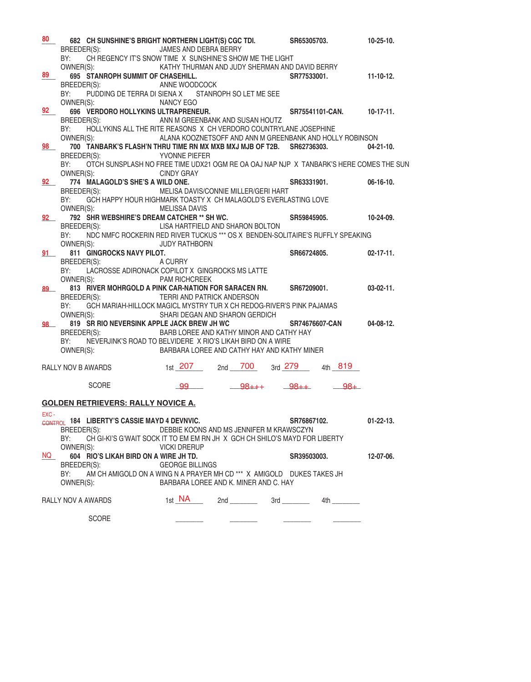| 80     | BY:                      | 682 CH SUNSHINE'S BRIGHT NORTHERN LIGHT(S) CGC TDI. SR65305703.<br>BREEDER(S):<br>CH REGENCY IT'S SNOW TIME X SUNSHINE'S SHOW ME THE LIGHT                                                                       | JAMES AND DEBRA BERRY                             |                |  |                         |        | $10-25-10.$              |
|--------|--------------------------|------------------------------------------------------------------------------------------------------------------------------------------------------------------------------------------------------------------|---------------------------------------------------|----------------|--|-------------------------|--------|--------------------------|
| 89     | OWNER(S):                | KATHY THURMAN AND JUDY SHERMAN AND DAVID BERRY<br>695 STANROPH SUMMIT OF CHASEHILL.<br>BREEDER(S):         ANNE WOODCOCK                                                                                         |                                                   |                |  | SR77533001.             |        | $11-10-12.$              |
|        | BY:<br>OWNER(S):         | PUDDING DE TERRA DI SIENA X STANROPH SO LET ME SEE                                                                                                                                                               | NANCY EGO                                         |                |  |                         |        |                          |
| 92     |                          | BREEDER(S):                                                                                                                                                                                                      | ANN M GREENBANK AND SUSAN HOUTZ                   |                |  |                         |        |                          |
| 98     | BY:                      | HOLLYKINS ALL THE RITE REASONS X CH VERDORO COUNTRYLANE JOSEPHINE<br>OWNER(S): ALANA KOOZNETSOFF AND ANN M GREENBANK AND HOLLY ROBINSON<br>700 TANBARK'S FLASH'N THRU TIME RN MX MXB MXJ MJB OF T2B. SR62736303. |                                                   |                |  |                         |        | $04 - 21 - 10$ .         |
|        |                          | BREEDER(S): YVONNE PIEFER<br>BY: OTCH SUNSPLASH NO FREE TIME UDX21 OGM RE OA OAJ NAP NJP X TANBARK'S HERE COMES THE SUN<br>OWNER(S):                                                                             | <b>CINDY GRAY</b>                                 |                |  |                         |        |                          |
|        |                          | 92 774 MALAGOLD'S SHE'S A WILD ONE.<br>BREEDER(S):                                                                                                                                                               | MELISA DAVIS/CONNIE MILLER/GERI HART              | AY             |  | SR63331901.             |        | $06-16-10.$              |
| 92     | BY:                      | GCH HAPPY HOUR HIGHMARK TOASTY X CH MALAGOLD'S EVERLASTING LOVE<br>OWNER(S):<br>792 SHR WEBSHIRE'S DREAM CATCHER ** SH WC.                                                                                       | <b>MELISSA DAVIS</b>                              |                |  | SR59845905.             |        | 10-24-09.                |
|        | BY:                      | BREEDER(S): LISA HARTFIELD AND SHARON BOLTON<br>NDC NMFC ROCKERIN RED RIVER TUCKUS *** OS X BENDEN-SOLITAIRE'S RUFFLY SPEAKING                                                                                   |                                                   |                |  |                         |        |                          |
|        |                          | OWNER(S):<br>91 811 GINGROCKS NAVY PILOT.<br>BREEDER(S):                                                                                                                                                         | JUDY RATHBORN<br><b>)T.</b><br>⊿ CURRY<br>A CURRY |                |  | SR66724805.             |        | $02-17-11.$              |
|        | BY:                      | LACROSSE ADIRONACK COPILOT X GINGROCKS MS LATTE<br>OWNER(S): PAM RICHCREEK                                                                                                                                       |                                                   |                |  |                         |        |                          |
| 89     |                          | 813 RIVER MOHRGOLD A PINK CAR-NATION FOR SARACEN RN. SR67209001.<br>BREEDER(S): TERRI AND PATRICK ANDERSON<br>BY: GCH MARIAH-HILLOCK MAGICL MYSTRY TUR X CH REDOG-RIVER'S PINK PAJAMAS                           |                                                   |                |  |                         |        | $03-02-11.$              |
| 98     | OWNER(S):                | 819 SR RIO NEVERSINK APPLE JACK BREW JH WC<br>BREEDER(S):                                                                                                                                                        | SHARI DEGAN AND SHARON GERDICH                    |                |  |                         |        | SR74676607-CAN 04-08-12. |
|        | BY:                      | NEVERJINK'S ROAD TO BELVIDERE X RIO'S LIKAH BIRD ON A WIRE<br>OWNER(S): BARBARA LOREE AND CATHY HAY AND KATHY MINER                                                                                              | BARB LOREE AND KATHY MINOR AND CATHY HAY          |                |  |                         |        |                          |
|        |                          | RALLY NOV B AWARDS 1st 207                                                                                                                                                                                       |                                                   |                |  | 2nd 700 3rd 279 4th 819 |        |                          |
|        |                          | <b>SCORE</b>                                                                                                                                                                                                     | 99                                                | $98+++$ $98++$ |  |                         | $-98+$ |                          |
|        |                          | <b>GOLDEN RETRIEVERS: RALLY NOVICE A.</b>                                                                                                                                                                        |                                                   |                |  |                         |        |                          |
| EXC-   | BREEDER(S):<br>BY:       | CONTROL 184 LIBERTY'S CASSIE MAYD 4 DEVNVIC.<br>CH GI-KI'S G'WAIT SOCK IT TO EM EM RN JH X GCH CH SHILO'S MAYD FOR LIBERTY                                                                                       | DEBBIE KOONS AND MS JENNIFER M KRAWSCZYN          |                |  | SR76867102.             |        | $01 - 22 - 13$ .         |
| NQ DOM | OWNER(S):<br>BREEDER(S): | 604 RIO'S LIKAH BIRD ON A WIRE JH TD.                                                                                                                                                                            | <b>VICKI DRERUP</b><br><b>GEORGE BILLINGS</b>     |                |  | SR39503003.             |        | 12-07-06.                |
|        | BY:<br>OWNER(S):         | AM CH AMIGOLD ON A WING N A PRAYER MH CD *** X AMIGOLD DUKES TAKES JH                                                                                                                                            | BARBARA LOREE AND K. MINER AND C. HAY             |                |  |                         |        |                          |
|        | RALLY NOV A AWARDS       |                                                                                                                                                                                                                  | 1st <b>NA</b> 2nd 2nd 3rd 4th 200                 |                |  |                         |        |                          |
|        |                          | <b>SCORE</b>                                                                                                                                                                                                     |                                                   |                |  |                         |        |                          |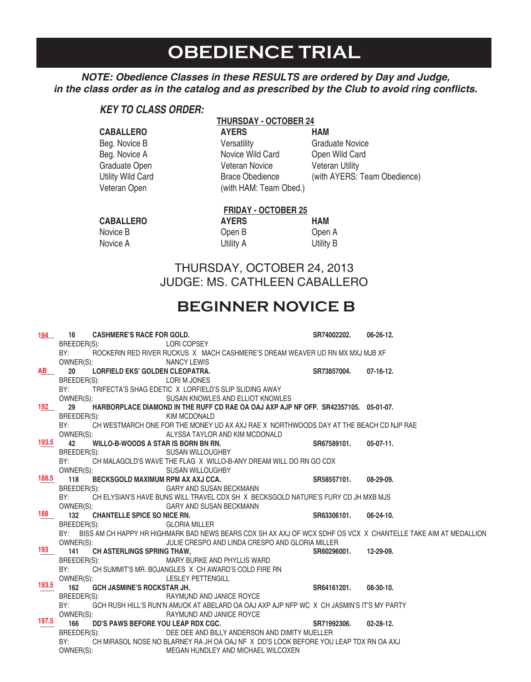# **OBEDIENCE TRIAL**

#### *NOTE: Obedience Classes in these RESULTS are ordered by Day and Judge,*  **in the class order as in the catalog and as prescribed by the Club to avoid ring conflicts.**

#### *KEY TO CLASS ORDER:*

#### **THURSDAY - OCTOBER 24**

| <b>AYERS</b>           | <b>HAM</b>                   |
|------------------------|------------------------------|
| Versatility            | <b>Graduate Novice</b>       |
| Novice Wild Card       | Open Wild Card               |
| <b>Veteran Novice</b>  | <b>Veteran Utility</b>       |
| <b>Brace Obedience</b> | (with AYERS: Team Obedience) |
| (with HAM: Team Obed.) |                              |
|                        |                              |

#### **FRIDAY - OCTOBER 25** CABALLERO **AYERS** HAM Novice B Open B Open A

Novice A Utility A Utility B

THURSDAY, OCTOBER 24, 2013 JUDGE: MS. CATHLEEN CABALLERO

### **BEGINNER NOVICE B**

| 194   | 16          | <b>CASHMERE'S RACE FOR GOLD.</b>    |                                                                                                                      | SR74002202.           | $06 - 26 - 12$ . |
|-------|-------------|-------------------------------------|----------------------------------------------------------------------------------------------------------------------|-----------------------|------------------|
|       |             | BREEDER(S):                         | LORI COPSEY                                                                                                          |                       |                  |
|       | BY:         |                                     | ROCKERIN RED RIVER RUCKUS X MACH CASHMERE'S DREAM WEAVER UD RN MX MXJ MJB XF                                         |                       |                  |
|       |             | OWNER(S):                           | <b>NANCY LEWIS</b>                                                                                                   |                       |                  |
| AB    | 20          | LORFIELD EKS' GOLDEN CLEOPATRA.     |                                                                                                                      | SR73857004. 07-16-12. |                  |
|       | BREEDER(S): |                                     | LORI M JONES                                                                                                         |                       |                  |
|       | BY:         |                                     | TRIFECTA'S SHAG EDETIC X LORFIELD'S SLIP SLIDING AWAY                                                                |                       |                  |
|       |             | OWNER(S):                           | SUSAN KNOWLES AND ELLIOT KNOWLES                                                                                     |                       |                  |
| 192   | 29          |                                     | HARBORPLACE DIAMOND IN THE RUFF CD RAE OA OAJ AXP AJP NF OFP. SR42357105. 05-01-07.                                  |                       |                  |
|       | BREEDER(S): |                                     | <b>KIM MCDONALD</b>                                                                                                  |                       |                  |
|       | BY:         |                                     | CH WESTMARCH ONE FOR THE MONEY UD AX AXJ RAE X NORTHWOODS DAY AT THE BEACH CD NJP RAE                                |                       |                  |
|       |             |                                     | OWNER(S): ALYSSA TAYLOR AND KIM MCDONALD                                                                             |                       |                  |
| 193.5 | 42          | WILLO-B-WOODS A STAR IS BORN BN RN. |                                                                                                                      | SR67589101. 05-07-11. |                  |
|       | BREEDER(S): |                                     | SUSAN WILLOUGHBY                                                                                                     |                       |                  |
|       | BY:         |                                     | CH MALAGOLD'S WAVE THE FLAG X WILLO-B-ANY DREAM WILL DO RN GO CDX                                                    |                       |                  |
|       |             | OWNER(S):                           | SUSAN WILLOUGHBY<br>3Y                                                                                               |                       |                  |
| 188.5 |             |                                     | 118 BECKSGOLD MAXIMUM RPM AX AXJ CCA.                                                                                | SR58557101. 08-29-09. |                  |
|       |             | BREEDER(S):                         | GARY AND SUSAN BECKMANN                                                                                              |                       |                  |
|       |             |                                     | BY: CH ELYSIAN'S HAVE BUNS WILL TRAVEL CDX SH X BECKSGOLD NATURE'S FURY CD JH MXB MJS                                |                       |                  |
|       |             |                                     | OWNER(S): GARY AND SUSAN BECKMANN                                                                                    |                       |                  |
| 188   |             | 132 CHANTELLE SPICE SO NICE RN.     |                                                                                                                      | SR63306101. 06-24-10. |                  |
|       | BREEDER(S): |                                     | <b>GLORIA MILLER</b>                                                                                                 |                       |                  |
|       |             |                                     | BY: BISS AM CH HAPPY HR HIGHMARK BAD NEWS BEARS CDX SH AX AXJ OF WCX SDHF OS VCX X CHANTELLE TAKE AIM AT MEDALLION   |                       |                  |
|       |             |                                     | OWNER(S): JULIE CRESPO AND LINDA CRESPO AND GLORIA MILLER                                                            |                       |                  |
| 193   |             | 141 CH ASTERLINGS SPRING THAW,      |                                                                                                                      | SR60296001. 12-29-09. |                  |
|       |             |                                     | BREEDER(S): MARY BURKE AND PHYLLIS WARD                                                                              |                       |                  |
|       |             |                                     | BY: CH SUMMIT'S MR. BOJANGLES X CH AWARD'S COLD FIRE RN                                                              |                       |                  |
| 193.5 |             |                                     | OWNER(S): LESLEY PETTENGILL                                                                                          |                       |                  |
|       |             | 162 GCH JASMINE'S ROCKSTAR JH.      |                                                                                                                      | SR64161201. 08-30-10. |                  |
|       |             | BREEDER(S):                         | RAYMUND AND JANICE ROYCE                                                                                             |                       |                  |
|       |             |                                     | BY: GCH RUSH HILL'S RUN'N AMUCK AT ABELARD OA OAJ AXP AJP NFP WC X CH JASMIN'S IT'S MY PARTY                         |                       |                  |
| 197.5 |             | OWNER(S):                           | RAYMUND AND JANICE ROYCE                                                                                             |                       |                  |
|       | 166         |                                     | DD'S PAWS BEFORE YOU LEAP RDX CGC. SAND SATTI SAND SATTI SAND SATTI SAND SATTI SAND SATTI SAND SATTI SAND SATTI SAND |                       | $02 - 28 - 12$ . |
|       |             | BREEDER(S):                         | DEE DEE AND BILLY ANDERSON AND DIMITY MUELLER                                                                        |                       |                  |
|       | BY:         |                                     | CH MIRASOL NOSE NO BLARNEY RA JH OA OAJ NF X DD'S LOOK BEFORE YOU LEAP TDX RN OA AXJ                                 |                       |                  |
|       |             |                                     | OWNER(S): MEGAN HUNDLEY AND MICHAEL WILCOXEN                                                                         |                       |                  |
|       |             |                                     |                                                                                                                      |                       |                  |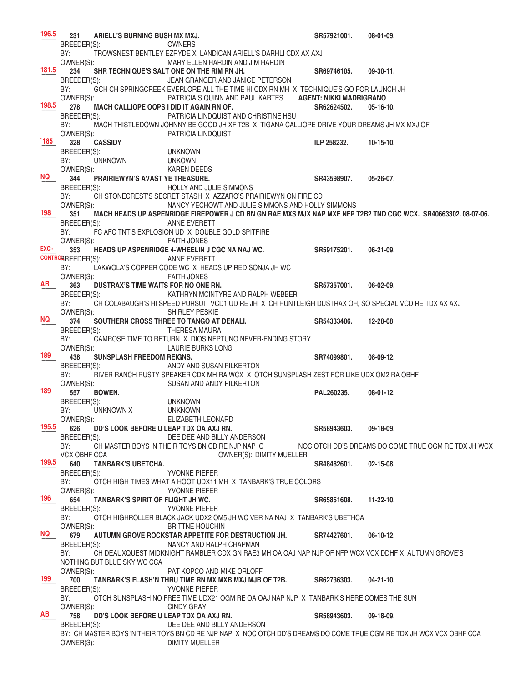231 ARIELL'S BURNING BUSH MX MXJ. **231 SR57921001.** 08-01-09. BREEDER(S): OWNERS BY: TROWSNEST BENTLEY EZRYDE X LANDICAN ARIELL'S DARHLI CDX AX AXJ OWNER(S): MARY ELLEN HARDIN AND JIM HARDIN **\_\_\_\_ 234 SHR TECHNIQUE'S SALT ONE ON THE RIM RN JH. SR69746105. 09-30-11.** BREEDER(S): JEAN GRANGER AND JANICE PETERSON BY: GCH CH SPRINGCREEK EVERLORE ALL THE TIME HI CDX RN MH X TECHNIQUE'S GO FOR LAUNCH JH OWNER(S): PATRICIA S QUINN AND PAUL KARTES **AGENT: NIKKI MADRIGRANO** \_\_\_\_ **278 MACH CALLIOPE OOPS I DID IT AGAIN RN OF. SR62624502. 05-16-10.**  BREEDER(S): PATRICIA LINDQUIST AND CHRISTINE HSU BY: MACH THISTLEDOWN JOHNNY BE GOOD JH XF T2B X TIGANA CALLIOPE DRIVE YOUR DREAMS JH MX MXJ OF OWNER(S): PATRICIA LINDQUIST **185** 328 CASSIDY **189 2012 189 2012 189 2012 189 2012 189 2012 189 2023 2024 10-15-10.** BREEDER(S): UNKNOWN BY: UNKNOWN UNKOWN OWNER(S): KAREN DEEDS  $344$  **PRAIRIEWYN'S AVAST YE TREASURE.**<br>BREEDER(S): HOLLY AND JULIE SIMMONS HOLLY AND JULIE SIMMONS BY: CH STONECREST'S SECRET STASH X AZZARO'S PRAIRIEWYN ON FIRE CD<br>OWNER(S): NANCY YECHOWT AND JULIE SIMMONS AND HOLLY NANCY YECHOWT AND JULIE SIMMONS AND HOLLY SIMMONS 351 MACH HEADS UP ASPENRIDGE FIREPOWER J CD BN GN RAE MXS MJX NAP MXF NFP T2B2 TND CGC WCX. SR40663302.08-07-06.<br>BREEDER(S): ANNE EVERETT ANNE EVERETT BY: FC AFC TNT'S EXPLOSION UD X DOUBLE GOLD SPITFIRE OWNER(S): **FAITH JONES** \_\_\_\_ **353 HEADS UP ASPENRIDGE 4-WHEELIN J CGC NA NAJ WC. SR59175201. 06-21-09. CONTROB**REEDER(S): ANNE EVERETT BY: LAKWOLA'S COPPER CODE WC X HEADS UP RED SONJA JH WC OWNER(S): FAITH JONES 363 DUSTRAX'S TIME WAITS FOR NO ONE RN. SALPH WEBBER SR57357001. 06-02-09.<br>BREEDER(S): KATHRYN MCINTYRE AND RALPH WEBBER KATHRYN MCINTYRE AND RALPH WEBBER BY: CH COLABAUGH'S HI SPEED PURSUIT VCD1 UD RE JH X CH HUNTLEIGH DUSTRAX OH, SO SPECIAL VCD RE TDX AX AXJ<br>OWNER(S): SHIRLEY PESKIE SHIRLEY PESKIE \_\_\_\_ **374 SOUTHERN CROSS THREE TO TANGO AT DENALI. SR54333406. 12-28-08**  THERESA MAURA BY: CAMROSE TIME TO RETURN X DIOS NEPTUNO NEVER-ENDING STORY OWNER(S): LAURIE BURKS LONG \_\_\_\_ **438 SUNSPLASH FREEDOM REIGNS. SR74099801. 08-09-12.**  BREEDER(S): ANDY AND SUSAN PILKERTON BY: RIVER RANCH RUSTY SPEAKER CDX MH RA WCX X OTCH SUNSPLASH ZEST FOR LIKE UDX OM2 RA OBHF OWNER(S): SUSAN AND ANDY PILKERTON \_\_\_\_ **557 BOWEN. PAL260235. 08-01-12.**  BREEDER(S): UNKNOWN BY: UNKNOWN X UNKNOWN<br>
OWNER(S): ELIZABETH ELIZABETH LEONARD \_\_\_\_ **626 DD'S LOOK BEFORE U LEAP TDX OA AXJ RN. SR58943603. 09-18-09.**  DEE DEE AND BILLY ANDERSON BY: CH MASTER BOYS 'N THEIR TOYS BN CD RE NJP NAP C NOC OTCH DD'S DREAMS DO COME TRUE OGM RE TDX JH WCX VCX OBHF CCA OWNER(S): DIMITY MUELLER  $640$  TANBARK'S UBETCHA. **640 SR48482601.** 02-15-08. BREEDER(S): YVONNE PIEFER BY: OTCH HIGH TIMES WHAT A HOOT UDX11 MH X TANBARK'S TRUE COLORS OWNER(S): YVONNE PIEFER \_\_\_\_ **654 TANBARK'S SPIRIT OF FLIGHT JH WC. SR65851608. 11-22-10.**  BREEDER(S): YVONNE PIEFER BY: OTCH HIGHROLLER BLACK JACK UDX2 OM5 JH WC VER NA NAJ X TANBARK'S UBETHCA OWNER(S): BRITTNE HOUCHIN \_\_\_\_ **679 AUTUMN GROVE ROCKSTAR APPETITE FOR DESTRUCTION JH. SR74427601. 06-10-12.**  NANCY AND RALPH CHAPMAN BY: CH DEAUXQUEST MIDKNIGHT RAMBLER CDX GN RAE3 MH OA OAJ NAP NJP OF NFP WCX VCX DDHF X AUTUMN GROVE'S NOTHING BUT BLUE SKY WC CCA OWNER(S): PAT KOPCO AND MIKE ORLOFF \_\_\_\_ **700 TANBARK'S FLASH'N THRU TIME RN MX MXB MXJ MJB OF T2B. SR62736303. 04-21-10.**  YVONNE PIEFER BY: OTCH SUNSPLASH NO FREE TIME UDX21 OGM RE OA OAJ NAP NJP X TANBARK'S HERE COMES THE SUN OWNER(S): CINDY GRAY \_\_\_\_ **758 DD'S LOOK BEFORE U LEAP TDX OA AXJ RN. SR58943603. 09-18-09.**  BREEDER(S): DEE DEE AND BILLY ANDERSON BY: CH MASTER BOYS 'N THEIR TOYS BN CD RE NJP NAP X NOC OTCH DD'S DREAMS DO COME TRUE OGM RE TDX JH WCX VCX OBHF CCA OWNER(S): DIMITY MUELLER **196.5 181.5 198.5 `185 NQ 198 EXC - AB NQ 189 189 195.5 199.5 196 NQ 199 AB**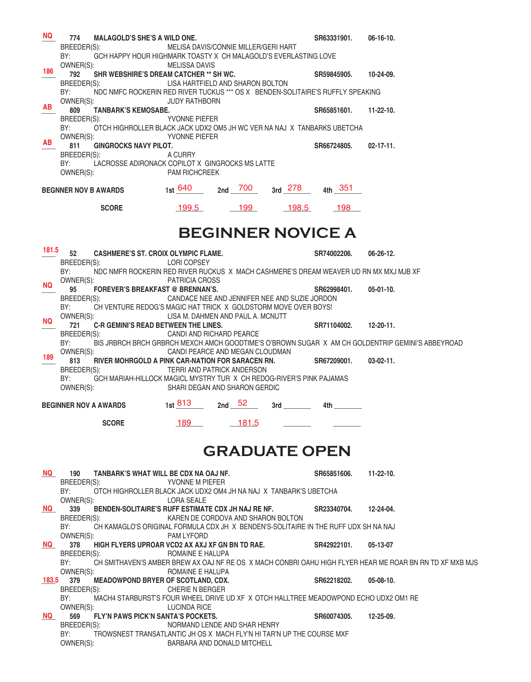| NQ.       | 774<br><b>MALAGOLD'S SHE'S A WILD ONE.</b>                                                                 |                                                             |                                               |       | SR63331901. |           | $06-16-10.$                                                                                              |
|-----------|------------------------------------------------------------------------------------------------------------|-------------------------------------------------------------|-----------------------------------------------|-------|-------------|-----------|----------------------------------------------------------------------------------------------------------|
|           | BREEDER(S):                                                                                                |                                                             | MELISA DAVIS/CONNIE MILLER/GERI HART          |       |             |           |                                                                                                          |
|           | BY:<br>GCH HAPPY HOUR HIGHMARK TOASTY X CH MALAGOLD'S EVERLASTING LOVE                                     |                                                             |                                               |       |             |           |                                                                                                          |
| 186       | OWNER(S):                                                                                                  | <b>MELISSA DAVIS</b>                                        |                                               |       |             |           |                                                                                                          |
|           | SHR WEBSHIRE'S DREAM CATCHER ** SH WC.<br>792<br>BREEDER(S):                                               | LISA HARTFIELD AND SHARON BOLTON                            |                                               |       | SR59845905. |           | 10-24-09.                                                                                                |
|           | NDC NMFC ROCKERIN RED RIVER TUCKUS *** OS X BENDEN-SOLITAIRE'S RUFFLY SPEAKING<br>BY:                      |                                                             |                                               |       |             |           |                                                                                                          |
|           | OWNER(S):                                                                                                  | <b>JUDY RATHBORN</b>                                        |                                               |       |             |           |                                                                                                          |
| AB        | 809<br><b>TANBARK'S KEMOSABE.</b>                                                                          |                                                             |                                               |       |             |           | SR65851601. 11-22-10.                                                                                    |
|           | BREEDER(S):                                                                                                | YVONNE PIEFER                                               |                                               |       |             |           |                                                                                                          |
|           | BY:<br>OTCH HIGHROLLER BLACK JACK UDX2 OM5 JH WC VER NA NAJ X TANBARKS UBETCHA                             |                                                             |                                               |       |             |           |                                                                                                          |
| AB.       | OWNER(S):<br><b>GINGROCKS NAVY PILOT.</b><br>811                                                           | YVONNE PIEFER                                               |                                               |       | SR66724805. |           | $02 - 17 - 11$ .                                                                                         |
|           | BREEDER(S):                                                                                                | A CURRY                                                     |                                               |       |             |           |                                                                                                          |
|           | LACROSSE ADIRONACK COPILOT X GINGROCKS MS LATTE<br>BY:                                                     |                                                             |                                               |       |             |           |                                                                                                          |
|           | OWNER(S):                                                                                                  | <b>PAM RICHCREEK</b>                                        |                                               |       |             |           |                                                                                                          |
|           |                                                                                                            | 1st $\frac{640}{2}$ 2nd $\frac{700}{3}$ 3rd $\frac{278}{2}$ |                                               |       |             | $4th$ 351 |                                                                                                          |
|           | <b>BEGNNER NOV B AWARDS</b>                                                                                |                                                             |                                               |       |             |           |                                                                                                          |
|           | <b>SCORE</b>                                                                                               | 199.5                                                       | 199                                           | 198.5 |             | 198       |                                                                                                          |
|           |                                                                                                            |                                                             |                                               |       |             |           |                                                                                                          |
|           |                                                                                                            |                                                             | <b>BEGINNER NOVICE A</b>                      |       |             |           |                                                                                                          |
|           |                                                                                                            |                                                             |                                               |       |             |           |                                                                                                          |
| 181.5     | 52<br><b>CASHMERE'S ST. CROIX OLYMPIC FLAME.</b>                                                           |                                                             |                                               |       | SR74002206. |           | $06 - 26 - 12.$                                                                                          |
|           | BREEDER(S):                                                                                                | LORI COPSEY                                                 |                                               |       |             |           |                                                                                                          |
|           | BY:<br>NDC NMFR ROCKERIN RED RIVER RUCKUS X MACH CASHMERE'S DREAM WEAVER UD RN MX MXJ MJB XF               |                                                             |                                               |       |             |           |                                                                                                          |
| NQ        | OWNER(S):                                                                                                  | PATRICIA CROSS                                              |                                               |       |             |           |                                                                                                          |
|           | 95<br><b>FOREVER'S BREAKFAST @ BRENNAN'S.</b>                                                              |                                                             | CANDACE NEE AND JENNIFER NEE AND SUZIE JORDON |       | SR62998401. |           | $05-01-10.$                                                                                              |
|           | BREEDER(S):<br>BY:<br>CH VENTURE REDOG'S MAGIC HAT TRICK X GOLDSTORM MOVE OVER BOYS!                       |                                                             |                                               |       |             |           |                                                                                                          |
|           | OWNER(S):                                                                                                  | LISA M. DAHMEN AND PAUL A. MCNUTT                           |                                               |       |             |           |                                                                                                          |
| <b>NQ</b> | <b>C-R GEMINI'S READ BETWEEN THE LINES.</b><br>721                                                         |                                                             |                                               |       | SR71104002. |           | $12 - 20 - 11$ .                                                                                         |
|           | BREEDER(S):                                                                                                | CANDI AND RICHARD PEARCE                                    |                                               |       |             |           |                                                                                                          |
|           | BY:                                                                                                        |                                                             |                                               |       |             |           | BIS JRBRCH BRCH GRBRCH MEXCH AMCH GOODTIME'S O'BROWN SUGAR X AM CH GOLDENTRIP GEMINI'S ABBEYROAD         |
| 189       | OWNER(S):<br>813<br>RIVER MOHRGOLD A PINK CAR-NATION FOR SARACEN RN.                                       |                                                             | CANDI PEARCE AND MEGAN CLOUDMAN               |       | SR67209001. |           | $03-02-11.$                                                                                              |
|           | BREEDER(S):                                                                                                |                                                             | TERRI AND PATRICK ANDERSON                    |       |             |           |                                                                                                          |
|           | BY:<br>GCH MARIAH-HILLOCK MAGICL MYSTRY TUR X CH REDOG-RIVER'S PINK PAJAMAS                                |                                                             |                                               |       |             |           |                                                                                                          |
|           | OWNER(S):                                                                                                  |                                                             | SHARI DEGAN AND SHARON GERDIC                 |       |             |           |                                                                                                          |
|           | <b>BEGINNER NOV A AWARDS</b>                                                                               | 1st $813$                                                   | 52<br>2nd                                     | 3rd   | 4th         |           |                                                                                                          |
|           |                                                                                                            |                                                             |                                               |       |             |           |                                                                                                          |
|           | <b>SCORE</b>                                                                                               | 189                                                         | 181.5                                         |       |             |           |                                                                                                          |
|           |                                                                                                            |                                                             |                                               |       |             |           |                                                                                                          |
|           |                                                                                                            |                                                             |                                               |       |             |           |                                                                                                          |
|           |                                                                                                            |                                                             | <b>GRADUATE OPEN</b>                          |       |             |           |                                                                                                          |
|           |                                                                                                            |                                                             |                                               |       |             |           |                                                                                                          |
| NQ .      | 190<br>TANBARK'S WHAT WILL BE CDX NA OAJ NF.<br>BREEDER(S):                                                | YVONNE M PIEFER                                             |                                               |       | SR65851606. |           | $11 - 22 - 10$ .                                                                                         |
|           | BY:<br>OTCH HIGHROLLER BLACK JACK UDX2 OM4 JH NA NAJ X TANBARK'S UBETCHA                                   |                                                             |                                               |       |             |           |                                                                                                          |
|           | OWNER(S):                                                                                                  | <b>LORA SEALE</b>                                           |                                               |       |             |           |                                                                                                          |
| <b>NQ</b> | 339<br>BENDEN-SOLITAIRE'S RUFF ESTIMATE CDX JH NAJ RE NF.                                                  |                                                             |                                               |       | SR23340704. |           | $12 - 24 - 04$ .                                                                                         |
|           | BREEDER(S):                                                                                                |                                                             | KAREN DE CORDOVA AND SHARON BOLTON            |       |             |           |                                                                                                          |
|           | BY:<br>CH KAMAGLO'S ORIGINAL FORMULA CDX JH X BENDEN'S-SOLITAIRE IN THE RUFF UDX SH NA NAJ<br>OWNER(S):    | <b>PAM LYFORD</b>                                           |                                               |       |             |           |                                                                                                          |
| NQ L      | 378<br>HIGH FLYERS UPROAR VCD2 AX AXJ XF GN BN TD RAE.                                                     |                                                             |                                               |       | SR42922101. |           | 05-13-07                                                                                                 |
|           | BREEDER(S):                                                                                                | ROMAINE E HALUPA                                            |                                               |       |             |           |                                                                                                          |
|           | BY:                                                                                                        |                                                             |                                               |       |             |           | CH SMITHAVEN'S AMBER BREW AX OAJ NF RE OS X MACH CONBRI OAHU HIGH FLYER HEAR ME ROAR BN RN TD XF MXB MJS |
|           | OWNER(S):                                                                                                  | ROMAINE E HALUPA                                            |                                               |       |             |           |                                                                                                          |
| 183.5     | 379<br><b>MEADOWPOND BRYER OF SCOTLAND, CDX.</b>                                                           |                                                             |                                               |       | SR62218202. |           | $05-08-10.$                                                                                              |
|           | BREEDER(S):<br>BY:<br>MACH4 STARBURST'S FOUR WHEEL DRIVE UD XF X OTCH HALLTREE MEADOWPOND ECHO UDX2 OM1 RE | <b>CHERIE N BERGER</b>                                      |                                               |       |             |           |                                                                                                          |
|           | OWNER(S):                                                                                                  | LUCINDA RICE                                                |                                               |       |             |           |                                                                                                          |
| NQ DOM    | FLY'N PAWS PICK'N SANTA'S POCKETS.<br>569                                                                  |                                                             |                                               |       | SR60074305. |           | 12-25-09.                                                                                                |
|           | BREEDER(S):                                                                                                |                                                             | NORMAND LENDE AND SHAR HENRY                  |       |             |           |                                                                                                          |
|           | BY:<br>TROWSNEST TRANSATLANTIC JH OS X MACH FLY'N HI TAR'N UP THE COURSE MXF                               |                                                             |                                               |       |             |           |                                                                                                          |
|           | OWNER(S):                                                                                                  |                                                             | BARBARA AND DONALD MITCHELL                   |       |             |           |                                                                                                          |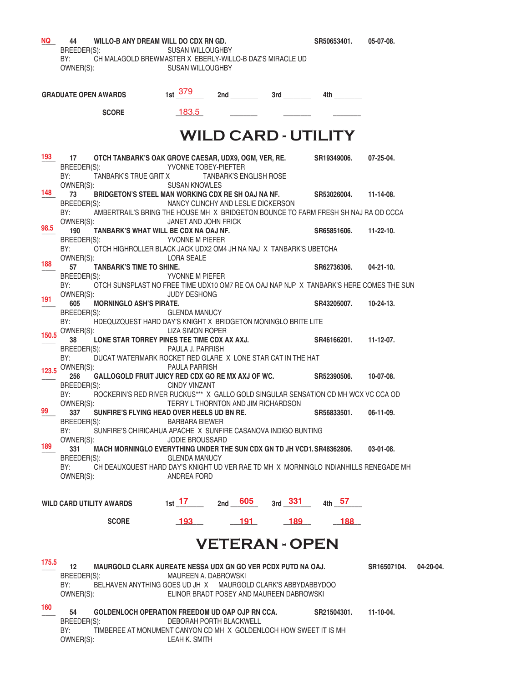| NQ L  | WILLO-B ANY DREAM WILL DO CDX RN GD.<br>44 —                                                      |                                          |                               |  |                       | SR50653401. 05-07-08.  |           |
|-------|---------------------------------------------------------------------------------------------------|------------------------------------------|-------------------------------|--|-----------------------|------------------------|-----------|
|       | BREEDER(S):<br>BY:<br>CH MALAGOLD BREWMASTER X EBERLY-WILLO-B DAZ'S MIRACLE UD                    | SUSAN WILLOUGHBY                         |                               |  |                       |                        |           |
|       | OWNER(S):                                                                                         | <b>SUSAN WILLOUGHBY</b>                  |                               |  |                       |                        |           |
|       |                                                                                                   |                                          |                               |  |                       |                        |           |
|       | <b>GRADUATE OPEN AWARDS</b>                                                                       | $1st$ 379                                |                               |  |                       |                        |           |
|       |                                                                                                   |                                          |                               |  |                       |                        |           |
|       | <b>SCORE</b>                                                                                      | 183.5                                    |                               |  |                       |                        |           |
|       |                                                                                                   |                                          |                               |  |                       |                        |           |
|       |                                                                                                   | <b>WILD CARD - UTILITY</b>               |                               |  |                       |                        |           |
|       |                                                                                                   |                                          |                               |  |                       |                        |           |
| 193   | 17<br>OTCH TANBARK'S OAK GROVE CAESAR, UDX9, OGM, VER, RE. SR19349006.                            |                                          |                               |  |                       | 07-25-04.              |           |
|       | BREEDER(S):<br>BY:<br>TANBARK'S TRUE GRIT X                                                       | YVONNE TOBEY-PIEFTER                     | <b>TANBARK'S ENGLISH ROSE</b> |  |                       |                        |           |
|       | OWNER(S):                                                                                         | <b>SUSAN KNOWLES</b>                     |                               |  |                       |                        |           |
| 148   | BRIDGETON'S STEEL MAN WORKING CDX RE SH OAJ NA NF. SR53026004. 11-14-08.<br>73                    |                                          |                               |  |                       |                        |           |
|       | BREEDER(S):<br>AMBERTRAIL'S BRING THE HOUSE MH X BRIDGETON BOUNCE TO FARM FRESH SH NAJ RA OD CCCA | NANCY CLINCHY AND LESLIE DICKERSON       |                               |  |                       |                        |           |
|       | BY:<br>OWNER(S):                                                                                  | JANET AND JOHN FRICK                     |                               |  |                       |                        |           |
| 98.5  | 190<br>TANBARK'S WHAT WILL BE CDX NA OAJ NF.                                                      |                                          |                               |  |                       | SR65851606. 11-22-10.  |           |
|       | BREEDER(S): YVONNE M PIEFER                                                                       |                                          |                               |  |                       |                        |           |
|       | BY: OTCH HIGHROLLER BLACK JACK UDX2 OM4 JH NA NAJ X TANBARK'S UBETCHA                             |                                          |                               |  |                       |                        |           |
| 188   | OWNER(S):<br><b>TANBARK'S TIME TO SHINE.</b><br>57                                                | <b>LORA SEALE</b>                        |                               |  |                       | SR62736306. 04-21-10.  |           |
|       | BREEDER(S):                                                                                       | YVONNE M PIEFER                          |                               |  |                       |                        |           |
|       | OTCH SUNSPLAST NO FREE TIME UDX10 OM7 RE OA OAJ NAP NJP X TANBARK'S HERE COMES THE SUN<br>BY:     |                                          |                               |  |                       |                        |           |
| 191   | OWNER(S):                                                                                         | <b>JUDY DESHONG</b>                      |                               |  |                       |                        |           |
|       | 605<br><b>MORNINGLO ASH'S PIRATE.</b>                                                             | <b>GLENDA MANUCY</b>                     |                               |  |                       | SR43205007. 10-24-13.  |           |
|       | BREEDER(S):<br>HDEQUZQUEST HARD DAY'S KNIGHT X BRIDGETON MONINGLO BRITE LITE<br>BY:               |                                          |                               |  |                       |                        |           |
|       | 150.5 OWNER(S): LIZA SIMON ROPER                                                                  |                                          |                               |  |                       |                        |           |
|       | 38 LONE STAR TORREY PINES TEE TIME CDX AX AXJ.                                                    |                                          |                               |  |                       | SR46166201.  11-12-07. |           |
|       | BREEDER(S): PAULA J. PARRISH                                                                      |                                          |                               |  |                       |                        |           |
|       | BY: DUCAT WATERMARK ROCKET RED GLARE X LONE STAR CAT IN THE HAT<br>123.5 OWNER(S): $123.5$        | <b>PAULA PARRISH</b>                     |                               |  |                       |                        |           |
|       | GALLOGOLD FRUIT JUICY RED CDX GO RE MX AXJ OF WC. SR52390506. 10-07-08.<br>256                    |                                          |                               |  |                       |                        |           |
|       | BREEDER(S):                                                                                       | CINDY VINZANT                            |                               |  |                       |                        |           |
|       | ROCKERIN'S RED RIVER RUCKUS*** X GALLO GOLD SINGULAR SENSATION CD MH WCX VC CCA OD<br>BY:         |                                          |                               |  |                       |                        |           |
| 99    | OWNER(S):<br>337 SUNFIRE'S FLYING HEAD OVER HEELS UD BN RE.                                       | TERRY L THORNTON AND JIM RICHARDSON      |                               |  | SR56833501.           | $06-11-09.$            |           |
|       | BREEDER(S):                                                                                       | <b>BARBARA BIEWER</b>                    |                               |  |                       |                        |           |
|       | BY:<br>SUNFIRE'S CHIRICAHUA APACHE X SUNFIRE CASANOVA INDIGO BUNTING                              |                                          |                               |  |                       |                        |           |
| 189   | OWNER(S):<br>331                                                                                  | <b>JODIE BROUSSARD</b>                   |                               |  |                       | 03-01-08.              |           |
|       | MACH MORNINGLO EVERYTHING UNDER THE SUN CDX GN TD JH VCD1. SR48362806.<br>BREEDER(S):             | <b>GLENDA MANUCY</b>                     |                               |  |                       |                        |           |
|       | BY:<br>CH DEAUXQUEST HARD DAY'S KNIGHT UD VER RAE TD MH X MORNINGLO INDIANHILLS RENEGADE MH       |                                          |                               |  |                       |                        |           |
|       | OWNER(S):                                                                                         | ANDREA FORD                              |                               |  |                       |                        |           |
|       |                                                                                                   |                                          |                               |  |                       |                        |           |
|       | <b>WILD CARD UTILITY AWARDS</b>                                                                   | 1st 17 $2nd$ 605 $3rd$ 331 $4th$ 57      |                               |  |                       |                        |           |
|       |                                                                                                   |                                          |                               |  |                       |                        |           |
|       | <b>SCORE</b>                                                                                      | 193 191 189 188                          |                               |  |                       |                        |           |
|       |                                                                                                   |                                          |                               |  | <b>VETERAN - OPEN</b> |                        |           |
|       |                                                                                                   |                                          |                               |  |                       |                        |           |
| 175.5 | 12<br>MAURGOLD CLARK AUREATE NESSA UDX GN GO VER PCDX PUTD NA OAJ.                                |                                          |                               |  |                       | SR16507104.            | 04-20-04. |
|       | BREEDER(S):                                                                                       | MAUREEN A. DABROWSKI                     |                               |  |                       |                        |           |
|       | BY:<br>BELHAVEN ANYTHING GOES UD JH X MAURGOLD CLARK'S ABBYDABBYDOO                               |                                          |                               |  |                       |                        |           |
|       | OWNER(S):                                                                                         | ELINOR BRADT POSEY AND MAUREEN DABROWSKI |                               |  |                       |                        |           |
| 160   | 54<br>GOLDENLOCH OPERATION FREEDOM UD OAP OJP RN CCA. SR21504301. 11-10-04.                       |                                          |                               |  |                       |                        |           |
|       | BREEDER(S):                                                                                       | <b>DEBORAH PORTH BLACKWELL</b>           |                               |  |                       |                        |           |
|       | BY:<br>TIMBEREE AT MONUMENT CANYON CD MH X GOLDENLOCH HOW SWEET IT IS MH                          |                                          |                               |  |                       |                        |           |
|       | OWNER(S):                                                                                         | LEAH K. SMITH                            |                               |  |                       |                        |           |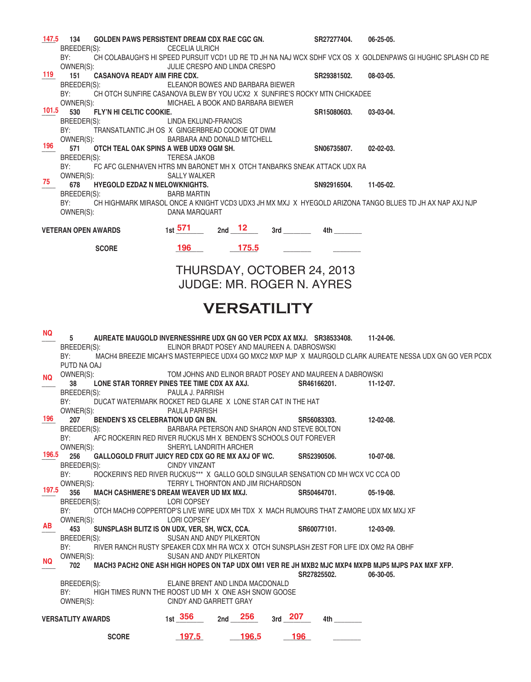| 147.5     | 134<br>GOLDEN PAWS PERSISTENT DREAM CDX RAE CGC GN.                                           |                                              |     |                      |           | SR27277404.                                                                                                      | $06 - 25 - 05$                                                                                              |
|-----------|-----------------------------------------------------------------------------------------------|----------------------------------------------|-----|----------------------|-----------|------------------------------------------------------------------------------------------------------------------|-------------------------------------------------------------------------------------------------------------|
|           | BREEDER(S):<br>BY:                                                                            | <b>CECELIA ULRICH</b>                        |     |                      |           |                                                                                                                  | CH COLABAUGH'S HI SPEED PURSUIT VCD1 UD RE TD JH NA NAJ WCX SDHF VCX OS X GOLDENPAWS GI HUGHIC SPLASH CD RE |
|           | OWNER(S):                                                                                     | JULIE CRESPO AND LINDA CRESPO                |     |                      |           |                                                                                                                  |                                                                                                             |
| 119       | 151<br><b>CASANOVA READY AIM FIRE CDX.</b>                                                    |                                              |     |                      |           | SR29381502.                                                                                                      | 08-03-05.                                                                                                   |
|           | BREEDER(S):<br>BY:                                                                            | ELEANOR BOWES AND BARBARA BIEWER             |     |                      |           |                                                                                                                  |                                                                                                             |
|           | CH OTCH SUNFIRE CASANOVA BLEW BY YOU UCX2 X SUNFIRE'S ROCKY MTN CHICKADEE<br>OWNER(S):        | MICHAEL A BOOK AND BARBARA BIEWER            |     |                      |           |                                                                                                                  |                                                                                                             |
| 101.5     | 530<br>FLY'N HI CELTIC COOKIE.                                                                |                                              |     |                      |           | SR15080603.                                                                                                      | 03-03-04.                                                                                                   |
|           | BREEDER(S):                                                                                   | LINDA EKLUND-FRANCIS                         |     |                      |           |                                                                                                                  |                                                                                                             |
|           | BY:<br>TRANSATLANTIC JH OS X GINGERBREAD COOKIE QT DWM<br>OWNER(S):                           | BARBARA AND DONALD MITCHELL                  |     |                      |           |                                                                                                                  |                                                                                                             |
| 196       | 571<br>OTCH TEAL OAK SPINS A WEB UDX9 OGM SH.                                                 |                                              |     |                      |           | SN06735807.                                                                                                      | $02 - 02 - 03$ .                                                                                            |
|           | BREEDER(S):                                                                                   | <b>TERESA JAKOB</b>                          |     |                      |           |                                                                                                                  |                                                                                                             |
|           | BY:<br>FC AFC GLENHAVEN HTRS MN BARONET MH X OTCH TANBARKS SNEAK ATTACK UDX RA                |                                              |     |                      |           |                                                                                                                  |                                                                                                             |
| 75        | OWNER(S):<br>678<br><b>HYEGOLD EZDAZ N MELOWKNIGHTS.</b>                                      | SALLY WALKER                                 |     |                      |           | SN92916504.                                                                                                      | 11-05-02.                                                                                                   |
|           | BREEDER(S):                                                                                   | <b>BARB MARTIN</b>                           |     |                      |           |                                                                                                                  |                                                                                                             |
|           | BY:                                                                                           |                                              |     |                      |           |                                                                                                                  | CH HIGHMARK MIRASOL ONCE A KNIGHT VCD3 UDX3 JH MX MXJ X HYEGOLD ARIZONA TANGO BLUES TD JH AX NAP AXJ NJP    |
|           | OWNER(S):                                                                                     | DANA MARQUART                                |     |                      |           |                                                                                                                  |                                                                                                             |
|           | <b>VETERAN OPEN AWARDS</b>                                                                    | $1st$ 571                                    |     | 2 <sub>nd</sub> $12$ |           | 4th and the set of the set of the set of the set of the set of the set of the set of the set of the set of the   |                                                                                                             |
|           |                                                                                               |                                              |     |                      |           |                                                                                                                  |                                                                                                             |
|           | <b>SCORE</b>                                                                                  | 196 —                                        |     | $-175.5$             |           |                                                                                                                  |                                                                                                             |
|           |                                                                                               |                                              |     |                      |           |                                                                                                                  |                                                                                                             |
|           |                                                                                               |                                              |     |                      |           | THURSDAY, OCTOBER 24, 2013                                                                                       |                                                                                                             |
|           |                                                                                               |                                              |     |                      |           | <b>JUDGE: MR. ROGER N. AYRES</b>                                                                                 |                                                                                                             |
|           |                                                                                               |                                              |     |                      |           |                                                                                                                  |                                                                                                             |
|           |                                                                                               |                                              |     | <b>VERSATILITY</b>   |           |                                                                                                                  |                                                                                                             |
|           |                                                                                               |                                              |     |                      |           |                                                                                                                  |                                                                                                             |
| NQ.       | 5<br>AUREATE MAUGOLD INVERNESSHIRE UDX GN GO VER PCDX AX MXJ. SR38533408.                     |                                              |     |                      |           |                                                                                                                  | 11-24-06.                                                                                                   |
|           | BREEDER(S):                                                                                   | ELINOR BRADT POSEY AND MAUREEN A. DABROSWSKI |     |                      |           |                                                                                                                  |                                                                                                             |
|           | BY:                                                                                           |                                              |     |                      |           |                                                                                                                  | MACH4 BREEZIE MICAH'S MASTERPIECE UDX4 GO MXC2 MXP MJP X MAURGOLD CLARK AUREATE NESSA UDX GN GO VER PCDX    |
|           | PUTD NA OAJ                                                                                   |                                              |     |                      |           |                                                                                                                  |                                                                                                             |
| <b>NQ</b> | OWNER(S):<br>LONE STAR TORREY PINES TEE TIME CDX AX AXJ.<br>38                                |                                              |     |                      |           | TOM JOHNS AND ELINOR BRADT POSEY AND MAUREEN A DABROWSKI<br>SR46166201.                                          | $11 - 12 - 07$ .                                                                                            |
|           | BREEDER(S):                                                                                   | PAULA J. PARRISH                             |     |                      |           |                                                                                                                  |                                                                                                             |
|           | BY:<br>DUCAT WATERMARK ROCKET RED GLARE X LONE STAR CAT IN THE HAT                            |                                              |     |                      |           |                                                                                                                  |                                                                                                             |
| 196       | OWNER(S):<br>BENDEN'S XS CELEBRATION UD GN BN.<br>207                                         | PAULA PARRISH                                |     |                      |           | SR56083303.                                                                                                      | 12-02-08.                                                                                                   |
|           | BREEDER(S):                                                                                   | BARBARA PETERSON AND SHARON AND STEVE BOLTON |     |                      |           |                                                                                                                  |                                                                                                             |
|           | AFC ROCKERIN RED RIVER RUCKUS MH X BENDEN'S SCHOOLS OUT FOREVER<br>BY:                        |                                              |     |                      |           |                                                                                                                  |                                                                                                             |
| 196.5     | OWNER(S):<br>256<br>GALLOGOLD FRUIT JUICY RED CDX GO RE MX AXJ OF WC.                         | SHERYL LANDRITH ARCHER                       |     |                      |           |                                                                                                                  |                                                                                                             |
|           | BREEDER(S):                                                                                   | <b>CINDY VINZANT</b>                         |     |                      |           | SR52390506.                                                                                                      | 10-07-08.                                                                                                   |
|           | BY:<br>ROCKERIN'S RED RIVER RUCKUS*** X GALLO GOLD SINGULAR SENSATION CD MH WCX VC CCA OD     |                                              |     |                      |           |                                                                                                                  |                                                                                                             |
| 197.5     | OWNER(S):                                                                                     | TERRY L THORNTON AND JIM RICHARDSON          |     |                      |           |                                                                                                                  |                                                                                                             |
|           | 356<br>MACH CASHMERE'S DREAM WEAVER UD MX MXJ.<br>BREEDER(S):                                 | <b>LORI COPSEY</b>                           |     |                      |           | SR50464701.                                                                                                      | $05-19-08.$                                                                                                 |
|           | BY:<br>OTCH MACH9 COPPERTOP'S LIVE WIRE UDX MH TDX X MACH RUMOURS THAT Z'AMORE UDX MX MXJ XF  |                                              |     |                      |           |                                                                                                                  |                                                                                                             |
| AB        | OWNER(S):                                                                                     | <b>LORI COPSEY</b>                           |     |                      |           |                                                                                                                  |                                                                                                             |
|           | 453<br>SUNSPLASH BLITZ IS ON UDX, VER, SH, WCX, CCA.<br>BREEDER(S):                           | SUSAN AND ANDY PILKERTON                     |     |                      |           | SR60077101.                                                                                                      | 12-03-09.                                                                                                   |
|           | BY:<br>RIVER RANCH RUSTY SPEAKER CDX MH RA WCX X OTCH SUNSPLASH ZEST FOR LIFE IDX OM2 RA OBHF |                                              |     |                      |           |                                                                                                                  |                                                                                                             |
| NQ.       | OWNER(S):                                                                                     | SUSAN AND ANDY PILKERTON                     |     |                      |           |                                                                                                                  |                                                                                                             |
|           | 702                                                                                           |                                              |     |                      |           |                                                                                                                  | MACH3 PACH2 ONE ASH HIGH HOPES ON TAP UDX OM1 VER RE JH MXB2 MJC MXP4 MXPB MJP5 MJPS PAX MXF XFP.           |
|           | BREEDER(S):                                                                                   | ELAINE BRENT AND LINDA MACDONALD             |     |                      |           | SR27825502.                                                                                                      | 06-30-05.                                                                                                   |
|           | BY:<br>HIGH TIMES RUN'N THE ROOST UD MH X ONE ASH SNOW GOOSE                                  |                                              |     |                      |           |                                                                                                                  |                                                                                                             |
|           | OWNER(S):                                                                                     | CINDY AND GARRETT GRAY                       |     |                      |           |                                                                                                                  |                                                                                                             |
|           | <b>VERSATLITY AWARDS</b>                                                                      | $1st$ 356                                    | 2nd | 256                  | $3rd$ 207 | 4th the set of the set of the set of the set of the set of the set of the set of the set of the set of the set o |                                                                                                             |
|           |                                                                                               |                                              |     |                      |           |                                                                                                                  |                                                                                                             |
|           | <b>SCORE</b>                                                                                  | <u>197.5</u>                                 |     | 196.5                | 196       |                                                                                                                  |                                                                                                             |
|           |                                                                                               |                                              |     |                      |           |                                                                                                                  |                                                                                                             |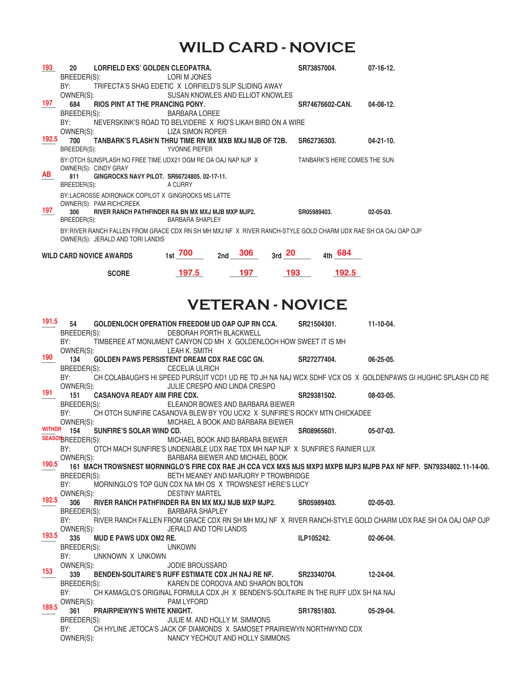### **WILD CARD - NOVICE**

| 193   | 20<br><b>LORFIELD EKS' GOLDEN CLEOPATRA.</b><br>BREEDER(S):                                                                                               | LORI M JONES            |                                      |             | SR73857004.                  | $07-16-12.$                                                                                                         |  |  |  |
|-------|-----------------------------------------------------------------------------------------------------------------------------------------------------------|-------------------------|--------------------------------------|-------------|------------------------------|---------------------------------------------------------------------------------------------------------------------|--|--|--|
| 197   | BY:<br>TRIFECTA'S SHAG EDETIC X LORFIELD'S SLIP SLIDING AWAY<br>OWNER(S):<br>684<br>RIOS PINT AT THE PRANCING PONY.                                       |                         | SUSAN KNOWLES AND ELLIOT KNOWLES     |             | SR74676602-CAN.              | 04-08-12.                                                                                                           |  |  |  |
|       | BREEDER(S):<br>BY:<br>NEVERSKINK'S ROAD TO BELVIDERE X RIO'S LIKAH BIRD ON A WIRE                                                                         | <b>BARBARA LOREE</b>    |                                      |             |                              |                                                                                                                     |  |  |  |
| 192.5 | OWNER(S):<br>700<br>TANBARK'S FLASH'N THRU TIME RN MX MXB MXJ MJB OF T2B.                                                                                 | LIZA SIMON ROPER        |                                      |             | SR62736303.                  | $04 - 21 - 10$ .                                                                                                    |  |  |  |
|       | BREEDER(S):                                                                                                                                               | YVONNE PIEFER           |                                      |             |                              |                                                                                                                     |  |  |  |
| AB    | BY: OTCH SUNSPLASH NO FREE TIME UDX21 OGM RE OA OAJ NAP NJP X<br>OWNER(S): CINDY GRAY<br>811<br>GINGROCKS NAVY PILOT. SR66724805.02-17-11.<br>BREEDER(S): | A CURRY                 |                                      |             | TANBARK'S HERE COMES THE SUN |                                                                                                                     |  |  |  |
|       | BY:LACROSSE ADIRONACK COPILOT X GINGROCKS MS LATTE                                                                                                        |                         |                                      |             |                              |                                                                                                                     |  |  |  |
| 197   | OWNER(S): PAM RICHCREEK<br>RIVER RANCH PATHFINDER RA BN MX MXJ MJB MXP MJP2.<br>306<br>BREEDER(S):                                                        | <b>BARBARA SHAPLEY</b>  |                                      |             | SR05989403.                  | $02 - 05 - 03$ .                                                                                                    |  |  |  |
|       | BY: RIVER RANCH FALLEN FROM GRACE CDX RN SH MH MXJ NF X RIVER RANCH-STYLE GOLD CHARM UDX RAE SH OA OAJ OAP OJP<br>OWNER(S): JERALD AND TORI LANDIS        |                         |                                      |             |                              |                                                                                                                     |  |  |  |
|       | <b>WILD CARD NOVICE AWARDS</b>                                                                                                                            | $_{1st}$ 700            | $2nd \t 306$                         | $_{3rd}$ 20 | 4th 684                      |                                                                                                                     |  |  |  |
|       | <b>SCORE</b>                                                                                                                                              | 197.5                   | 197                                  | 193         | 192.5                        |                                                                                                                     |  |  |  |
|       |                                                                                                                                                           |                         |                                      |             |                              |                                                                                                                     |  |  |  |
|       |                                                                                                                                                           |                         |                                      |             |                              |                                                                                                                     |  |  |  |
|       |                                                                                                                                                           |                         | <b>VETERAN - NOVICE</b>              |             |                              |                                                                                                                     |  |  |  |
| 191.5 | 54<br>GOLDENLOCH OPERATION FREEDOM UD OAP OJP RN CCA.                                                                                                     |                         |                                      |             | SR21504301.                  | $11-10-04.$                                                                                                         |  |  |  |
|       | BREEDER(S):<br>BY:<br>TIMBEREE AT MONUMENT CANYON CD MH X GOLDENLOCH HOW SWEET IT IS MH                                                                   | DEBORAH PORTH BLACKWELL |                                      |             |                              |                                                                                                                     |  |  |  |
| 190   | OWNER(S):<br>134<br><b>GOLDEN PAWS PERSISTENT DREAM CDX RAE CGC GN.</b>                                                                                   | LEAH K. SMITH           |                                      |             | SR27277404.                  | $06 - 25 - 05$ .                                                                                                    |  |  |  |
|       | BREEDER(S):<br>BY:                                                                                                                                        | <b>CECELIA ULRICH</b>   | JULIE CRESPO AND LINDA CRESPO        |             |                              | CH COLABAUGH'S HI SPEED PURSUIT VCD1 UD RE TD JH NA NAJ WCX SDHF VCX OS X GOLDENPAWS GI HUGHIC SPLASH CD RE         |  |  |  |
| 191   | OWNER(S):<br>151<br><b>CASANOVA READY AIM FIRE CDX.</b>                                                                                                   |                         |                                      |             | SR29381502.                  | 08-03-05.                                                                                                           |  |  |  |
|       | BREEDER(S):<br>BY:<br>CH OTCH SUNFIRE CASANOVA BLEW BY YOU UCX2 X SUNFIRE'S ROCKY MTN CHICKADEE                                                           |                         | ELEANOR BOWES AND BARBARA BIEWER     |             |                              |                                                                                                                     |  |  |  |
|       | OWNER(S):<br>WITHDR 154<br>SUNFIRE'S SOLAR WIND CD.                                                                                                       |                         | MICHAEL A BOOK AND BARBARA BIEWER    |             | SR08965601.                  | $05-07-03.$                                                                                                         |  |  |  |
|       | SEASONBREEDER(S):                                                                                                                                         |                         | MICHAEL BOOK AND BARBARA BIEWER      |             |                              |                                                                                                                     |  |  |  |
|       | BY:<br>OTCH MACH SUNFIRE'S UNDENIABLE UDX RAE TDX MH NAP NJP X SUNFIRE'S RAINIER LUX<br>OWNER(S):                                                         |                         | BARBARA BIEWER AND MICHAEL BOOK      |             |                              |                                                                                                                     |  |  |  |
| 190.5 | BREEDER(S):                                                                                                                                               |                         | BETH MEANEY AND MARJORY P TROWBRIDGE |             |                              | 161 MACH TROWSNEST MORNINGLO'S FIRE CDX RAE JH CCA VCX MXS MJS MXP3 MXPB MJP3 MJPB PAX NF NFP. SN79334802.11-14-00. |  |  |  |
| 192.5 | BY:<br>MORNINGLO'S TOP GUN CDX NA MH OS X TROWSNEST HERE'S LUCY<br>OWNER(S):<br>306<br>RIVER RANCH PATHFINDER RA BN MX MXJ MJB MXP MJP2.                  | <b>DESTINY MARTEL</b>   |                                      |             | SR05989403.                  | $02 - 05 - 03$ .                                                                                                    |  |  |  |

OWNER(S): UERALD AND TORI LANDIS 193.5 335 MUD E PAWS UDX OM2 RE. **ILP105242.** 02-06-04. BREEDER(S): UNKOWN BY: UNKNOWN X UNKOWN OWNER(S): JODIE BROUSSARD \_\_\_\_ **339 BENDEN-SOLITAIRE'S RUFF ESTIMATE CDX JH NAJ RE NF. SR23340704. 12-24-04.**  BREEDER(S): KAREN DE CORDOVA AND SHARON BOLTON BY: CH KAMAGLO'S ORIGINAL FORMULA CDX JH X BENDEN'S-SOLITAIRE IN THE RUFF UDX SH NA NAJ **189.5** OWNER(S): PAM LYFORD<br>**189.5 261 DRAIDDIEWVN'S WHITE KNIGHT 153**

361 PRAIRPIEWYN'S WHITE KNIGHT.<br>BREEDER(S): ULIE M. AND HOLLY M. SIMMONS<br>**BREEDER(S):** JULIE M. AND HOLLY M. SIMMONS JULIE M. AND HOLLY M. SIMMONS BY: CH HYLINE JETOCA'S JACK OF DIAMONDS X SAMOSET PRAIRIEWYN NORTHWYND CDX<br>
NANCY YECHOUT AND HOLLY SIMMONS NANCY YECHOUT AND HOLLY SIMMONS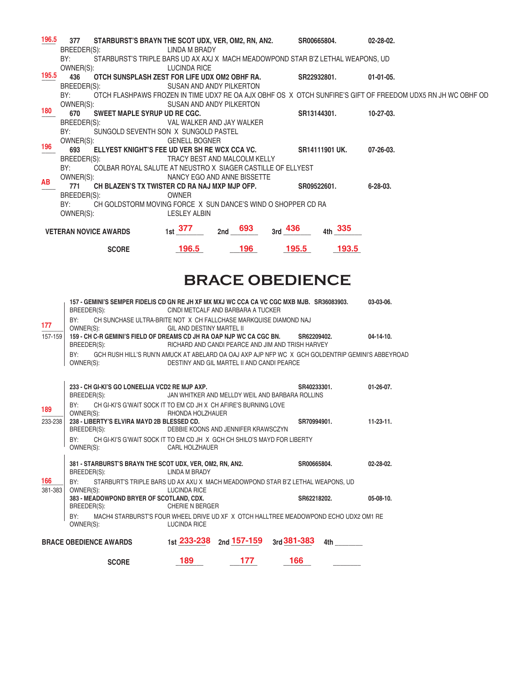| 196.5 | 377                                                                                                            |                              | STARBURST'S BRAYN THE SCOT UDX, VER, OM2, RN, AN2. SR00665804.                  |                              |             |                | $02 - 28 - 02$ .                                                                                            |
|-------|----------------------------------------------------------------------------------------------------------------|------------------------------|---------------------------------------------------------------------------------|------------------------------|-------------|----------------|-------------------------------------------------------------------------------------------------------------|
|       |                                                                                                                | BREEDER(S):                  | LINDA M BRADY                                                                   |                              |             |                |                                                                                                             |
|       | BY: and the set of the set of the set of the set of the set of the set of the set of the set of the set of the |                              | STARBURST'S TRIPLE BARS UD AX AXJ X MACH MEADOWPOND STAR B'Z LETHAL WEAPONS, UD |                              |             |                |                                                                                                             |
|       |                                                                                                                |                              | OWNER(S): LUCINDA RICE                                                          |                              |             |                |                                                                                                             |
| 195.5 | 436                                                                                                            |                              | OTCH SUNSPLASH ZEST FOR LIFE UDX OM2 OBHF RA.                                   |                              | SR22932801. |                | $01-01-05.$                                                                                                 |
|       |                                                                                                                | BREEDER(S): Example 20       |                                                                                 | SUSAN AND ANDY PILKERTON     |             |                |                                                                                                             |
|       | BY:                                                                                                            |                              |                                                                                 |                              |             |                | OTCH FLASHPAWS FROZEN IN TIME UDX7 RE OA AJX OBHF OS X OTCH SUNFIRE'S GIFT OF FREEDOM UDX5 RN JH WC OBHF OD |
|       | OWNER(S):                                                                                                      |                              |                                                                                 | SUSAN AND ANDY PILKERTON     |             |                |                                                                                                             |
| 180   | 670                                                                                                            | SWEET MAPLE SYRUP UD RE CGC. |                                                                                 |                              | SR13144301. |                | $10-27-03$ .                                                                                                |
|       | BREEDER(S):                                                                                                    |                              |                                                                                 | VAL WALKER AND JAY WALKER    |             |                |                                                                                                             |
|       |                                                                                                                |                              | BY: SUNGOLD SEVENTH SON X SUNGOLD PASTEL                                        |                              |             |                |                                                                                                             |
|       | OWNER(S):                                                                                                      |                              | <b>GENELL BOGNER</b>                                                            |                              |             |                |                                                                                                             |
| 196   |                                                                                                                |                              | 693 ELLYEST KNIGHT'S FEE UD VER SH RE WCX CCA VC.                               |                              |             | SR14111901 UK. | 07-26-03.                                                                                                   |
|       |                                                                                                                | BREEDER(S):                  |                                                                                 | TRACY BEST AND MALCOLM KELLY |             |                |                                                                                                             |
|       | BY:                                                                                                            |                              | COLBAR ROYAL SALUTE AT NEUSTRO X SIAGER CASTILLE OF ELLYEST                     |                              |             |                |                                                                                                             |
| AB    |                                                                                                                | OWNER(S):                    | NANCY EGO AND ANNE BISSETTE                                                     |                              |             |                |                                                                                                             |
|       | 771                                                                                                            |                              | CH BLAZEN'S TX TWISTER CD RA NAJ MXP MJP OFP.                                   |                              | SR09522601. |                | 6-28-03.                                                                                                    |
|       |                                                                                                                | BREEDER(S):                  | <b>OWNER</b>                                                                    |                              |             |                |                                                                                                             |
|       | BY:                                                                                                            |                              | CH GOLDSTORM MOVING FORCE X SUN DANCE'S WIND O SHOPPER CD RA                    |                              |             |                |                                                                                                             |
|       | OWNER(S):                                                                                                      |                              | <b>LESLEY ALBIN</b>                                                             |                              |             |                |                                                                                                             |
|       |                                                                                                                | <b>VETERAN NOVICE AWARDS</b> | $_{1st}$ 377                                                                    | $_{2nd}$ 693                 | $3rd$ 436   | 335<br>4th     |                                                                                                             |
|       |                                                                                                                | <b>SCORE</b>                 | <b>196.5</b>                                                                    | 196                          | 195.5       | <b>193.5</b>   |                                                                                                             |

# **BRACE OBEDIENCE**

|                | <b>SCORE</b>                                                                                                         | 189                       | 177                                               | 166         |                                                                                                                |                  |
|----------------|----------------------------------------------------------------------------------------------------------------------|---------------------------|---------------------------------------------------|-------------|----------------------------------------------------------------------------------------------------------------|------------------|
|                | <b>BRACE OBEDIENCE AWARDS</b>                                                                                        |                           | 1st $233 - 238$ 2nd $157 - 159$ 3rd $381 - 383$   |             | 4th and the set of the set of the set of the set of the set of the set of the set of the set of the set of the |                  |
|                | BY:<br>MACH4 STARBURST'S FOUR WHEEL DRIVE UD XF X OTCH HALLTREE MEADOWPOND ECHO UDX2 OM1 RE<br>OWNER(S):             | <b>LUCINDA RICE</b>       |                                                   |             |                                                                                                                |                  |
|                | 383 - MEADOWPOND BRYER OF SCOTLAND, CDX.<br>BREEDER(S):                                                              | <b>CHERIE N BERGER</b>    |                                                   | SR62218202. |                                                                                                                | $05-08-10.$      |
| 166<br>381-383 | BY:<br>STARBURT'S TRIPLE BARS UD AX AXU X MACH MEADOWPOND STAR B'Z LETHAL WEAPONS, UD<br>OWNER(S):                   | LUCINDA RICE              |                                                   |             |                                                                                                                |                  |
|                | 381 - STARBURST'S BRAYN THE SCOT UDX, VER, OM2, RN, AN2.<br>BREEDER(S):                                              | <b>LINDA M BRADY</b>      |                                                   | SR00665804. |                                                                                                                | 02-28-02.        |
|                | BY:<br>CH GI-KI'S G'WAIT SOCK IT TO EM CD JH X GCH CH SHILO'S MAYD FOR LIBERTY<br>OWNER(S):                          | CARL HOLZHAUER            |                                                   |             |                                                                                                                |                  |
| 233-238        | 238 - LIBERTY'S ELVIRA MAYD 2B BLESSED CD.<br>BREEDER(S):                                                            |                           | DEBBIE KOONS AND JENNIFER KRAWSCZYN               | SR70994901. |                                                                                                                | $11-23-11.$      |
| 189            | CH GI-KI'S G'WAIT SOCK IT TO EM CD JH X CH AFIRE'S BURNING LOVE<br>BY:<br>OWNER(S):                                  | RHONDA HOLZHAUER          |                                                   |             |                                                                                                                |                  |
|                | 233 - CH GI-KI'S GO LONEELIJA VCD2 RE MJP AXP.<br>BREEDER(S):                                                        |                           | JAN WHITKER AND MELLDY WEIL AND BARBARA ROLLINS   | SR40233301. |                                                                                                                | $01 - 26 - 07$ . |
|                | GCH RUSH HILL'S RUN'N AMUCK AT ABELARD OA OAJ AXP AJP NFP WC X GCH GOLDENTRIP GEMINI'S ABBEYROAD<br>BY:<br>OWNER(S): |                           | DESTINY AND GIL MARTEL II AND CANDI PEARCE        |             |                                                                                                                |                  |
|                | BREEDER(S):                                                                                                          |                           | RICHARD AND CANDI PEARCE AND JIM AND TRISH HARVEY |             |                                                                                                                |                  |
| 157-159        | OWNER(S):<br>159 - CH C-R GEMINI'S FIELD OF DREAMS CD JH RA OAP NJP WC CA CGC BN.                                    | GIL AND DESTINY MARTEL II |                                                   | SR62209402. |                                                                                                                | $04-14-10.$      |
| 177            | CH SUNCHASE ULTRA-BRITE NOT X CH FALLCHASE MARKQUISE DIAMOND NAJ<br>BY:                                              |                           |                                                   |             |                                                                                                                |                  |
|                | 157 - GEMINI'S SEMPER FIDELIS CD GN RE JH XF MX MXJ WC CCA CA VC CGC MXB MJB. SR36083903.<br>BREEDER(S):             |                           | CINDI METCALF AND BARBARA A TUCKER                |             |                                                                                                                | 03-03-06.        |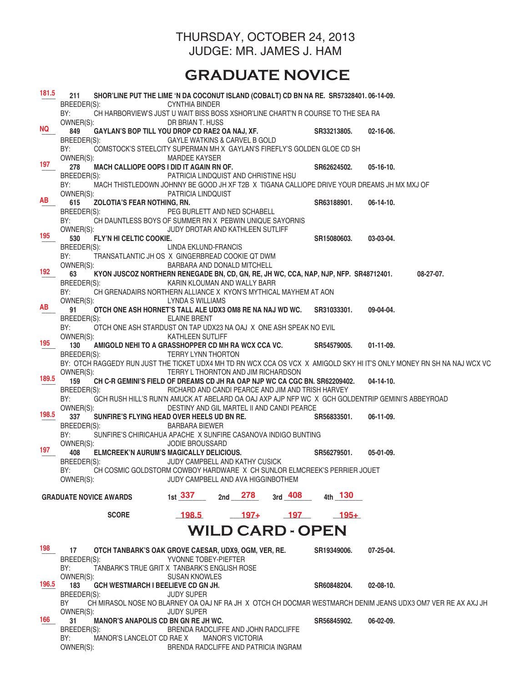#### THURSDAY, OCTOBER 24, 2013 JUDGE: MR. JAMES J. HAM

# **GRADUATE NOVICE**

| 181.5     | 211<br>SHOR'LINE PUT THE LIME 'N DA COCONUT ISLAND (COBALT) CD BN NA RE. SR57328401.06-14-09.                                       |                                                   |                         |            |                         |                  |                                                                                                             |
|-----------|-------------------------------------------------------------------------------------------------------------------------------------|---------------------------------------------------|-------------------------|------------|-------------------------|------------------|-------------------------------------------------------------------------------------------------------------|
|           | BREEDER(S):<br>BY:<br>CH HARBORVIEW'S JUST U WAIT BISS BOSS XSHOR'LINE CHART'N R COURSE TO THE SEA RA                               | <b>CYNTHIA BINDER</b>                             |                         |            |                         |                  |                                                                                                             |
| <b>NQ</b> | OWNER(S):                                                                                                                           | DR BRIAN T. HUSS                                  |                         |            |                         |                  |                                                                                                             |
|           | 849<br>GAYLAN'S BOP TILL YOU DROP CD RAE2 OA NAJ, XF.<br>BREEDER(S):                                                                | <b>GAYLE WATKINS &amp; CARVEL B GOLD</b>          |                         |            | SR33213805.             | $02 - 16 - 06$ . |                                                                                                             |
|           | BY:<br>COMSTOCK'S STEELCITY SUPERMAN MH X GAYLAN'S FIREFLY'S GOLDEN GLOE CD SH                                                      |                                                   |                         |            |                         |                  |                                                                                                             |
| 197       | OWNER(S):<br>MACH CALLIOPE OOPS I DID IT AGAIN RN OF.<br>278                                                                        | <b>MARDEE KAYSER</b>                              |                         |            | SR62624502.             | $05-16-10.$      |                                                                                                             |
|           | BREEDER(S):                                                                                                                         | PATRICIA LINDQUIST AND CHRISTINE HSU              |                         |            |                         |                  |                                                                                                             |
|           | BY:<br>MACH THISTLEDOWN JOHNNY BE GOOD JH XF T2B X TIGANA CALLIOPE DRIVE YOUR DREAMS JH MX MXJ OF                                   |                                                   |                         |            |                         |                  |                                                                                                             |
| <b>AB</b> | OWNER(S):<br>615<br><b>ZOLOTIA'S FEAR NOTHING, RN.</b>                                                                              | PATRICIA LINDQUIST                                |                         |            | SR63188901.             | $06-14-10.$      |                                                                                                             |
|           | BREEDER(S):                                                                                                                         | PEG BURLETT AND NED SCHABELL                      |                         |            |                         |                  |                                                                                                             |
|           | BY:<br>CH DAUNTLESS BOYS OF SUMMER RN X PEBWIN UNIQUE SAYORNIS                                                                      |                                                   |                         |            |                         |                  |                                                                                                             |
| 195       | OWNER(S):<br>530<br>FLY'N HI CELTIC COOKIE.                                                                                         | JUDY DROTAR AND KATHLEEN SUTLIFF                  |                         |            | SR15080603.             | 03-03-04.        |                                                                                                             |
|           | BREEDER(S):                                                                                                                         | LINDA EKLUND-FRANCIS                              |                         |            |                         |                  |                                                                                                             |
|           | TRANSATLANTIC JH OS X GINGERBREAD COOKIE QT DWM<br>BY:<br>OWNER(S):                                                                 | BARBARA AND DONALD MITCHELL                       |                         |            |                         |                  |                                                                                                             |
| 192       | 63<br>KYON JUSCOZ NORTHERN RENEGADE BN, CD, GN, RE, JH WC, CCA, NAP, NJP, NFP. SR48712401. 08-27-07.                                |                                                   |                         |            |                         |                  |                                                                                                             |
|           | BREEDER(S):                                                                                                                         | KARIN KLOUMAN AND WALLY BARR                      |                         |            |                         |                  |                                                                                                             |
|           | BY:<br>CH GRENADAIRS NORTHERN ALLIANCE X KYON'S MYTHICAL MAYHEM AT AON<br>OWNER(S):                                                 | <b>LYNDA S WILLIAMS</b>                           |                         |            |                         |                  |                                                                                                             |
| AB        | 91<br>OTCH ONE ASH HORNET'S TALL ALE UDX3 OM8 RE NA NAJ WD WC.                                                                      |                                                   |                         |            | SR31033301.             | 09-04-04.        |                                                                                                             |
|           | BREEDER(S):                                                                                                                         | <b>ELAINE BRENT</b>                               |                         |            |                         |                  |                                                                                                             |
|           | OTCH ONE ASH STARDUST ON TAP UDX23 NA OAJ X ONE ASH SPEAK NO EVIL<br>BY:<br>OWNER(S):                                               | <b>KATHLEEN SUTLIFF</b>                           |                         |            |                         |                  |                                                                                                             |
| 195       | AMIGOLD NEHI TO A GRASSHOPPER CD MH RA WCX CCA VC. SR54579005.<br>130                                                               |                                                   |                         |            |                         | $01-11-09.$      |                                                                                                             |
|           | BREEDER(S):                                                                                                                         | <b>TERRY LYNN THORTON</b>                         |                         |            |                         |                  |                                                                                                             |
|           | BY: OTCH RAGGEDY RUN JUST THE TICKET UDX4 MH TD RN WCX CCA OS VCX X AMIGOLD SKY HI IT'S ONLY MONEY RN SH NA NAJ WCX VC<br>OWNER(S): | TERRY L THORNTON AND JIM RICHARDSON               |                         |            |                         |                  |                                                                                                             |
| 189.5     | CH C-R GEMINI'S FIELD OF DREAMS CD JH RA OAP NJP WC CA CGC BN. SR62209402.<br>159                                                   |                                                   |                         |            |                         | $04 - 14 - 10.$  |                                                                                                             |
|           | BREEDER(S):<br>GCH RUSH HILL'S RUN'N AMUCK AT ABELARD OA OAJ AXP AJP NFP WC X GCH GOLDENTRIP GEMINI'S ABBEYROAD<br>BY:              | RICHARD AND CANDI PEARCE AND JIM AND TRISH HARVEY |                         |            |                         |                  |                                                                                                             |
|           | OWNER(S):                                                                                                                           | DESTINY AND GIL MARTEL II AND CANDI PEARCE        |                         |            |                         |                  |                                                                                                             |
| 198.5     | SUNFIRE'S FLYING HEAD OVER HEELS UD BN RE.<br>337                                                                                   |                                                   |                         |            | SR56833501.             | $06-11-09.$      |                                                                                                             |
|           | BREEDER(S):<br>SUNFIRE'S CHIRICAHUA APACHE X SUNFIRE CASANOVA INDIGO BUNTING<br>BY:                                                 | <b>BARBARA BIEWER</b>                             |                         |            |                         |                  |                                                                                                             |
|           | OWNER(S):                                                                                                                           | <b>JODIE BROUSSARD</b>                            |                         |            |                         |                  |                                                                                                             |
| 197       | 408<br><b>ELMCREEK'N AURUM'S MAGICALLY DELICIOUS.</b>                                                                               |                                                   |                         |            | SR56279501.             | 05-01-09.        |                                                                                                             |
|           | BREEDER(S):<br>CH COSMIC GOLDSTORM COWBOY HARDWARE X CH SUNLOR ELMCREEK'S PERRIER JOUET<br>BY:                                      | JUDY CAMPBELL AND KATHY CUSICK                    |                         |            |                         |                  |                                                                                                             |
|           | OWNER(S):                                                                                                                           | JUDY CAMPBELL AND AVA HIGGINBOTHEM                |                         |            |                         |                  |                                                                                                             |
|           | <b>GRADUATE NOVICE AWARDS</b>                                                                                                       | 1st 337 $2nd$ 278 $3rd$ 408 $4th$ 130             |                         |            |                         |                  |                                                                                                             |
|           |                                                                                                                                     |                                                   |                         |            |                         |                  |                                                                                                             |
|           | <b>SCORE</b>                                                                                                                        | <b>198.5</b>                                      | $197+$                  | <u>197</u> | $195+$                  |                  |                                                                                                             |
|           |                                                                                                                                     |                                                   |                         |            | <b>WILD CARD - OPEN</b> |                  |                                                                                                             |
| 198       | 17<br>OTCH TANBARK'S OAK GROVE CAESAR, UDX9, OGM, VER, RE.                                                                          |                                                   |                         |            | SR19349006.             | 07-25-04.        |                                                                                                             |
|           | BREEDER(S):                                                                                                                         | YVONNE TOBEY-PIEFTER                              |                         |            |                         |                  |                                                                                                             |
|           | BY:<br>TANBARK'S TRUE GRIT X TANBARK'S ENGLISH ROSE                                                                                 |                                                   |                         |            |                         |                  |                                                                                                             |
| 196.5     | OWNER(S):<br>183<br>GCH WESTMARCH I BEELIEVE CD GN JH.                                                                              | <b>SUSAN KNOWLES</b>                              |                         |            | SR60848204.             | 02-08-10.        |                                                                                                             |
|           | BREEDER(S):                                                                                                                         | <b>JUDY SUPER</b>                                 |                         |            |                         |                  |                                                                                                             |
|           | BY<br>OWNER(S):                                                                                                                     | <b>JUDY SUPER</b>                                 |                         |            |                         |                  | CH MIRASOL NOSE NO BLARNEY OA OAJ NF RA JH X OTCH CH DOCMAR WESTMARCH DENIM JEANS UDX3 OM7 VER RE AX AXJ JH |
| 166       | <b>MANOR'S ANAPOLIS CD BN GN RE JH WC.</b><br>31                                                                                    |                                                   |                         |            | SR56845902.             | $06-02-09.$      |                                                                                                             |
|           | BREEDER(S):<br>BY:<br>MANOR'S LANCELOT CD RAE X                                                                                     | BRENDA RADCLIFFE AND JOHN RADCLIFFE               |                         |            |                         |                  |                                                                                                             |
|           | OWNER(S):                                                                                                                           | BRENDA RADCLIFFE AND PATRICIA INGRAM              | <b>MANOR'S VICTORIA</b> |            |                         |                  |                                                                                                             |
|           |                                                                                                                                     |                                                   |                         |            |                         |                  |                                                                                                             |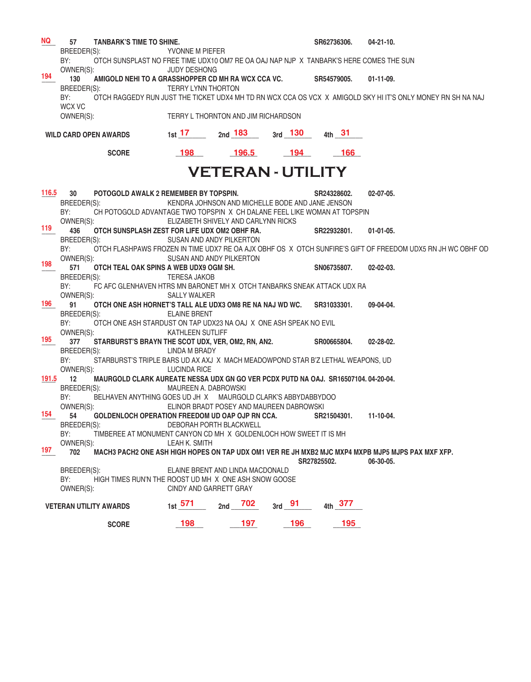| BREEDER(S):<br>YVONNE M PIEFER<br>OTCH SUNSPLAST NO FREE TIME UDX10 OM7 RE OA OAJ NAP NJP X TANBARK'S HERE COMES THE SUN<br>BY:<br>OWNER(S):<br><b>JUDY DESHONG</b><br>194<br>130<br>AMIGOLD NEHI TO A GRASSHOPPER CD MH RA WCX CCA VC.<br>SR54579005.<br>$01-11-09.$<br>BREEDER(S):<br><b>TERRY LYNN THORTON</b><br>BY:<br>OTCH RAGGEDY RUN JUST THE TICKET UDX4 MH TD RN WCX CCA OS VCX X AMIGOLD SKY HI IT'S ONLY MONEY RN SH NA NAJ<br>WCX VC<br>OWNER(S):<br>TERRY L THORNTON AND JIM RICHARDSON<br>1st 17 and 183 and 130 4th 31<br><b>WILD CARD OPEN AWARDS</b><br><b>196.5</b><br>198<br>$-194$<br>$-166$<br><b>SCORE</b><br><b>VETERAN - UTILITY</b><br>116.5<br>30<br>POTOGOLD AWALK 2 REMEMBER BY TOPSPIN.<br>$02-07-05$ .<br>SR24328602.<br>KENDRA JOHNSON AND MICHELLE BODE AND JANE JENSON<br>BREEDER(S):<br>BY:<br>CH POTOGOLD ADVANTAGE TWO TOPSPIN X CH DALANE FEEL LIKE WOMAN AT TOPSPIN<br>OWNER(S):<br>ELIZABETH SHIVELY AND CARLYNN RICKS<br>119<br>436<br>OTCH SUNSPLASH ZEST FOR LIFE UDX OM2 OBHF RA.<br>SR22932801.<br>$01-01-05.$<br>BREEDER(S):<br>SUSAN AND ANDY PILKERTON<br>OTCH FLASHPAWS FROZEN IN TIME UDX7 RE OA AJX OBHF OS X OTCH SUNFIRE'S GIFT OF FREEDOM UDX5 RN JH WC OBHF OD<br>BY:<br>OWNER(S):<br>SUSAN AND ANDY PILKERTON<br>198<br>571<br>OTCH TEAL OAK SPINS A WEB UDX9 OGM SH.<br>SN06735807.<br>$02 - 02 - 03$ .<br>BREEDER(S):<br><b>TERESA JAKOB</b><br>BY:<br>FC AFC GLENHAVEN HTRS MN BARONET MH X OTCH TANBARKS SNEAK ATTACK UDX RA<br>OWNER(S):<br>SALLY WALKER<br>196<br>OTCH ONE ASH HORNET'S TALL ALE UDX3 OM8 RE NA NAJ WD WC. SR31033301.<br>91<br>09-04-04.<br><b>ELAINE BRENT</b><br>BREEDER(S):<br>BY:<br>OTCH ONE ASH STARDUST ON TAP UDX23 NA OAJ X ONE ASH SPEAK NO EVIL<br>OWNER(S):<br><b>KATHLEEN SUTLIFF</b><br>195<br>377<br>STARBURST'S BRAYN THE SCOT UDX, VER, OM2, RN, AN2.<br>$02 - 28 - 02$ .<br>SR00665804.<br>BREEDER(S):<br>LINDA M BRADY<br>BY:<br>STARBURST'S TRIPLE BARS UD AX AXJ X MACH MEADOWPOND STAR B'Z LETHAL WEAPONS, UD<br>OWNER(S):<br><b>LUCINDA RICE</b><br>191.5 12<br>MAURGOLD CLARK AUREATE NESSA UDX GN GO VER PCDX PUTD NA OAJ. SR16507104.04-20-04.<br>BREEDER(S):<br>MAUREEN A. DABROWSKI<br>BY:<br>BELHAVEN ANYTHING GOES UD JH X MAURGOLD CLARK'S ABBYDABBYDOO<br>ELINOR BRADT POSEY AND MAUREEN DABROWSKI<br>OWNER(S):<br>154 54 GOLDENLOCH OPERATION FREEDOM UD OAP OJP RN CCA.<br>SR21504301. 11-10-04.<br>BREEDER(S):<br>DEBORAH PORTH BLACKWELL<br>BY:<br>TIMBEREE AT MONUMENT CANYON CD MH X GOLDENLOCH HOW SWEET IT IS MH<br>OWNER(S):<br>LEAH K. SMITH<br>197<br>702<br>MACH3 PACH2 ONE ASH HIGH HOPES ON TAP UDX OM1 VER RE JH MXB2 MJC MXP4 MXPB MJP5 MJPS PAX MXF XFP.<br>SR27825502.<br>06-30-05.<br>BREEDER(S):<br>ELAINE BRENT AND LINDA MACDONALD | NQ | <b>TANBARK'S TIME TO SHINE.</b><br>57 |  |  | SR62736306. | $04 - 21 - 10$ . |
|-------------------------------------------------------------------------------------------------------------------------------------------------------------------------------------------------------------------------------------------------------------------------------------------------------------------------------------------------------------------------------------------------------------------------------------------------------------------------------------------------------------------------------------------------------------------------------------------------------------------------------------------------------------------------------------------------------------------------------------------------------------------------------------------------------------------------------------------------------------------------------------------------------------------------------------------------------------------------------------------------------------------------------------------------------------------------------------------------------------------------------------------------------------------------------------------------------------------------------------------------------------------------------------------------------------------------------------------------------------------------------------------------------------------------------------------------------------------------------------------------------------------------------------------------------------------------------------------------------------------------------------------------------------------------------------------------------------------------------------------------------------------------------------------------------------------------------------------------------------------------------------------------------------------------------------------------------------------------------------------------------------------------------------------------------------------------------------------------------------------------------------------------------------------------------------------------------------------------------------------------------------------------------------------------------------------------------------------------------------------------------------------------------------------------------------------------------------------------------------------------------------------------------------------------------------------------------------------------------------------------------------------------------------------------------------------------------------------------------------------------------------------------|----|---------------------------------------|--|--|-------------|------------------|
|                                                                                                                                                                                                                                                                                                                                                                                                                                                                                                                                                                                                                                                                                                                                                                                                                                                                                                                                                                                                                                                                                                                                                                                                                                                                                                                                                                                                                                                                                                                                                                                                                                                                                                                                                                                                                                                                                                                                                                                                                                                                                                                                                                                                                                                                                                                                                                                                                                                                                                                                                                                                                                                                                                                                                                         |    |                                       |  |  |             |                  |
|                                                                                                                                                                                                                                                                                                                                                                                                                                                                                                                                                                                                                                                                                                                                                                                                                                                                                                                                                                                                                                                                                                                                                                                                                                                                                                                                                                                                                                                                                                                                                                                                                                                                                                                                                                                                                                                                                                                                                                                                                                                                                                                                                                                                                                                                                                                                                                                                                                                                                                                                                                                                                                                                                                                                                                         |    |                                       |  |  |             |                  |
|                                                                                                                                                                                                                                                                                                                                                                                                                                                                                                                                                                                                                                                                                                                                                                                                                                                                                                                                                                                                                                                                                                                                                                                                                                                                                                                                                                                                                                                                                                                                                                                                                                                                                                                                                                                                                                                                                                                                                                                                                                                                                                                                                                                                                                                                                                                                                                                                                                                                                                                                                                                                                                                                                                                                                                         |    |                                       |  |  |             |                  |
|                                                                                                                                                                                                                                                                                                                                                                                                                                                                                                                                                                                                                                                                                                                                                                                                                                                                                                                                                                                                                                                                                                                                                                                                                                                                                                                                                                                                                                                                                                                                                                                                                                                                                                                                                                                                                                                                                                                                                                                                                                                                                                                                                                                                                                                                                                                                                                                                                                                                                                                                                                                                                                                                                                                                                                         |    |                                       |  |  |             |                  |
|                                                                                                                                                                                                                                                                                                                                                                                                                                                                                                                                                                                                                                                                                                                                                                                                                                                                                                                                                                                                                                                                                                                                                                                                                                                                                                                                                                                                                                                                                                                                                                                                                                                                                                                                                                                                                                                                                                                                                                                                                                                                                                                                                                                                                                                                                                                                                                                                                                                                                                                                                                                                                                                                                                                                                                         |    |                                       |  |  |             |                  |
|                                                                                                                                                                                                                                                                                                                                                                                                                                                                                                                                                                                                                                                                                                                                                                                                                                                                                                                                                                                                                                                                                                                                                                                                                                                                                                                                                                                                                                                                                                                                                                                                                                                                                                                                                                                                                                                                                                                                                                                                                                                                                                                                                                                                                                                                                                                                                                                                                                                                                                                                                                                                                                                                                                                                                                         |    |                                       |  |  |             |                  |
|                                                                                                                                                                                                                                                                                                                                                                                                                                                                                                                                                                                                                                                                                                                                                                                                                                                                                                                                                                                                                                                                                                                                                                                                                                                                                                                                                                                                                                                                                                                                                                                                                                                                                                                                                                                                                                                                                                                                                                                                                                                                                                                                                                                                                                                                                                                                                                                                                                                                                                                                                                                                                                                                                                                                                                         |    |                                       |  |  |             |                  |
|                                                                                                                                                                                                                                                                                                                                                                                                                                                                                                                                                                                                                                                                                                                                                                                                                                                                                                                                                                                                                                                                                                                                                                                                                                                                                                                                                                                                                                                                                                                                                                                                                                                                                                                                                                                                                                                                                                                                                                                                                                                                                                                                                                                                                                                                                                                                                                                                                                                                                                                                                                                                                                                                                                                                                                         |    |                                       |  |  |             |                  |
|                                                                                                                                                                                                                                                                                                                                                                                                                                                                                                                                                                                                                                                                                                                                                                                                                                                                                                                                                                                                                                                                                                                                                                                                                                                                                                                                                                                                                                                                                                                                                                                                                                                                                                                                                                                                                                                                                                                                                                                                                                                                                                                                                                                                                                                                                                                                                                                                                                                                                                                                                                                                                                                                                                                                                                         |    |                                       |  |  |             |                  |
|                                                                                                                                                                                                                                                                                                                                                                                                                                                                                                                                                                                                                                                                                                                                                                                                                                                                                                                                                                                                                                                                                                                                                                                                                                                                                                                                                                                                                                                                                                                                                                                                                                                                                                                                                                                                                                                                                                                                                                                                                                                                                                                                                                                                                                                                                                                                                                                                                                                                                                                                                                                                                                                                                                                                                                         |    |                                       |  |  |             |                  |
|                                                                                                                                                                                                                                                                                                                                                                                                                                                                                                                                                                                                                                                                                                                                                                                                                                                                                                                                                                                                                                                                                                                                                                                                                                                                                                                                                                                                                                                                                                                                                                                                                                                                                                                                                                                                                                                                                                                                                                                                                                                                                                                                                                                                                                                                                                                                                                                                                                                                                                                                                                                                                                                                                                                                                                         |    |                                       |  |  |             |                  |
|                                                                                                                                                                                                                                                                                                                                                                                                                                                                                                                                                                                                                                                                                                                                                                                                                                                                                                                                                                                                                                                                                                                                                                                                                                                                                                                                                                                                                                                                                                                                                                                                                                                                                                                                                                                                                                                                                                                                                                                                                                                                                                                                                                                                                                                                                                                                                                                                                                                                                                                                                                                                                                                                                                                                                                         |    |                                       |  |  |             |                  |
|                                                                                                                                                                                                                                                                                                                                                                                                                                                                                                                                                                                                                                                                                                                                                                                                                                                                                                                                                                                                                                                                                                                                                                                                                                                                                                                                                                                                                                                                                                                                                                                                                                                                                                                                                                                                                                                                                                                                                                                                                                                                                                                                                                                                                                                                                                                                                                                                                                                                                                                                                                                                                                                                                                                                                                         |    |                                       |  |  |             |                  |
|                                                                                                                                                                                                                                                                                                                                                                                                                                                                                                                                                                                                                                                                                                                                                                                                                                                                                                                                                                                                                                                                                                                                                                                                                                                                                                                                                                                                                                                                                                                                                                                                                                                                                                                                                                                                                                                                                                                                                                                                                                                                                                                                                                                                                                                                                                                                                                                                                                                                                                                                                                                                                                                                                                                                                                         |    |                                       |  |  |             |                  |
|                                                                                                                                                                                                                                                                                                                                                                                                                                                                                                                                                                                                                                                                                                                                                                                                                                                                                                                                                                                                                                                                                                                                                                                                                                                                                                                                                                                                                                                                                                                                                                                                                                                                                                                                                                                                                                                                                                                                                                                                                                                                                                                                                                                                                                                                                                                                                                                                                                                                                                                                                                                                                                                                                                                                                                         |    |                                       |  |  |             |                  |
|                                                                                                                                                                                                                                                                                                                                                                                                                                                                                                                                                                                                                                                                                                                                                                                                                                                                                                                                                                                                                                                                                                                                                                                                                                                                                                                                                                                                                                                                                                                                                                                                                                                                                                                                                                                                                                                                                                                                                                                                                                                                                                                                                                                                                                                                                                                                                                                                                                                                                                                                                                                                                                                                                                                                                                         |    |                                       |  |  |             |                  |
|                                                                                                                                                                                                                                                                                                                                                                                                                                                                                                                                                                                                                                                                                                                                                                                                                                                                                                                                                                                                                                                                                                                                                                                                                                                                                                                                                                                                                                                                                                                                                                                                                                                                                                                                                                                                                                                                                                                                                                                                                                                                                                                                                                                                                                                                                                                                                                                                                                                                                                                                                                                                                                                                                                                                                                         |    |                                       |  |  |             |                  |
|                                                                                                                                                                                                                                                                                                                                                                                                                                                                                                                                                                                                                                                                                                                                                                                                                                                                                                                                                                                                                                                                                                                                                                                                                                                                                                                                                                                                                                                                                                                                                                                                                                                                                                                                                                                                                                                                                                                                                                                                                                                                                                                                                                                                                                                                                                                                                                                                                                                                                                                                                                                                                                                                                                                                                                         |    |                                       |  |  |             |                  |
|                                                                                                                                                                                                                                                                                                                                                                                                                                                                                                                                                                                                                                                                                                                                                                                                                                                                                                                                                                                                                                                                                                                                                                                                                                                                                                                                                                                                                                                                                                                                                                                                                                                                                                                                                                                                                                                                                                                                                                                                                                                                                                                                                                                                                                                                                                                                                                                                                                                                                                                                                                                                                                                                                                                                                                         |    |                                       |  |  |             |                  |
|                                                                                                                                                                                                                                                                                                                                                                                                                                                                                                                                                                                                                                                                                                                                                                                                                                                                                                                                                                                                                                                                                                                                                                                                                                                                                                                                                                                                                                                                                                                                                                                                                                                                                                                                                                                                                                                                                                                                                                                                                                                                                                                                                                                                                                                                                                                                                                                                                                                                                                                                                                                                                                                                                                                                                                         |    |                                       |  |  |             |                  |
|                                                                                                                                                                                                                                                                                                                                                                                                                                                                                                                                                                                                                                                                                                                                                                                                                                                                                                                                                                                                                                                                                                                                                                                                                                                                                                                                                                                                                                                                                                                                                                                                                                                                                                                                                                                                                                                                                                                                                                                                                                                                                                                                                                                                                                                                                                                                                                                                                                                                                                                                                                                                                                                                                                                                                                         |    |                                       |  |  |             |                  |
|                                                                                                                                                                                                                                                                                                                                                                                                                                                                                                                                                                                                                                                                                                                                                                                                                                                                                                                                                                                                                                                                                                                                                                                                                                                                                                                                                                                                                                                                                                                                                                                                                                                                                                                                                                                                                                                                                                                                                                                                                                                                                                                                                                                                                                                                                                                                                                                                                                                                                                                                                                                                                                                                                                                                                                         |    |                                       |  |  |             |                  |
|                                                                                                                                                                                                                                                                                                                                                                                                                                                                                                                                                                                                                                                                                                                                                                                                                                                                                                                                                                                                                                                                                                                                                                                                                                                                                                                                                                                                                                                                                                                                                                                                                                                                                                                                                                                                                                                                                                                                                                                                                                                                                                                                                                                                                                                                                                                                                                                                                                                                                                                                                                                                                                                                                                                                                                         |    |                                       |  |  |             |                  |
|                                                                                                                                                                                                                                                                                                                                                                                                                                                                                                                                                                                                                                                                                                                                                                                                                                                                                                                                                                                                                                                                                                                                                                                                                                                                                                                                                                                                                                                                                                                                                                                                                                                                                                                                                                                                                                                                                                                                                                                                                                                                                                                                                                                                                                                                                                                                                                                                                                                                                                                                                                                                                                                                                                                                                                         |    |                                       |  |  |             |                  |
|                                                                                                                                                                                                                                                                                                                                                                                                                                                                                                                                                                                                                                                                                                                                                                                                                                                                                                                                                                                                                                                                                                                                                                                                                                                                                                                                                                                                                                                                                                                                                                                                                                                                                                                                                                                                                                                                                                                                                                                                                                                                                                                                                                                                                                                                                                                                                                                                                                                                                                                                                                                                                                                                                                                                                                         |    |                                       |  |  |             |                  |
|                                                                                                                                                                                                                                                                                                                                                                                                                                                                                                                                                                                                                                                                                                                                                                                                                                                                                                                                                                                                                                                                                                                                                                                                                                                                                                                                                                                                                                                                                                                                                                                                                                                                                                                                                                                                                                                                                                                                                                                                                                                                                                                                                                                                                                                                                                                                                                                                                                                                                                                                                                                                                                                                                                                                                                         |    |                                       |  |  |             |                  |
|                                                                                                                                                                                                                                                                                                                                                                                                                                                                                                                                                                                                                                                                                                                                                                                                                                                                                                                                                                                                                                                                                                                                                                                                                                                                                                                                                                                                                                                                                                                                                                                                                                                                                                                                                                                                                                                                                                                                                                                                                                                                                                                                                                                                                                                                                                                                                                                                                                                                                                                                                                                                                                                                                                                                                                         |    |                                       |  |  |             |                  |
|                                                                                                                                                                                                                                                                                                                                                                                                                                                                                                                                                                                                                                                                                                                                                                                                                                                                                                                                                                                                                                                                                                                                                                                                                                                                                                                                                                                                                                                                                                                                                                                                                                                                                                                                                                                                                                                                                                                                                                                                                                                                                                                                                                                                                                                                                                                                                                                                                                                                                                                                                                                                                                                                                                                                                                         |    |                                       |  |  |             |                  |
|                                                                                                                                                                                                                                                                                                                                                                                                                                                                                                                                                                                                                                                                                                                                                                                                                                                                                                                                                                                                                                                                                                                                                                                                                                                                                                                                                                                                                                                                                                                                                                                                                                                                                                                                                                                                                                                                                                                                                                                                                                                                                                                                                                                                                                                                                                                                                                                                                                                                                                                                                                                                                                                                                                                                                                         |    |                                       |  |  |             |                  |
|                                                                                                                                                                                                                                                                                                                                                                                                                                                                                                                                                                                                                                                                                                                                                                                                                                                                                                                                                                                                                                                                                                                                                                                                                                                                                                                                                                                                                                                                                                                                                                                                                                                                                                                                                                                                                                                                                                                                                                                                                                                                                                                                                                                                                                                                                                                                                                                                                                                                                                                                                                                                                                                                                                                                                                         |    |                                       |  |  |             |                  |
|                                                                                                                                                                                                                                                                                                                                                                                                                                                                                                                                                                                                                                                                                                                                                                                                                                                                                                                                                                                                                                                                                                                                                                                                                                                                                                                                                                                                                                                                                                                                                                                                                                                                                                                                                                                                                                                                                                                                                                                                                                                                                                                                                                                                                                                                                                                                                                                                                                                                                                                                                                                                                                                                                                                                                                         |    |                                       |  |  |             |                  |
|                                                                                                                                                                                                                                                                                                                                                                                                                                                                                                                                                                                                                                                                                                                                                                                                                                                                                                                                                                                                                                                                                                                                                                                                                                                                                                                                                                                                                                                                                                                                                                                                                                                                                                                                                                                                                                                                                                                                                                                                                                                                                                                                                                                                                                                                                                                                                                                                                                                                                                                                                                                                                                                                                                                                                                         |    |                                       |  |  |             |                  |
|                                                                                                                                                                                                                                                                                                                                                                                                                                                                                                                                                                                                                                                                                                                                                                                                                                                                                                                                                                                                                                                                                                                                                                                                                                                                                                                                                                                                                                                                                                                                                                                                                                                                                                                                                                                                                                                                                                                                                                                                                                                                                                                                                                                                                                                                                                                                                                                                                                                                                                                                                                                                                                                                                                                                                                         |    |                                       |  |  |             |                  |
|                                                                                                                                                                                                                                                                                                                                                                                                                                                                                                                                                                                                                                                                                                                                                                                                                                                                                                                                                                                                                                                                                                                                                                                                                                                                                                                                                                                                                                                                                                                                                                                                                                                                                                                                                                                                                                                                                                                                                                                                                                                                                                                                                                                                                                                                                                                                                                                                                                                                                                                                                                                                                                                                                                                                                                         |    |                                       |  |  |             |                  |
|                                                                                                                                                                                                                                                                                                                                                                                                                                                                                                                                                                                                                                                                                                                                                                                                                                                                                                                                                                                                                                                                                                                                                                                                                                                                                                                                                                                                                                                                                                                                                                                                                                                                                                                                                                                                                                                                                                                                                                                                                                                                                                                                                                                                                                                                                                                                                                                                                                                                                                                                                                                                                                                                                                                                                                         |    |                                       |  |  |             |                  |
|                                                                                                                                                                                                                                                                                                                                                                                                                                                                                                                                                                                                                                                                                                                                                                                                                                                                                                                                                                                                                                                                                                                                                                                                                                                                                                                                                                                                                                                                                                                                                                                                                                                                                                                                                                                                                                                                                                                                                                                                                                                                                                                                                                                                                                                                                                                                                                                                                                                                                                                                                                                                                                                                                                                                                                         |    |                                       |  |  |             |                  |
|                                                                                                                                                                                                                                                                                                                                                                                                                                                                                                                                                                                                                                                                                                                                                                                                                                                                                                                                                                                                                                                                                                                                                                                                                                                                                                                                                                                                                                                                                                                                                                                                                                                                                                                                                                                                                                                                                                                                                                                                                                                                                                                                                                                                                                                                                                                                                                                                                                                                                                                                                                                                                                                                                                                                                                         |    |                                       |  |  |             |                  |
|                                                                                                                                                                                                                                                                                                                                                                                                                                                                                                                                                                                                                                                                                                                                                                                                                                                                                                                                                                                                                                                                                                                                                                                                                                                                                                                                                                                                                                                                                                                                                                                                                                                                                                                                                                                                                                                                                                                                                                                                                                                                                                                                                                                                                                                                                                                                                                                                                                                                                                                                                                                                                                                                                                                                                                         |    |                                       |  |  |             |                  |
|                                                                                                                                                                                                                                                                                                                                                                                                                                                                                                                                                                                                                                                                                                                                                                                                                                                                                                                                                                                                                                                                                                                                                                                                                                                                                                                                                                                                                                                                                                                                                                                                                                                                                                                                                                                                                                                                                                                                                                                                                                                                                                                                                                                                                                                                                                                                                                                                                                                                                                                                                                                                                                                                                                                                                                         |    |                                       |  |  |             |                  |
|                                                                                                                                                                                                                                                                                                                                                                                                                                                                                                                                                                                                                                                                                                                                                                                                                                                                                                                                                                                                                                                                                                                                                                                                                                                                                                                                                                                                                                                                                                                                                                                                                                                                                                                                                                                                                                                                                                                                                                                                                                                                                                                                                                                                                                                                                                                                                                                                                                                                                                                                                                                                                                                                                                                                                                         |    |                                       |  |  |             |                  |
|                                                                                                                                                                                                                                                                                                                                                                                                                                                                                                                                                                                                                                                                                                                                                                                                                                                                                                                                                                                                                                                                                                                                                                                                                                                                                                                                                                                                                                                                                                                                                                                                                                                                                                                                                                                                                                                                                                                                                                                                                                                                                                                                                                                                                                                                                                                                                                                                                                                                                                                                                                                                                                                                                                                                                                         |    |                                       |  |  |             |                  |
|                                                                                                                                                                                                                                                                                                                                                                                                                                                                                                                                                                                                                                                                                                                                                                                                                                                                                                                                                                                                                                                                                                                                                                                                                                                                                                                                                                                                                                                                                                                                                                                                                                                                                                                                                                                                                                                                                                                                                                                                                                                                                                                                                                                                                                                                                                                                                                                                                                                                                                                                                                                                                                                                                                                                                                         |    |                                       |  |  |             |                  |
| BY:<br>HIGH TIMES RUN'N THE ROOST UD MH X ONE ASH SNOW GOOSE                                                                                                                                                                                                                                                                                                                                                                                                                                                                                                                                                                                                                                                                                                                                                                                                                                                                                                                                                                                                                                                                                                                                                                                                                                                                                                                                                                                                                                                                                                                                                                                                                                                                                                                                                                                                                                                                                                                                                                                                                                                                                                                                                                                                                                                                                                                                                                                                                                                                                                                                                                                                                                                                                                            |    |                                       |  |  |             |                  |
| OWNER(S):<br>CINDY AND GARRETT GRAY                                                                                                                                                                                                                                                                                                                                                                                                                                                                                                                                                                                                                                                                                                                                                                                                                                                                                                                                                                                                                                                                                                                                                                                                                                                                                                                                                                                                                                                                                                                                                                                                                                                                                                                                                                                                                                                                                                                                                                                                                                                                                                                                                                                                                                                                                                                                                                                                                                                                                                                                                                                                                                                                                                                                     |    |                                       |  |  |             |                  |
|                                                                                                                                                                                                                                                                                                                                                                                                                                                                                                                                                                                                                                                                                                                                                                                                                                                                                                                                                                                                                                                                                                                                                                                                                                                                                                                                                                                                                                                                                                                                                                                                                                                                                                                                                                                                                                                                                                                                                                                                                                                                                                                                                                                                                                                                                                                                                                                                                                                                                                                                                                                                                                                                                                                                                                         |    |                                       |  |  |             |                  |
| 1st 571 2nd 702 3rd 91 4th 377<br><b>VETERAN UTILITY AWARDS</b>                                                                                                                                                                                                                                                                                                                                                                                                                                                                                                                                                                                                                                                                                                                                                                                                                                                                                                                                                                                                                                                                                                                                                                                                                                                                                                                                                                                                                                                                                                                                                                                                                                                                                                                                                                                                                                                                                                                                                                                                                                                                                                                                                                                                                                                                                                                                                                                                                                                                                                                                                                                                                                                                                                         |    |                                       |  |  |             |                  |
| 198 197 196 195<br><b>SCORE</b>                                                                                                                                                                                                                                                                                                                                                                                                                                                                                                                                                                                                                                                                                                                                                                                                                                                                                                                                                                                                                                                                                                                                                                                                                                                                                                                                                                                                                                                                                                                                                                                                                                                                                                                                                                                                                                                                                                                                                                                                                                                                                                                                                                                                                                                                                                                                                                                                                                                                                                                                                                                                                                                                                                                                         |    |                                       |  |  |             |                  |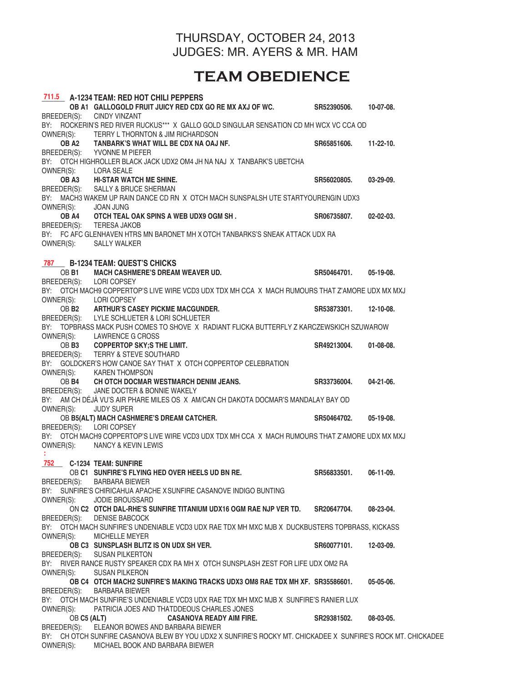#### THURSDAY, OCTOBER 24, 2013 JUDGES: MR. AYERS & MR. HAM

# **TEAM OBEDIENCE**

|             |             | 711.5 A-1234 TEAM: RED HOT CHILI PEPPERS                                                                     |                       |                  |
|-------------|-------------|--------------------------------------------------------------------------------------------------------------|-----------------------|------------------|
|             |             | OB A1 GALLOGOLD FRUIT JUICY RED CDX GO RE MX AXJ OF WC. SR52390506.                                          |                       | 10-07-08.        |
|             |             | BREEDER(S): CINDY VINZANT                                                                                    |                       |                  |
|             |             | BY: ROCKERIN'S RED RIVER RUCKUS*** X GALLO GOLD SINGULAR SENSATION CD MH WCX VC CCA OD                       |                       |                  |
|             |             | OWNER(S): TERRY L THORNTON & JIM RICHARDSON                                                                  |                       |                  |
|             |             | OB A2 TANBARK'S WHAT WILL BE CDX NA OAJ NF.                                                                  | SR65851606.           | $11-22-10$ .     |
|             |             | BREEDER(S): YVONNE M PIEFER                                                                                  |                       |                  |
|             |             |                                                                                                              |                       |                  |
|             |             | BY: OTCH HIGHROLLER BLACK JACK UDX2 OM4 JH NA NAJ X TANBARK'S UBETCHA                                        |                       |                  |
| OWNER(S):   |             | LORA SEALE                                                                                                   |                       |                  |
|             |             | OB A3 HI-STAR WATCH ME SHINE.                                                                                | SR56020805.           | 03-29-09.        |
|             |             | BREEDER(S): SALLY & BRUCE SHERMAN                                                                            |                       |                  |
|             |             | BY: MACH3 WAKEM UP RAIN DANCE CD RN X OTCH MACH SUNSPALSH UTE STARTYOURENGIN UDX3                            |                       |                  |
|             |             | OWNER(S): JOAN JUNG                                                                                          |                       |                  |
|             |             | OB A4 OTCH TEAL OAK SPINS A WEB UDX9 OGM SH.                                                                 | SR06735807.           | $02 - 02 - 03$ . |
|             |             | BREEDER(S): TERESA JAKOB                                                                                     |                       |                  |
|             |             | BY: FC AFC GLENHAVEN HTRS MN BARONET MH X OTCH TANBARKS'S SNEAK ATTACK UDX RA                                |                       |                  |
|             |             | OWNER(S): SALLY WALKER                                                                                       |                       |                  |
|             |             |                                                                                                              |                       |                  |
|             |             | 787 B-1234 TEAM: QUEST'S CHICKS                                                                              |                       |                  |
|             |             | OB B1 MACH CASHMERE'S DREAM WEAVER UD.                                                                       | SR50464701. 05-19-08. |                  |
|             |             | BREEDER(S): LORI COPSEY                                                                                      |                       |                  |
|             |             | BY: OTCH MACH9 COPPERTOP'S LIVE WIRE VCD3 UDX TDX MH CCA X MACH RUMOURS THAT Z'AMORE UDX MX MXJ              |                       |                  |
|             |             |                                                                                                              |                       |                  |
|             |             | OWNER(S): LORI COPSEY                                                                                        |                       |                  |
|             |             | OB B2 ARTHUR'S CASEY PICKME MACGUNDER.                                                                       | SR53873301. 12-10-08. |                  |
|             |             | BREEDER(S): LYLE SCHLUETER & LORI SCHLUETER                                                                  |                       |                  |
|             |             | BY: TOPBRASS MACK PUSH COMES TO SHOVE X RADIANT FLICKA BUTTERFLY Z KARCZEWSKICH SZUWAROW                     |                       |                  |
|             |             | OWNER(S): LAWRENCE G CROSS                                                                                   |                       |                  |
|             |             | OB B3 COPPERTOP SKY;S THE LIMIT.                                                                             | SR49213004.           | 01-08-08.        |
|             |             | BREEDER(S): TERRY & STEVE SOUTHARD                                                                           |                       |                  |
|             |             | BY: GOLDCKER'S HOW CANOE SAY THAT X OTCH COPPERTOP CELEBRATION                                               |                       |                  |
|             |             | OWNER(S): KAREN THOMPSON                                                                                     |                       |                  |
|             |             | OB B4 CH OTCH DOCMAR WESTMARCH DENIM JEANS.                                                                  | SR33736004.           | 04-21-06.        |
|             |             | BREEDER(S): JANE DOCTER & BONNIE WAKELY                                                                      |                       |                  |
|             |             | BY: AM CH DÉJÀ VU'S AIR PHARE MILES OS X AM/CAN CH DAKOTA DOCMAR'S MANDALAY BAY OD                           |                       |                  |
| OWNER(S):   |             | <b>JUDY SUPER</b>                                                                                            |                       |                  |
|             |             | OB B5(ALT) MACH CASHMERE'S DREAM CATCHER.                                                                    | SR50464702.           | $05-19-08.$      |
|             |             | BREEDER(S): LORI COPSEY                                                                                      |                       |                  |
|             |             | BY: OTCH MACH9 COPPERTOP'S LIVE WIRE VCD3 UDX TDX MH CCA X MACH RUMOURS THAT Z'AMORE UDX MX MXJ              |                       |                  |
|             |             | OWNER(S): NANCY & KEVIN LEWIS                                                                                |                       |                  |
|             |             |                                                                                                              |                       |                  |
|             |             | 752 C-1234 TEAM: SUNFIRE                                                                                     |                       |                  |
|             |             |                                                                                                              |                       | 06-11-09.        |
|             |             | OB C1 SUNFIRE'S FLYING HED OVER HEELS UD BN RE.                                                              | SR56833501.           |                  |
| BREEDER(S): |             | <b>BARBARA BIEWER</b>                                                                                        |                       |                  |
|             |             | BY: SUNFIRE'S CHIRICAHUA APACHE X SUNFIRE CASANOVE INDIGO BUNTING                                            |                       |                  |
| OWNER(S):   |             | <b>JODIE BROUSSARD</b>                                                                                       |                       |                  |
|             |             | ON C2 OTCH DAL-RHE'S SUNFIRE TITANIUM UDX16 OGM RAE NJP VER TD.                                              | SR20647704.           | 08-23-04.        |
| BREEDER(S): |             | <b>DENISE BABCOCK</b>                                                                                        |                       |                  |
|             |             | BY: OTCH MACH SUNFIRE'S UNDENIABLE VCD3 UDX RAE TDX MH MXC MJB X DUCKBUSTERS TOPBRASS, KICKASS               |                       |                  |
| OWNER(S):   |             | <b>MICHELLE MEYER</b>                                                                                        |                       |                  |
|             |             | OB C3 SUNSPLASH BLITZ IS ON UDX SH VER.                                                                      | SR60077101.           | 12-03-09.        |
|             |             | BREEDER(S): SUSAN PILKERTON                                                                                  |                       |                  |
|             |             | BY: RIVER RANCE RUSTY SPEAKER CDX RA MH X OTCH SUNSPLASH ZEST FOR LIFE UDX OM2 RA                            |                       |                  |
| OWNER(S):   |             | <b>SUSAN PILKERON</b>                                                                                        |                       |                  |
|             |             | OB C4 OTCH MACH2 SUNFIRE'S MAKING TRACKS UDX3 OM8 RAE TDX MH XF. SR35586601.                                 |                       | 05-05-06.        |
|             |             | BREEDER(S): BARBARA BIEWER                                                                                   |                       |                  |
|             |             | BY: OTCH MACH SUNFIRE'S UNDENIABLE VCD3 UDX RAE TDX MH MXC MJB X SUNFIRE'S RANIER LUX                        |                       |                  |
| OWNER(S):   |             | PATRICIA JOES AND THATDDEOUS CHARLES JONES                                                                   |                       |                  |
|             |             | <b>CASANOVA READY AIM FIRE.</b>                                                                              | SR29381502.           | 08-03-05.        |
|             | OB C5 (ALT) |                                                                                                              |                       |                  |
|             |             | BREEDER(S): ELEANOR BOWES AND BARBARA BIEWER                                                                 |                       |                  |
|             |             | BY: CH OTCH SUNFIRE CASANOVA BLEW BY YOU UDX2 X SUNFIRE'S ROCKY MT. CHICKADEE X SUNFIRE'S ROCK MT. CHICKADEE |                       |                  |
|             |             | OWNER(S): MICHAEL BOOK AND BARBARA BIEWER                                                                    |                       |                  |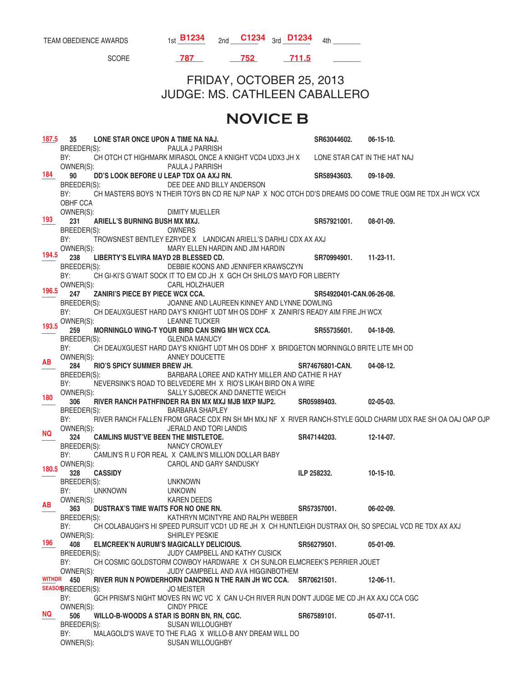TEAM OBEDIENCE AWARDS 1st  $\frac{B1234}{2}$  2nd  $\frac{C1234}{3}$  3rd  $\frac{D1234}{4}$  4th \_\_\_\_\_\_ SCORE \_\_\_\_\_\_\_\_ \_\_\_\_\_\_\_\_ \_\_\_\_\_\_\_\_ \_\_\_\_\_\_\_\_ FRIDAY, OCTOBER 25, 2013 JUDGE: MS. CATHLEEN CABALLERO  **NOVICE B** \_\_\_\_ **35 LONE STAR ONCE UPON A TIME NA NAJ. SR63044602. 06-15-10.**  BREEDER(S): PAULA J PARRISH BY: CH OTCH CT HIGHMARK MIRASOL ONCE A KNIGHT VCD4 UDX3 JH X LONE STAR CAT IN THE HAT NAJ<br>OWNER(S): PAULA J PARRISH PAULA J PARRISH \_\_\_\_ **90 DD'S LOOK BEFORE U LEAP TDX OA AXJ RN. SR58943603. 09-18-09.**  DEE DEE AND BILLY ANDERSON BY: CH MASTERS BOYS 'N THEIR TOYS BN CD RE NJP NAP X NOC OTCH DD'S DREAMS DO COME TRUE OGM RE TDX JH WCX VCX OBHF CCA<br>OWNER(S): **DIMITY MUELLER** 231 ARIELL'S BURNING BUSH MX MXJ. **231 SR57921001.** 08-01-09. BREEDER(S): OWNERS BY: TROWSNEST BENTLEY EZRYDE X LANDICAN ARIELL'S DARHLI CDX AX AXJ OWNER(S): MARY ELLEN HARDIN AND JIM HARDIN \_\_\_\_ **238 LIBERTY'S ELVIRA MAYD 2B BLESSED CD. SR70994901. 11-23-11.**  BREEDER(S): DEBBIE KOONS AND JENNIFER KRAWSCZYN BY: CH GI-KI'S G'WAIT SOCK IT TO EM CD JH X GCH CH SHILO'S MAYD FOR LIBERTY OWNER(S): CARL HOLZHAUER \_\_\_\_ **247 ZANIRI'S PIECE BY PIECE WCX CCA. SR54920401-CAN. 06-26-08.**  BREEDER(S): JOANNE AND LAUREEN KINNEY AND LYNNE DOWLING BY: CH DEAUXGUEST HARD DAY'S KNIGHT UDT MH OS DDHF X ZANIRI'S READY AIM FIRE JH WCX OWNER(S): LEANNE TUCKER 259 MORNINGLO WING-T YOUR BIRD CAN SING MH WCX CCA. SR55735601. 04-18-09.<br>BREEDER(S): GLENDA MANUCY **GLENDA MANUCY** BY: CH DEAUXGUEST HARD DAY'S KNIGHT UDT MH OS DDHF X BRIDGETON MORNINGLO BRITE LITE MH OD OWNER(S): ANNEY DOUCETTE 284 RIO'S SPICY SUMMER BREW JH. SRT4676801-CAN. 04-08-12.<br>BREEDER(S): BARBARA LOREE AND KATHY MILLER AND CATHIE R HAY BARBARA LOREE AND KATHY MILLER AND CATHIE R HAY BY: NEVERSINK'S ROAD TO BELVEDERE MH X RIO'S LIKAH BIRD ON A WIRE OWNER(S): SALLY SJOBECK AND DANETTE WEICH \_\_\_\_ **306 RIVER RANCH PATHFINDER RA BN MX MXJ MJB MXP MJP2. SR05989403. 02-05-03.**  BARBARA SHAPLEY BY: RIVER RANCH FALLEN FROM GRACE CDX RN SH MH MXJ NF X RIVER RANCH-STYLE GOLD CHARM UDX RAE SH OA OAJ OAP OJP<br>OWNER(S): JERALD AND TORI LANDIS JERALD AND TORI LANDIS \_\_\_\_ **324 CAMLINS MUST'VE BEEN THE MISTLETOE. SR47144203. 12-14-07. NANCY CROWLEY** BY: CAMLIN'S R U FOR REAL X CAMLIN'S MILLION DOLLAR BABY<br>CAROL AND GARY SANDUSKY CAROL AND GARY SANDUSKY **100.000 328** CASSIDY **10-15-10. ILP** 258232. 10-15-10. BREEDER(S): UNKNOWN BY: UNKNOWN UNKOWN OWNER(S): KAREN DEEDS \_\_\_\_ **363 DUSTRAX'S TIME WAITS FOR NO ONE RN. SR57357001. 06-02-09.**  KATHRYN MCINTYRE AND RALPH WEBBER BY: CH COLABAUGH'S HI SPEED PURSUIT VCD1 UD RE JH X CH HUNTLEIGH DUSTRAX OH, SO SPECIAL VCD RE TDX AX AXJ<br>OWNER(S): SHIRLEY PESKIE SHIRLEY PESKIE \_\_\_\_ **408 ELMCREEK'N AURUM'S MAGICALLY DELICIOUS. SR56279501. 05-01-09.**  BREEDER(S): JUDY CAMPBELL AND KATHY CUSICK BY: CH COSMIC GOLDSTORM COWBOY HARDWARE X CH SUNLOR ELMCREEK'S PERRIER JOUET<br>OWNER(S): JUDY CAMPBELL AND AVA HIGGINBOTHEM JUDY CAMPBELL AND AVA HIGGINBOTHEM \_\_\_\_ **450 RIVER RUN N POWDERHORN DANCING N THE RAIN JH WC CCA. SR70621501. 12-06-11.**  SEASONBREEDER(S): JO MEISTER BY: GCH PRISM'S NIGHT MOVES RN WC VC X CAN U-CH RIVER RUN DON'T JUDGE ME CD JH AX AXJ CCA CGC OWNER(S): CINDY PRICE \_\_\_\_ **506 WILLO-B-WOODS A STAR IS BORN BN, RN, CGC. SR67589101. 05-07-11.**  BREEDER(S): SUSAN WILLOUGHBY BY: MALAGOLD'S WAVE TO THE FLAG X WILLO-B ANY DREAM WILL DO OWNER(S): SUSAN WILLOUGHBY **187.5 184 193 194.5 196.5 193.5 AB 180 NQ 180.5 AB 196 WITHDR NQ 787 752 711.5**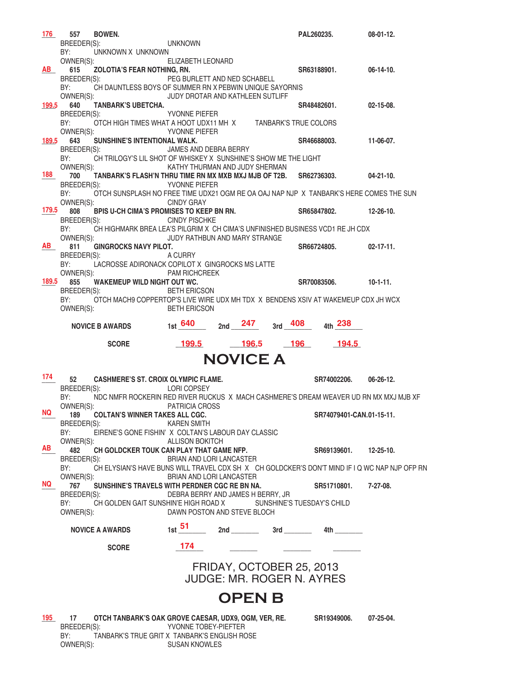| 176       | 557<br><b>BOWEN.</b>                                            |                                                                                                     |           | PAL260235.               | $08-01-12.$      |
|-----------|-----------------------------------------------------------------|-----------------------------------------------------------------------------------------------------|-----------|--------------------------|------------------|
|           | BREEDER(S):                                                     | UNKNOWN                                                                                             |           |                          |                  |
|           | BY:<br>UNKNOWN X UNKNOWN<br>OWNER(S):                           | ELIZABETH LEONARD                                                                                   |           |                          |                  |
| AB I      | ZOLOTIA'S FEAR NOTHING, RN.<br>615                              |                                                                                                     |           | SR63188901.              | $06-14-10.$      |
|           | BREEDER(S):                                                     | PEG BURLETT AND NED SCHABELL                                                                        |           |                          |                  |
|           | BY:<br>OWNER(S):                                                | CH DAUNTLESS BOYS OF SUMMER RN X PEBWIN UNIQUE SAYORNIS<br>JUDY DROTAR AND KATHLEEN SUTLIFF         |           |                          |                  |
| 199.5     | <b>TANBARK'S UBETCHA.</b><br>640                                |                                                                                                     |           | SR48482601.              | $02 - 15 - 08$ . |
|           | BREEDER(S):                                                     | <b>SEPTION AT A PROPERTY PROPERTY</b>                                                               |           |                          |                  |
|           | BY:                                                             | OTCH HIGH TIMES WHAT A HOOT UDX11 MH X TANBARK'S TRUE COLORS                                        |           |                          |                  |
| 189.5     | OWNER(S):<br>SUNSHINE'S INTENTIONAL WALK.<br>643                | <b>YVONNE PIEFER</b>                                                                                |           | SR46688003.              | 11-06-07.        |
|           | BREEDER(S):                                                     | JAMES AND DEBRA BERRY                                                                               |           |                          |                  |
|           | BY:                                                             | CH TRILOGY'S LIL SHOT OF WHISKEY X SUNSHINE'S SHOW ME THE LIGHT                                     |           |                          |                  |
| 188       | OWNER(S):<br>700                                                | KATHY THURMAN AND JUDY SHERMAN<br>TANBARK'S FLASH'N THRU TIME RN MX MXB MXJ MJB OF T2B. SR62736303. |           |                          | $04-21-10.$      |
|           | BREEDER(S):                                                     | YVONNE PIEFER                                                                                       |           |                          |                  |
|           | BY:                                                             | OTCH SUNSPLASH NO FREE TIME UDX21 OGM RE OA OAJ NAP NJP X TANBARK'S HERE COMES THE SUN              |           |                          |                  |
| 179.5     | OWNER(S):<br>808                                                | <b>CINDY GRAY</b><br>BPIS U-CH CIMA'S PROMISES TO KEEP BN RN.                                       |           | SR65847802.              | $12 - 26 - 10$   |
|           | BREEDER(S):                                                     | <b>CINDY PISCHKE</b>                                                                                |           |                          |                  |
|           | BY:                                                             | CH HIGHMARK BREA LEA'S PILGRIM X CH CIMA'S UNFINISHED BUSINESS VCD1 RE JH CDX                       |           |                          |                  |
| <b>AB</b> | OWNER(S):<br><b>GINGROCKS NAVY PILOT.</b><br>811                | JUDY RATHBUN AND MARY STRANGE                                                                       |           | SR66724805.              | $02 - 17 - 11.$  |
|           | BREEDER(S):                                                     | A CURRY                                                                                             |           |                          |                  |
|           | BY:                                                             | LACROSSE ADIRONACK COPILOT X GINGROCKS MS LATTE                                                     |           |                          |                  |
| 189.5     | OWNER(S):<br>855<br><b>WAKEMEUP WILD NIGHT OUT WC.</b>          | <b>PAM RICHCREEK</b>                                                                                |           | SR70083506.              | $10-1-11.$       |
|           | BREEDER(S):                                                     | <b>BETH ERICSON</b>                                                                                 |           |                          |                  |
|           | BY:                                                             | OTCH MACH9 COPPERTOP'S LIVE WIRE UDX MH TDX X BENDENS XSIV AT WAKEMEUP CDX JH WCX                   |           |                          |                  |
|           | OWNER(S):                                                       | <b>BETH ERICSON</b>                                                                                 |           |                          |                  |
|           | <b>NOVICE B AWARDS</b>                                          | 2nd $247$<br><sub>1st</sub> 640                                                                     | $3rd$ 408 | 4th 238                  |                  |
|           |                                                                 |                                                                                                     |           |                          |                  |
|           |                                                                 |                                                                                                     |           |                          |                  |
|           | <b>SCORE</b>                                                    | 199.5<br>$-196.5$                                                                                   | $-196$    | 194.5                    |                  |
|           |                                                                 | <b>NOVICE A</b>                                                                                     |           |                          |                  |
| 174       |                                                                 |                                                                                                     |           |                          |                  |
|           | 52<br><b>CASHMERE'S ST. CROIX OLYMPIC FLAME.</b><br>BREEDER(S): | LORI COPSEY                                                                                         |           | SR74002206.              | $06 - 26 - 12.$  |
|           | BY:                                                             | NDC NMFR ROCKERIN RED RIVER RUCKUS X MACH CASHMERE'S DREAM WEAVER UD RN MX MXJ MJB XF               |           |                          |                  |
| NQ.       | OWNER(S):                                                       | PATRICIA CROSS                                                                                      |           |                          |                  |
|           | 189<br><b>COLTAN'S WINNER TAKES ALL CGC.</b><br>BREEDER(S):     | <b>KAREN SMITH</b>                                                                                  |           | SR74079401-CAN.01-15-11. |                  |
|           | BY:                                                             | EIRENE'S GONE FISHIN' X COLTAN'S LABOUR DAY CLASSIC                                                 |           |                          |                  |
| AB        | OWNER(S):                                                       | <b>ALLISON BOKITCH</b>                                                                              |           |                          |                  |
|           | 482<br>BREEDER(S):                                              | CH GOLDCKER TOUK CAN PLAY THAT GAME NFP.<br>BRIAN AND LORI LANCASTER                                |           | SR69139601.              | $12 - 25 - 10$ . |
|           | BY:                                                             | CH ELYSIAN'S HAVE BUNS WILL TRAVEL CDX SH X CH GOLDCKER'S DON'T MIND IF I Q WC NAP NJP OFP RN       |           |                          |                  |
| NQ DIA    | OWNER(S):                                                       | BRIAN AND LORI LANCASTER                                                                            |           |                          |                  |
|           | 767<br>BREEDER(S):                                              | SUNSHINE'S TRAVELS WITH PERDNER CGC RE BN NA.<br>DEBRA BERRY AND JAMES H BERRY, JR                  |           | SR51710801.              | 7-27-08.         |
|           | BY:                                                             | CH GOLDEN GAIT SUNSHIN'E HIGH ROAD X SUNSHINE'S TUESDAY'S CHILD                                     |           |                          |                  |
|           | OWNER(S):                                                       | DAWN POSTON AND STEVE BLOCH                                                                         |           |                          |                  |
|           | <b>NOVICE A AWARDS</b>                                          | 1st $\frac{51}{2}$ 2nd 3rd 4th 2                                                                    |           |                          |                  |
|           | <b>SCORE</b>                                                    | 174                                                                                                 |           |                          |                  |
|           |                                                                 |                                                                                                     |           |                          |                  |
|           |                                                                 | FRIDAY, OCTOBER 25, 2013                                                                            |           |                          |                  |
|           |                                                                 | JUDGE: MR. ROGER N. AYRES                                                                           |           |                          |                  |
|           |                                                                 |                                                                                                     |           |                          |                  |
|           |                                                                 | <b>OPEN B</b>                                                                                       |           |                          |                  |
| 195       | 17                                                              | OTCH TANBARK'S OAK GROVE CAESAR, UDX9, OGM, VER, RE.                                                |           | SR19349006.              | 07-25-04.        |
|           | BREEDER(S):<br>BY:                                              | YVONNE TOBEY-PIEFTER<br>TANBARK'S TRUE GRIT X TANBARK'S ENGLISH ROSE                                |           |                          |                  |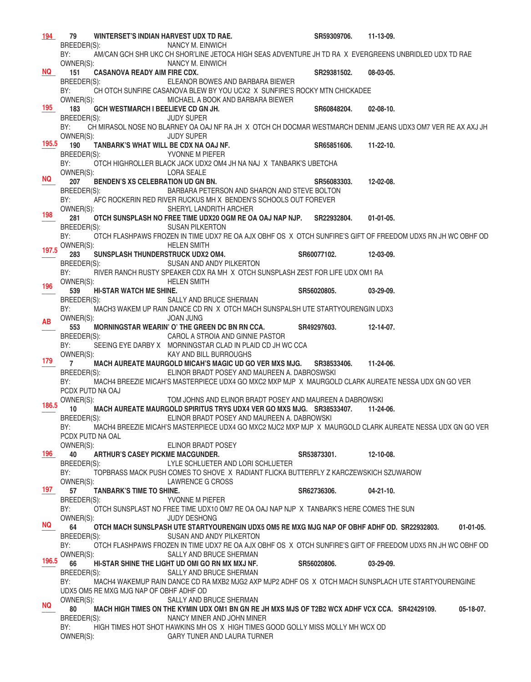|           | 194 79<br>WINTERSET'S INDIAN HARVEST UDX TD RAE.                                                                                                              | SR59309706. | 11-13-09.        |
|-----------|---------------------------------------------------------------------------------------------------------------------------------------------------------------|-------------|------------------|
|           | BREEDER(S):<br>NANCY M. EINWICH                                                                                                                               |             |                  |
|           | AM/CAN GCH SHR UKC CH SHOR'LINE JETOCA HIGH SEAS ADVENTURE JH TD RA X EVERGREENS UNBRIDLED UDX TD RAE<br>BY:                                                  |             |                  |
|           | OWNER(S):<br>NANCY M. EINWICH                                                                                                                                 |             |                  |
|           | NQ 151<br><b>CASANOVA READY AIM FIRE CDX.</b>                                                                                                                 | SR29381502. | 08-03-05.        |
|           | BREEDER(S):<br>ELEANOR BOWES AND BARBARA BIEWER                                                                                                               |             |                  |
|           | BY:<br>CH OTCH SUNFIRE CASANOVA BLEW BY YOU UCX2 X SUNFIRE'S ROCKY MTN CHICKADEE                                                                              |             |                  |
|           | OWNER(S):<br>MICHAEL A BOOK AND BARBARA BIEWER                                                                                                                |             |                  |
| 195       | 183<br>GCH WESTMARCH I BEELIEVE CD GN JH.                                                                                                                     | SR60848204. | $02 - 08 - 10$ . |
|           | BREEDER(S):<br><b>JUDY SUPER</b><br>BY:<br>CH MIRASOL NOSE NO BLARNEY OA OAJ NF RA JH X OTCH CH DOCMAR WESTMARCH DENIM JEANS UDX3 OM7 VER RE AX AXJ JH        |             |                  |
|           | OWNER(S):<br><b>JUDY SUPER</b>                                                                                                                                |             |                  |
| 195.5     | 190<br>TANBARK'S WHAT WILL BE CDX NA OAJ NF.                                                                                                                  | SR65851606. | $11 - 22 - 10$ . |
|           | BREEDER(S):<br><b>SEPTION AND A PIEFER</b>                                                                                                                    |             |                  |
|           | BY:<br>OTCH HIGHROLLER BLACK JACK UDX2 OM4 JH NA NAJ X TANBARK'S UBETCHA                                                                                      |             |                  |
|           | OWNER(S):<br>LORA SEALE                                                                                                                                       |             |                  |
| <b>NQ</b> | BENDEN'S XS CELEBRATION UD GN BN.<br>207                                                                                                                      | SR56083303. | 12-02-08.        |
|           | BREEDER(S):<br>BARBARA PETERSON AND SHARON AND STEVE BOLTON                                                                                                   |             |                  |
|           | BY:<br>AFC ROCKERIN RED RIVER RUCKUS MH X BENDEN'S SCHOOLS OUT FOREVER                                                                                        |             |                  |
| 198       | OWNER(S):<br>SHERYL LANDRITH ARCHER                                                                                                                           |             |                  |
|           | 281<br>OTCH SUNSPLASH NO FREE TIME UDX20 OGM RE OA OAJ NAP NJP. SR22932804.                                                                                   |             | $01-01-05.$      |
|           | BREEDER(S):<br><b>SUSAN PILKERTON</b>                                                                                                                         |             |                  |
|           | BY:<br>OTCH FLASHPAWS FROZEN IN TIME UDX7 RE OA AJX OBHF OS X OTCH SUNFIRE'S GIFT OF FREEDOM UDX5 RN JH WC OBHF OD<br><b>HELEN SMITH</b>                      |             |                  |
|           | 197.5 OWNER(S):<br>283                                                                                                                                        | SR60077102. | 12-03-09.        |
|           | BREEDER(S): SUSAN AND ANDY PILKERTON                                                                                                                          |             |                  |
|           | RIVER RANCH RUSTY SPEAKER CDX RA MH X OTCH SUNSPLASH ZEST FOR LIFE UDX OM1 RA<br>BY:                                                                          |             |                  |
|           | OWNER(S):<br><b>HELEN SMITH</b>                                                                                                                               |             |                  |
| 196       | 539<br><b>HI-STAR WATCH ME SHINE.</b>                                                                                                                         | SR56020805. | $03-29-09.$      |
|           | BREEDER(S):<br>SALLY AND BRUCE SHERMAN                                                                                                                        |             |                  |
|           | BY:<br>MACH3 WAKEM UP RAIN DANCE CD RN X OTCH MACH SUNSPALSH UTE STARTYOURENGIN UDX3                                                                          |             |                  |
| <b>AB</b> | OWNER(S):<br><b>JOAN JUNG</b>                                                                                                                                 |             |                  |
|           | 553<br>MORNINGSTAR WEARIN' O' THE GREEN DC BN RN CCA.                                                                                                         | SR49297603. | 12-14-07.        |
|           | CAROL A STROIA AND GINNIE PASTOR<br>BREEDER(S):<br>BY:                                                                                                        |             |                  |
|           | SEEING EYE DARBY X MORNINGSTAR CLAD IN PLAID CD JH WC CCA<br>OWNER(S):<br>KAY AND BILL BURROUGHS                                                              |             |                  |
|           | $179 \qquad 7$<br>MACH AUREATE MAURGOLD MICAH'S MAGIC UD GO VER MXS MJG.                                                                                      | SR38533406. | 11-24-06.        |
|           | BREEDER(S):<br>ELINOR BRADT POSEY AND MAUREEN A. DABROSWSKI                                                                                                   |             |                  |
|           | MACH4 BREEZIE MICAH'S MASTERPIECE UDX4 GO MXC2 MXP MJP X MAURGOLD CLARK AUREATE NESSA UDX GN GO VER<br>BY:                                                    |             |                  |
|           | PCDX PUTD NA OAJ                                                                                                                                              |             |                  |
| 186.5     | OWNER(S):<br>TOM JOHNS AND ELINOR BRADT POSEY AND MAUREEN A DABROWSKI                                                                                         |             |                  |
|           | 10 MACH AUREATE MAURGOLD SPIRITUS TRYS UDX4 VER GO MXS MJG. SR38533407. 11-24-06.                                                                             |             |                  |
|           | ELINOR BRADT POSEY AND MAUREEN A. DABROWSKI<br>BREEDER(S):                                                                                                    |             |                  |
|           | BY:<br>MACH4 BREEZIE MICAH'S MASTERPIECE UDX4 GO MXC2 MJC2 MXP MJP X MAURGOLD CLARK AUREATE NESSA UDX GN GO VER                                               |             |                  |
|           | PCDX PUTD NA OAL<br>OWNER(S):<br>ELINOR BRADT POSEY                                                                                                           |             |                  |
| 196       | 40<br><b>ARTHUR'S CASEY PICKME MACGUNDER.</b>                                                                                                                 | SR53873301. | 12-10-08.        |
|           | BREEDER(S):<br>LYLE SCHLUETER AND LORI SCHLUETER                                                                                                              |             |                  |
|           | BY:<br>TOPBRASS MACK PUSH COMES TO SHOVE X RADIANT FLICKA BUTTERFLY Z KARCZEWSKICH SZUWAROW                                                                   |             |                  |
|           | OWNER(S):<br>LAWRENCE G CROSS                                                                                                                                 |             |                  |
| 197 —     | 57<br>TANBARK'S TIME TO SHINE.                                                                                                                                | SR62736306. | $04 - 21 - 10$ . |
|           | BREEDER(S):<br>YVONNE M PIEFER                                                                                                                                |             |                  |
|           | OTCH SUNSPLAST NO FREE TIME UDX10 OM7 RE OA OAJ NAP NJP X TANBARK'S HERE COMES THE SUN<br>BY:                                                                 |             |                  |
| NQ .      | OWNER(S):<br><b>JUDY DESHONG</b>                                                                                                                              |             |                  |
|           | 64<br>OTCH MACH SUNSLPASH UTE STARTYOURENGIN UDX5 OM5 RE MXG MJG NAP OF OBHF ADHF OD. SR22932803.                                                             |             | $01-01-05.$      |
|           | SUSAN AND ANDY PILKERTON<br>BREEDER(S):<br>BY:<br>OTCH FLASHPAWS FROZEN IN TIME UDX7 RE OA AJX OBHF OS X OTCH SUNFIRE'S GIFT OF FREEDOM UDX5 RN JH WC OBHF OD |             |                  |
|           | OWNER(S):<br>SALLY AND BRUCE SHERMAN                                                                                                                          |             |                  |
| 196.5     | HI-STAR SHINE THE LIGHT UD OMI GO RN MX MXJ NF.<br>66                                                                                                         | SR56020806. | $03-29-09.$      |
|           | BREEDER(S):<br>SALLY AND BRUCE SHERMAN                                                                                                                        |             |                  |
|           | BY:<br>MACH4 WAKEMUP RAIN DANCE CD RA MXB2 MJG2 AXP MJP2 ADHF OS X OTCH MACH SUNSPLACH UTE STARTYOURENGINE                                                    |             |                  |
|           | UDX5 OM5 RE MXG MJG NAP OF OBHF ADHF OD                                                                                                                       |             |                  |
|           | OWNER(S):<br>SALLY AND BRUCE SHERMAN                                                                                                                          |             |                  |
| NQ        | 80<br>MACH HIGH TIMES ON THE KYMIN UDX OM1 BN GN RE JH MXS MJS OF T2B2 WCX ADHF VCX CCA. SR42429109.                                                          |             | $05-18-07.$      |
|           | BREEDER(S):<br>NANCY MINER AND JOHN MINER                                                                                                                     |             |                  |
|           | BY:<br>HIGH TIMES HOT SHOT HAWKINS MH OS X HIGH TIMES GOOD GOLLY MISS MOLLY MH WCX OD                                                                         |             |                  |
|           | OWNER(S):<br>GARY TUNER AND LAURA TURNER                                                                                                                      |             |                  |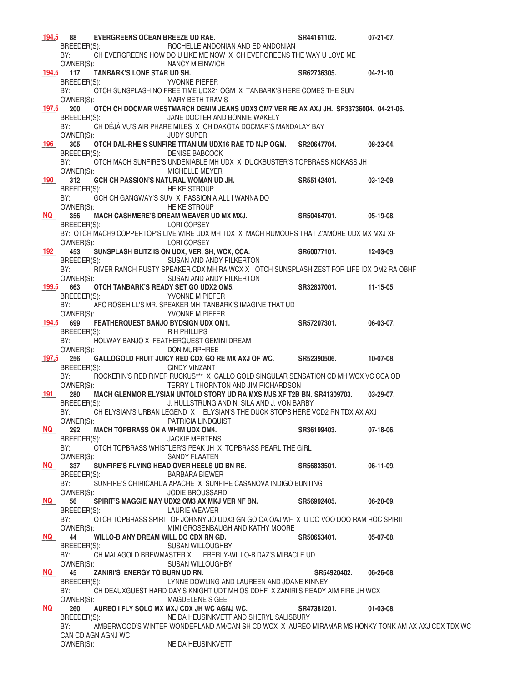|           | 194.5 88<br><b>EVERGREENS OCEAN BREEZE UD RAE.</b>            |                                                                                                                                             | SR44161102.           | $07-21-07$ .     |
|-----------|---------------------------------------------------------------|---------------------------------------------------------------------------------------------------------------------------------------------|-----------------------|------------------|
|           | BREEDER(S):<br>BY:                                            | ROCHELLE ANDONIAN AND ED ANDONIAN<br>CH EVERGREENS HOW DO U LIKE ME NOW X CH EVERGREENS THE WAY U LOVE ME                                   |                       |                  |
|           | OWNER(S):                                                     | NANCY M EINWICH                                                                                                                             |                       |                  |
|           | <b>TANBARK'S LONE STAR UD SH.</b><br>194.5 117                | <b>SEPTEMBER 1999 TO PROPER PIEFER</b>                                                                                                      | SR62736305.           | $04 - 21 - 10$ . |
|           | BREEDER(S):                                                   | BY: OTCH SUNSPLASH NO FREE TIME UDX21 OGM X TANBARK'S HERE COMES THE SUN                                                                    |                       |                  |
|           | OWNER(S):                                                     | <b>MARY BETH TRAVIS</b>                                                                                                                     |                       |                  |
| 197.5     | <b>200</b><br>BREEDER(S):                                     | OTCH CH DOCMAR WESTMARCH DENIM JEANS UDX3 OM7 VER RE AX AXJ JH. SR33736004. 04-21-06.<br>JANE DOCTER AND BONNIE WAKELY                      |                       |                  |
|           | BY:                                                           | CH DÉJÀ VU'S AIR PHARE MILES X CH DAKOTA DOCMAR'S MANDALAY BAY                                                                              |                       |                  |
|           | OWNER(S):                                                     | <b>JUDY SUPER</b>                                                                                                                           |                       |                  |
| 196 —     | 305<br>BREEDER(S):                                            | OTCH DAL-RHE'S SUNFIRE TITANIUM UDX16 RAE TD NJP OGM. SR20647704. 08-23-04.<br><b>DENISE BABCOCK</b>                                        |                       |                  |
|           | BY:                                                           | OTCH MACH SUNFIRE'S UNDENIABLE MH UDX X DUCKBUSTER'S TOPBRASS KICKASS JH                                                                    |                       |                  |
| 190 —     | OWNER(S):<br>312                                              | <b>MICHELLE MEYER</b><br>GCH CH PASSION'S NATURAL WOMAN UD JH. SR55142401.                                                                  |                       | $03-12-09.$      |
|           | BREEDER(S):                                                   | <b>HEIKE STROUP</b>                                                                                                                         |                       |                  |
|           | BY:                                                           | GCH CH GANGWAY'S SUV X PASSION'A ALL I WANNA DO                                                                                             |                       |                  |
| <b>NQ</b> | OWNER(S):<br>356                                              | <b>HEIKE STROUP</b><br>MACH CASHMERE'S DREAM WEAVER UD MX MXJ. SR50464701.                                                                  |                       | $05-19-08.$      |
|           | BREEDER(S):                                                   | <b>LORI COPSEY</b>                                                                                                                          |                       |                  |
|           |                                                               | BY: OTCH MACH9 COPPERTOP'S LIVE WIRE UDX MH TDX X MACH RUMOURS THAT Z'AMORE UDX MX MXJ XF                                                   |                       |                  |
|           | OWNER(S): LORI COPSEY<br>192 453                              | SUNSPLASH BLITZ IS ON UDX, VER, SH, WCX, CCA. SR60077101.                                                                                   |                       | 12-03-09.        |
|           | BREEDER(S):                                                   | SUSAN AND ANDY PILKERTON                                                                                                                    |                       |                  |
|           | BY:<br>OWNER(S):                                              | RIVER RANCH RUSTY SPEAKER CDX MH RA WCX X OTCH SUNSPLASH ZEST FOR LIFE IDX OM2 RA OBHF<br>SUSAN AND ANDY PILKERTON                          |                       |                  |
|           | 199.5 663                                                     | OTCH TANBARK'S READY SET GO UDX2 OM5.                                                                                                       | SR32837001. 11-15-05. |                  |
|           | BREEDER(S):                                                   | YVONNE M PIEFER                                                                                                                             |                       |                  |
|           | BY:<br>OWNER(S): YVONNE M PIEFER                              | AFC ROSEHILL'S MR. SPEAKER MH TANBARK'S IMAGINE THAT UD                                                                                     |                       |                  |
|           |                                                               | 194.5 699 FEATHERQUEST BANJO BYDSIGN UDX OM1. SR57207301.                                                                                   |                       | 06-03-07.        |
|           | BREEDER(S):<br>BY:                                            | R H PHILLIPS<br>HOLWAY BANJO X FEATHERQUEST GEMINI DREAM                                                                                    |                       |                  |
|           | OWNER(S):                                                     | DON MURPHREE                                                                                                                                |                       |                  |
|           | 197.5 256                                                     | GALLOGOLD FRUIT JUICY RED CDX GO RE MX AXJ OF WC. SR52390506.                                                                               |                       | $10-07-08.$      |
|           | BREEDER(S):<br>BY:                                            | <b>CINDY VINZANT</b><br>ROCKERIN'S RED RIVER RUCKUS*** X GALLO GOLD SINGULAR SENSATION CD MH WCX VC CCA OD                                  |                       |                  |
|           | OWNER(S):                                                     | TERRY L THORNTON AND JIM RICHARDSON                                                                                                         |                       |                  |
| 191       | 280<br>BREEDER(S):                                            | MACH GLENMOR ELYSIAN UNTOLD STORY UD RA MXS MJS XF T2B BN. SR41309703.<br>J. HULLSTRUNG AND N. SILA AND J. VON BARBY                        |                       | 03-29-07.        |
|           | BY:                                                           | CH ELYSIAN'S URBAN LEGEND X ELYSIAN'S THE DUCK STOPS HERE VCD2 RN TDX AX AXJ                                                                |                       |                  |
|           | OWNER(S):                                                     | PATRICIA LINDQUIST                                                                                                                          |                       |                  |
| <b>NQ</b> | 292<br><b>MACH TOPBRASS ON A WHIM UDX OM4.</b><br>BREEDER(S): | <b>JACKIE MERTENS</b>                                                                                                                       | SR36199403.           | 07-18-06.        |
|           | BY:                                                           | OTCH TOPBRASS WHISTLER'S PEAK JH X TOPBRASS PEARL THE GIRL                                                                                  |                       |                  |
| <b>NQ</b> | OWNER(S):<br>337                                              | <b>SANDY FLAATEN</b><br>SUNFIRE'S FLYING HEAD OVER HEELS UD BN RE. SR56833501.                                                              |                       | 06-11-09.        |
|           | BREEDER(S):                                                   | <b>BARBARA BIEWER</b>                                                                                                                       |                       |                  |
|           | BY:                                                           | SUNFIRE'S CHIRICAHUA APACHE X SUNFIRE CASANOVA INDIGO BUNTING                                                                               |                       |                  |
| <b>NQ</b> | OWNER(S):<br>56                                               | <b>JODIE BROUSSARD</b><br>SPIRIT'S MAGGIE MAY UDX2 OM3 AX MKJ VER NF BN. SR56992405.                                                        |                       | $06-20-09.$      |
|           | BREEDER(S):                                                   | LAURIE WEAVER                                                                                                                               |                       |                  |
|           | BY:<br>OWNER(S):                                              | OTCH TOPBRASS SPIRIT OF JOHNNY JO UDX3 GN GO OA OAJ WF X U DO VOO DOO RAM ROC SPIRIT<br>MIMI GROSENBAUGH AND KATHY MOORE                    |                       |                  |
| NQ NO     | 44<br>WILLO-B ANY DREAM WILL DO CDX RN GD.                    |                                                                                                                                             | SR50653401.           | 05-07-08.        |
|           | BREEDER(S):                                                   | SUSAN WILLOUGHBY                                                                                                                            |                       |                  |
|           | BY:<br>OWNER(S):                                              | CH MALAGOLD BREWMASTER X EBERLY-WILLO-B DAZ'S MIRACLE UD<br><b>SUSAN WILLOUGHBY</b>                                                         |                       |                  |
| NQ NO     | ZANIRI'S ENERGY TO BURN UD RN.<br>45                          |                                                                                                                                             | SR54920402.           | 06-26-08.        |
|           | BREEDER(S):                                                   | LYNNE DOWLING AND LAUREEN AND JOANE KINNEY                                                                                                  |                       |                  |
|           | BY:<br>OWNER(S):                                              | CH DEAUXGUEST HARD DAY'S KNIGHT UDT MH OS DDHF X ZANIRI'S READY AIM FIRE JH WCX<br>MAGDELENE S GEE                                          |                       |                  |
| NQ DOM    | 260                                                           | AUREO I FLY SOLO MX MXJ CDX JH WC AGNJ WC.                                                                                                  | SR47381201.           | $01-03-08.$      |
|           | BREEDER(S):<br>BY:                                            | NEIDA HEUSINKVETT AND SHERYL SALISBURY<br>AMBERWOOD'S WINTER WONDERLAND AM/CAN SH CD WCX X AUREO MIRAMAR MS HONKY TONK AM AX AXJ CDX TDX WC |                       |                  |
|           | CAN CD AGN AGNJ WC                                            |                                                                                                                                             |                       |                  |
|           | OWNER(S):                                                     | NEIDA HEUSINKVETT                                                                                                                           |                       |                  |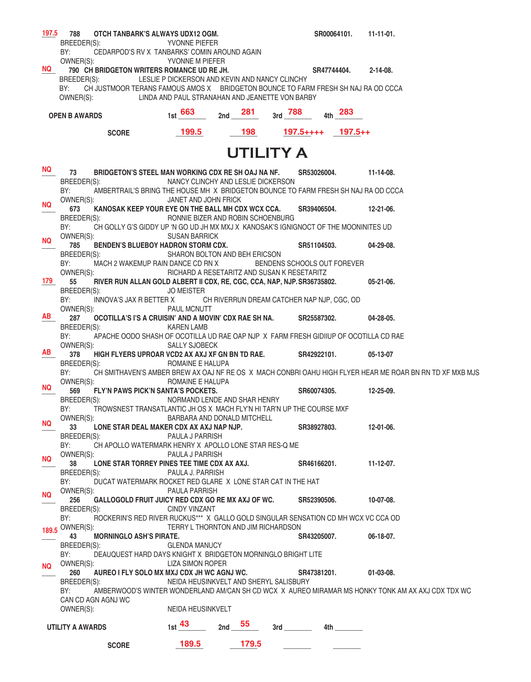| 197.5     | OTCH TANBARK'S ALWAYS UDX12 OGM.<br>788                                                                                         |                                                 |     |          |                                            |                       | SR00064101.<br>11-11-01. |                                                                                                          |  |  |  |
|-----------|---------------------------------------------------------------------------------------------------------------------------------|-------------------------------------------------|-----|----------|--------------------------------------------|-----------------------|--------------------------|----------------------------------------------------------------------------------------------------------|--|--|--|
|           | BREEDER(S):                                                                                                                     | YVONNE PIEFER                                   |     |          |                                            |                       |                          |                                                                                                          |  |  |  |
|           | CEDARPOD'S RV X TANBARKS' COMIN AROUND AGAIN<br>BY:                                                                             |                                                 |     |          |                                            |                       |                          |                                                                                                          |  |  |  |
| <b>NQ</b> | OWNER(S):<br>790 CH BRIDGETON WRITERS ROMANCE UD RE JH.                                                                         | YVONNE M PIEFER                                 |     |          |                                            | SR47744404.           |                          | 2-14-08.                                                                                                 |  |  |  |
|           | BREEDER(S):                                                                                                                     | LESLIE P DICKERSON AND KEVIN AND NANCY CLINCHY  |     |          |                                            |                       |                          |                                                                                                          |  |  |  |
|           | BY:<br>CH JUSTMOOR TERANS FAMOUS AMOS X BRIDGETON BOUNCE TO FARM FRESH SH NAJ RA OD CCCA                                        |                                                 |     |          |                                            |                       |                          |                                                                                                          |  |  |  |
|           | OWNER(S):                                                                                                                       | LINDA AND PAUL STRANAHAN AND JEANETTE VON BARBY |     |          |                                            |                       |                          |                                                                                                          |  |  |  |
|           |                                                                                                                                 |                                                 |     |          |                                            |                       |                          |                                                                                                          |  |  |  |
|           | <b>OPEN B AWARDS</b>                                                                                                            | 1st $663$                                       | 2nd | 281      | $3rd - 788$                                |                       | 4th 283                  |                                                                                                          |  |  |  |
|           |                                                                                                                                 |                                                 |     |          |                                            |                       |                          |                                                                                                          |  |  |  |
|           | 199.5<br>198<br>$197.5$ ++++ $197.5$ ++<br><b>SCORE</b>                                                                         |                                                 |     |          |                                            |                       |                          |                                                                                                          |  |  |  |
|           |                                                                                                                                 |                                                 |     |          |                                            |                       |                          |                                                                                                          |  |  |  |
|           | UTILITY A                                                                                                                       |                                                 |     |          |                                            |                       |                          |                                                                                                          |  |  |  |
| NQ.       | 73<br>BRIDGETON'S STEEL MAN WORKING CDX RE SH OAJ NA NF.                                                                        |                                                 |     |          |                                            | SR53026004. 11-14-08. |                          |                                                                                                          |  |  |  |
|           | BREEDER(S):                                                                                                                     |                                                 |     |          |                                            |                       |                          |                                                                                                          |  |  |  |
|           | NANCY CLINCHY AND LESLIE DICKERSON<br>BY:<br>AMBERTRAIL'S BRING THE HOUSE MH X BRIDGETON BOUNCE TO FARM FRESH SH NAJ RA OD CCCA |                                                 |     |          |                                            |                       |                          |                                                                                                          |  |  |  |
|           | OWNER(S):                                                                                                                       | JANET AND JOHN FRICK                            |     |          |                                            |                       |                          |                                                                                                          |  |  |  |
| NQ.       | KANOSAK KEEP YOUR EYE ON THE BALL MH CDX WCX CCA.<br>673                                                                        |                                                 |     |          |                                            | SR39406504.           |                          | 12-21-06.                                                                                                |  |  |  |
|           | BREEDER(S):                                                                                                                     | RONNIE BIZER AND ROBIN SCHOENBURG               |     |          |                                            |                       |                          |                                                                                                          |  |  |  |
|           | BY:<br>CH GOLLY G'S GIDDY UP 'N GO UD JH MX MXJ X KANOSAK'S IGNIGNOCT OF THE MOONINITES UD                                      |                                                 |     |          |                                            |                       |                          |                                                                                                          |  |  |  |
| <b>NQ</b> | OWNER(S):                                                                                                                       | <b>SUSAN BARRICK</b>                            |     |          |                                            |                       |                          |                                                                                                          |  |  |  |
|           | BENDEN'S BLUEBOY HADRON STORM CDX.<br>785                                                                                       |                                                 |     |          |                                            | SR51104503.           |                          | $04 - 29 - 08$ .                                                                                         |  |  |  |
|           | BREEDER(S):<br>MACH 2 WAKEMUP RAIN DANCE CD RN X BENDENS SCHOOLS OUT FOREVER<br>BY:                                             | SHARON BOLTON AND BEH ERICSON                   |     |          |                                            |                       |                          |                                                                                                          |  |  |  |
|           | OWNER(S):                                                                                                                       | RICHARD A RESETARITZ AND SUSAN K RESETARITZ     |     |          |                                            |                       |                          |                                                                                                          |  |  |  |
| 179 —     | 55<br>RIVER RUN ALLAN GOLD ALBERT II CDX, RE, CGC, CCA, NAP, NJP. SR36735802.                                                   |                                                 |     |          |                                            |                       |                          | $05-21-06.$                                                                                              |  |  |  |
|           | BREEDER(S):                                                                                                                     | <b>JO MEISTER</b>                               |     |          |                                            |                       |                          |                                                                                                          |  |  |  |
|           | BY:<br>INNOVA'S JAX R BETTER X                                                                                                  |                                                 |     |          | CH RIVERRUN DREAM CATCHER NAP NJP, CGC, OD |                       |                          |                                                                                                          |  |  |  |
|           | OWNER(S):                                                                                                                       | PAUL MCNUTT                                     |     |          |                                            |                       |                          |                                                                                                          |  |  |  |
| AB        | 287<br>OCOTILLA'S I'S A CRUISIN' AND A MOVIN' CDX RAE SH NA. SR25587302.                                                        |                                                 |     |          |                                            |                       |                          | 04-28-05.                                                                                                |  |  |  |
|           | BREEDER(S):                                                                                                                     | <b>KAREN LAMB</b>                               |     |          |                                            |                       |                          |                                                                                                          |  |  |  |
|           | BY:<br>APACHE OODO SHASH OF OCOTILLA UD RAE OAP NJP X FARM FRESH GIDIIUP OF OCOTILLA CD RAE                                     |                                                 |     |          |                                            |                       |                          |                                                                                                          |  |  |  |
| AB        | OWNER(S):<br>378<br>HIGH FLYERS UPROAR VCD2 AX AXJ XF GN BN TD RAE. SR42922101.                                                 | <b>SALLY SJOBECK</b>                            |     |          |                                            |                       |                          | 05-13-07                                                                                                 |  |  |  |
|           | BREEDER(S):                                                                                                                     | ROMAINE E HALUPA                                |     |          |                                            |                       |                          |                                                                                                          |  |  |  |
|           | BY:                                                                                                                             |                                                 |     |          |                                            |                       |                          | CH SMITHAVEN'S AMBER BREW AX OAJ NF RE OS X MACH CONBRI OAHU HIGH FLYER HEAR ME ROAR BN RN TD XF MXB MJS |  |  |  |
|           | OWNER(S):                                                                                                                       | ROMAINE E HALUPA                                |     |          |                                            |                       |                          |                                                                                                          |  |  |  |
| NQ.       | FLY'N PAWS PICK'N SANTA'S POCKETS.<br>569                                                                                       |                                                 |     |          |                                            | SR60074305.           |                          | 12-25-09.                                                                                                |  |  |  |
|           | BREEDER(S):                                                                                                                     | NORMAND LENDE AND SHAR HENRY                    |     |          |                                            |                       |                          |                                                                                                          |  |  |  |
|           | BY: TROWSNEST TRANSATLANTIC JH OS X MACH FLY'N HI TAR'N UP THE COURSE MXF                                                       |                                                 |     |          |                                            |                       |                          |                                                                                                          |  |  |  |
| <b>NQ</b> | OWNER(S):                                                                                                                       | BARBARA AND DONALD MITCHELL                     |     |          |                                            |                       |                          |                                                                                                          |  |  |  |
|           | 33<br>LONE STAR DEAL MAKER CDX AX AXJ NAP NJP.<br>BREEDER(S):                                                                   | PAULA J PARRISH                                 |     |          |                                            | SR38927803.           |                          | 12-01-06.                                                                                                |  |  |  |
|           | BY:<br>CH APOLLO WATERMARK HENRY X APOLLO LONE STAR RES-Q ME                                                                    |                                                 |     |          |                                            |                       |                          |                                                                                                          |  |  |  |
|           | OWNER(S):                                                                                                                       | PAULA J PARRISH                                 |     |          |                                            |                       |                          |                                                                                                          |  |  |  |
| <b>NQ</b> | 38<br>LONE STAR TORREY PINES TEE TIME CDX AX AXJ.                                                                               |                                                 |     |          |                                            | SR46166201.           |                          | $11-12-07$ .                                                                                             |  |  |  |
|           | BREEDER(S):                                                                                                                     | PAULA J. PARRISH                                |     |          |                                            |                       |                          |                                                                                                          |  |  |  |
|           | DUCAT WATERMARK ROCKET RED GLARE X LONE STAR CAT IN THE HAT<br>BY:                                                              |                                                 |     |          |                                            |                       |                          |                                                                                                          |  |  |  |
| NQ.       | OWNER(S):                                                                                                                       | <b>PAULA PARRISH</b>                            |     |          |                                            |                       |                          |                                                                                                          |  |  |  |
|           | GALLOGOLD FRUIT JUICY RED CDX GO RE MX AXJ OF WC.<br>256                                                                        |                                                 |     |          |                                            | SR52390506.           |                          | 10-07-08.                                                                                                |  |  |  |
|           | BREEDER(S):                                                                                                                     | <b>CINDY VINZANT</b>                            |     |          |                                            |                       |                          |                                                                                                          |  |  |  |
|           | ROCKERIN'S RED RIVER RUCKUS*** X GALLO GOLD SINGULAR SENSATION CD MH WCX VC CCA OD<br>BY:                                       | TERRY L THORNTON AND JIM RICHARDSON             |     |          |                                            |                       |                          |                                                                                                          |  |  |  |
|           | 189.5 OWNER(S):<br>43<br><b>MORNINGLO ASH'S PIRATE.</b>                                                                         |                                                 |     |          |                                            | SR43205007.           |                          | $06-18-07.$                                                                                              |  |  |  |
|           | BREEDER(S):                                                                                                                     | GLENDA MANUCY                                   |     |          |                                            |                       |                          |                                                                                                          |  |  |  |
|           | BY:<br>DEAUQUEST HARD DAYS KNIGHT X BRIDGETON MORNINGLO BRIGHT LITE                                                             |                                                 |     |          |                                            |                       |                          |                                                                                                          |  |  |  |
| NQ.       | OWNER(S):                                                                                                                       | <b>LIZA SIMON ROPER</b>                         |     |          |                                            |                       |                          |                                                                                                          |  |  |  |
|           | AUREO I FLY SOLO MX MXJ CDX JH WC AGNJ WC.<br>260                                                                               |                                                 |     |          |                                            | SR47381201.           |                          | $01-03-08$ .                                                                                             |  |  |  |
|           | BREEDER(S):                                                                                                                     | NEIDA HEUSINKVELT AND SHERYL SALISBURY          |     |          |                                            |                       |                          |                                                                                                          |  |  |  |
|           | BY:                                                                                                                             |                                                 |     |          |                                            |                       |                          | AMBERWOOD'S WINTER WONDERLAND AM/CAN SH CD WCX X AUREO MIRAMAR MS HONKY TONK AM AX AXJ CDX TDX WC        |  |  |  |
|           | CAN CD AGN AGNJ WC                                                                                                              |                                                 |     |          |                                            |                       |                          |                                                                                                          |  |  |  |
|           | OWNER(S):<br>NEIDA HEUSINKVELT                                                                                                  |                                                 |     |          |                                            |                       |                          |                                                                                                          |  |  |  |
|           | UTILITY A AWARDS                                                                                                                | $1st$ $43$                                      |     | 2nd $55$ |                                            |                       |                          |                                                                                                          |  |  |  |
|           |                                                                                                                                 |                                                 |     |          |                                            |                       |                          |                                                                                                          |  |  |  |
|           | <b>SCORE</b>                                                                                                                    | 189.5                                           |     | 179.5    |                                            |                       |                          |                                                                                                          |  |  |  |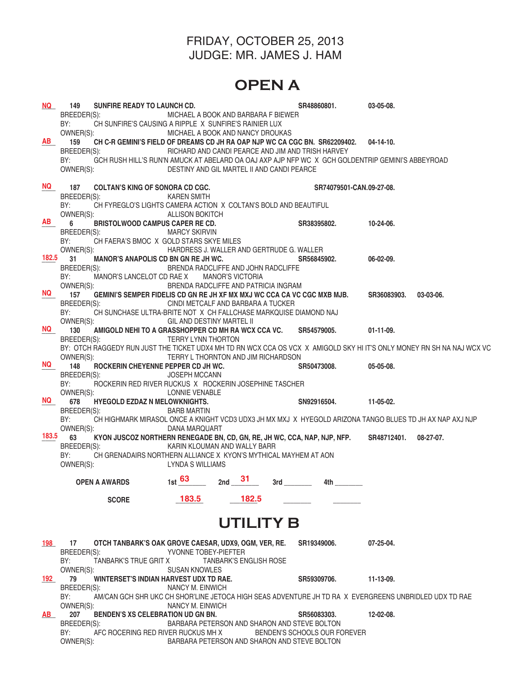### FRIDAY, OCTOBER 25, 2013 JUDGE: MR. JAMES J. HAM

# **OPEN A**

| <b>NQ</b> | SUNFIRE READY TO LAUNCH CD.<br>149<br>BREEDER(S):<br>BY:                                             | MICHAEL A BOOK AND BARBARA F BIEWER<br>CH SUNFIRE'S CAUSING A RIPPLE X SUNFIRE'S RAINIER LUX                                                                                                                                                                                                                                    | SR48860801.                                                                                                    | 03-05-08.             |
|-----------|------------------------------------------------------------------------------------------------------|---------------------------------------------------------------------------------------------------------------------------------------------------------------------------------------------------------------------------------------------------------------------------------------------------------------------------------|----------------------------------------------------------------------------------------------------------------|-----------------------|
| <b>AB</b> | OWNER(S):<br>159<br>BREEDER(S):<br>BY:<br>OWNER(S):                                                  | MICHAEL A BOOK AND NANCY DROUKAS<br>CH C-R GEMINI'S FIELD OF DREAMS CD JH RA OAP NJP WC CA CGC BN. SR62209402. 04-14-10.<br>RICHARD AND CANDI PEARCE AND JIM AND TRISH HARVEY<br>GCH RUSH HILL'S RUN'N AMUCK AT ABELARD OA OAJ AXP AJP NFP WC X GCH GOLDENTRIP GEMINI'S ABBEYROAD<br>DESTINY AND GIL MARTEL II AND CANDI PEARCE |                                                                                                                |                       |
| NQ I      | 187<br><b>COLTAN'S KING OF SONORA CD CGC.</b><br>BREEDER(S):                                         | KAREN SMITH                                                                                                                                                                                                                                                                                                                     | SR74079501-CAN.09-27-08.                                                                                       |                       |
|           | BY:<br>OWNER(S):                                                                                     | CH FYREGLO'S LIGHTS CAMERA ACTION X COLTAN'S BOLD AND BEAUTIFUL<br><b>ALLISON BOKITCH</b>                                                                                                                                                                                                                                       |                                                                                                                |                       |
| <b>AB</b> | 6<br><b>BRISTOLWOOD CAMPUS CAPER RE CD.</b><br>BREEDER(S):<br>BY:                                    | <b>MARCY SKIRVIN</b><br>CH FAERA'S BMOC X GOLD STARS SKYE MILES                                                                                                                                                                                                                                                                 | SR38395802.                                                                                                    | 10-24-06.             |
| 182.5     | OWNER(S):<br>MANOR'S ANAPOLIS CD BN GN RE JH WC.<br>31<br>BREEDER(S):<br>BY:                         | HARDRESS J. WALLER AND GERTRUDE G. WALLER<br>BRENDA RADCLIFFE AND JOHN RADCLIFFE<br>MANOR'S LANCELOT CD RAE X MANOR'S VICTORIA                                                                                                                                                                                                  | SR56845902.                                                                                                    | 06-02-09.             |
| <b>NQ</b> | OWNER(S):<br>157<br>BREEDER(S):<br>BY:                                                               | BRENDA RADCLIFFE AND PATRICIA INGRAM<br>GEMINI'S SEMPER FIDELIS CD GN RE JH XF MX MXJ WC CCA CA VC CGC MXB MJB.<br>CINDI METCALF AND BARBARA A TUCKER<br>CH SUNCHASE ULTRA-BRITE NOT X CH FALLCHASE MARKQUISE DIAMOND NAJ                                                                                                       |                                                                                                                | SR36083903. 03-03-06. |
| <b>NQ</b> | OWNER(S):<br>130                                                                                     | GIL AND DESTINY MARTEL II<br>AMIGOLD NEHI TO A GRASSHOPPER CD MH RA WCX CCA VC. SR54579005.                                                                                                                                                                                                                                     |                                                                                                                | $01-11-09.$           |
|           | BREEDER(S):<br>OWNER(S):                                                                             | TERRY LYNN THORTON<br>BY: OTCH RAGGEDY RUN JUST THE TICKET UDX4 MH TD RN WCX CCA OS VCX X AMIGOLD SKY HI IT'S ONLY MONEY RN SH NA NAJ WCX VC<br>TERRY L THORNTON AND JIM RICHARDSON                                                                                                                                             |                                                                                                                |                       |
| <b>NQ</b> | ROCKERIN CHEYENNE PEPPER CD JH WC.<br>148<br>BREEDER(S):                                             | <b>JOSEPH MCCANN</b>                                                                                                                                                                                                                                                                                                            | SR50473008. 05-05-08.                                                                                          |                       |
|           | BY:<br>OWNER(S):                                                                                     | ROCKERIN RED RIVER RUCKUS X ROCKERIN JOSEPHINE TASCHER<br>LONNIE VENABLE                                                                                                                                                                                                                                                        |                                                                                                                |                       |
| NQ DIA    | 678<br><b>HYEGOLD EZDAZ N MELOWKNIGHTS.</b><br>BREEDER(S):                                           | <b>BARB MARTIN</b>                                                                                                                                                                                                                                                                                                              | SN92916504.                                                                                                    | 11-05-02.             |
| 183.5     | BY:<br>OWNER(S):                                                                                     | CH HIGHMARK MIRASOL ONCE A KNIGHT VCD3 UDX3 JH MX MXJ X HYEGOLD ARIZONA TANGO BLUES TD JH AX NAP AXJ NJP<br>DANA MARQUART                                                                                                                                                                                                       |                                                                                                                |                       |
|           | 63<br>BREEDER(S):<br>BY:                                                                             | KYON JUSCOZ NORTHERN RENEGADE BN, CD, GN, RE, JH WC, CCA, NAP, NJP, NFP. SR48712401. 08-27-07.<br>KARIN KLOUMAN AND WALLY BARR<br>CH GRENADAIRS NORTHERN ALLIANCE X KYON'S MYTHICAL MAYHEM AT AON                                                                                                                               |                                                                                                                |                       |
|           | OWNER(S):                                                                                            | LYNDA S WILLIAMS                                                                                                                                                                                                                                                                                                                |                                                                                                                |                       |
|           | <b>OPEN A AWARDS</b>                                                                                 | 31<br>$1st$ 63<br>2nd                                                                                                                                                                                                                                                                                                           | 4th and the set of the set of the set of the set of the set of the set of the set of the set of the set of the |                       |
|           | <b>SCORE</b>                                                                                         | 183.5<br>182.5                                                                                                                                                                                                                                                                                                                  |                                                                                                                |                       |
|           |                                                                                                      | UTILITY B                                                                                                                                                                                                                                                                                                                       |                                                                                                                |                       |
| 198       | 17<br>BREEDER(S):<br>BY:<br>TANBARK'S TRUE GRIT X                                                    | OTCH TANBARK'S OAK GROVE CAESAR, UDX9, OGM, VER, RE.<br>YVONNE TOBEY-PIEFTER<br><b>TANBARK'S ENGLISH ROSE</b>                                                                                                                                                                                                                   | SR19349006.                                                                                                    | 07-25-04.             |
| 192       | OWNER(S):<br>79                                                                                      | <b>SUSAN KNOWLES</b><br>WINTERSET'S INDIAN HARVEST UDX TD RAE.                                                                                                                                                                                                                                                                  | SR59309706.                                                                                                    | $11 - 13 - 09.$       |
|           | BREEDER(S):<br>BY:<br>OWNER(S):                                                                      | NANCY M. EINWICH<br>AM/CAN GCH SHR UKC CH SHOR'LINE JETOCA HIGH SEAS ADVENTURE JH TD RA X EVERGREENS UNBRIDLED UDX TD RAE<br>NANCY M. EINWICH                                                                                                                                                                                   |                                                                                                                |                       |
| AB I      | 207<br>BENDEN'S XS CELEBRATION UD GN BN.<br>BREEDER(S):<br>BY:<br>AFC ROCERING RED RIVER RUCKUS MH X | BARBARA PETERSON AND SHARON AND STEVE BOLTON                                                                                                                                                                                                                                                                                    | SR56083303.<br>BENDEN'S SCHOOLS OUR FOREVER                                                                    | 12-02-08.             |
|           | OWNER(S):                                                                                            | BARBARA PETERSON AND SHARON AND STEVE BOLTON                                                                                                                                                                                                                                                                                    |                                                                                                                |                       |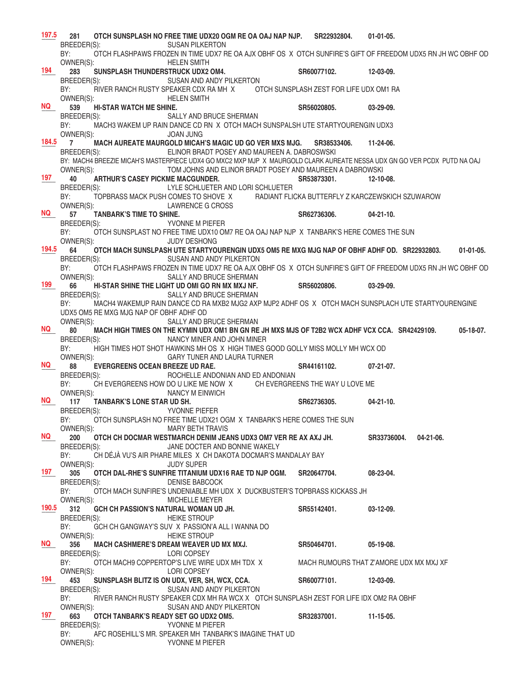| 197.5            | 281                                                                                                                             |                                                                                                             | OTCH SUNSPLASH NO FREE TIME UDX20 OGM RE OA OAJ NAP NJP. SR22932804.                                                                   |             | $01-01-05.$                             |  |  |
|------------------|---------------------------------------------------------------------------------------------------------------------------------|-------------------------------------------------------------------------------------------------------------|----------------------------------------------------------------------------------------------------------------------------------------|-------------|-----------------------------------------|--|--|
|                  | BREEDER(S):<br><b>SUSAN PILKERTON</b>                                                                                           |                                                                                                             |                                                                                                                                        |             |                                         |  |  |
|                  | BY:                                                                                                                             | OTCH FLASHPAWS FROZEN IN TIME UDX7 RE OA AJX OBHF OS X OTCH SUNFIRE'S GIFT OF FREEDOM UDX5 RN JH WC OBHF OD |                                                                                                                                        |             |                                         |  |  |
| 194              | OWNER(S):<br>283                                                                                                                |                                                                                                             | <b>HELEN SMITH</b><br>SUNSPLASH THUNDERSTRUCK UDX2 OM4.                                                                                |             |                                         |  |  |
|                  |                                                                                                                                 |                                                                                                             |                                                                                                                                        | SR60077102. | 12-03-09.                               |  |  |
|                  | BREEDER(S):<br>SUSAN AND ANDY PILKERTON<br>BY:<br>RIVER RANCH RUSTY SPEAKER CDX RA MH X OTCH SUNSPLASH ZEST FOR LIFE UDX OM1 RA |                                                                                                             |                                                                                                                                        |             |                                         |  |  |
|                  | OWNER(S):<br><b>HELEN SMITH</b>                                                                                                 |                                                                                                             |                                                                                                                                        |             |                                         |  |  |
| NQ               | 539                                                                                                                             | <b>HI-STAR WATCH ME SHINE.</b>                                                                              |                                                                                                                                        | SR56020805. | 03-29-09.                               |  |  |
|                  | BREEDER(S):                                                                                                                     |                                                                                                             | SALLY AND BRUCE SHERMAN                                                                                                                |             |                                         |  |  |
|                  | BY:                                                                                                                             |                                                                                                             | MACH3 WAKEM UP RAIN DANCE CD RN X OTCH MACH SUNSPALSH UTE STARTYOURENGIN UDX3                                                          |             |                                         |  |  |
|                  | OWNER(S):                                                                                                                       |                                                                                                             | <b>JOAN JUNG</b>                                                                                                                       |             |                                         |  |  |
|                  | $184.5$ 7                                                                                                                       |                                                                                                             | MACH AUREATE MAURGOLD MICAH'S MAGIC UD GO VER MXS MJG. SR38533406.                                                                     |             | 11-24-06.                               |  |  |
|                  | BREEDER(S):                                                                                                                     |                                                                                                             | ELINOR BRADT POSEY AND MAUREEN A. DABROSWSKI                                                                                           |             |                                         |  |  |
|                  | BY: MACH4 BREEZIE MICAH'S MASTERPIECE UDX4 GO MXC2 MXP MJP X MAURGOLD CLARK AUREATE NESSA UDX GN GO VER PCDX PUTD NA OAJ        |                                                                                                             |                                                                                                                                        |             |                                         |  |  |
| 197              | OWNER(S):<br>40                                                                                                                 |                                                                                                             | TOM JOHNS AND ELINOR BRADT POSEY AND MAUREEN A DABROWSKI                                                                               |             |                                         |  |  |
|                  | BREEDER(S):                                                                                                                     | <b>ARTHUR'S CASEY PICKME MACGUNDER.</b>                                                                     | LYLE SCHLUETER AND LORI SCHLUETER                                                                                                      | SR53873301. | $12 - 10 - 08$ .                        |  |  |
|                  | BY:                                                                                                                             |                                                                                                             | TOPBRASS MACK PUSH COMES TO SHOVE X RADIANT FLICKA BUTTERFLY Z KARCZEWSKICH SZUWAROW                                                   |             |                                         |  |  |
|                  | OWNER(S):                                                                                                                       |                                                                                                             | LAWRENCE G CROSS                                                                                                                       |             |                                         |  |  |
| <b>NQ</b>        | 57                                                                                                                              | <b>TANBARK'S TIME TO SHINE.</b>                                                                             |                                                                                                                                        | SR62736306. | $04 - 21 - 10$ .                        |  |  |
|                  | BREEDER(S):                                                                                                                     |                                                                                                             | YVONNE M PIEFER                                                                                                                        |             |                                         |  |  |
|                  | BY:                                                                                                                             |                                                                                                             | OTCH SUNSPLAST NO FREE TIME UDX10 OM7 RE OA OAJ NAP NJP X TANBARK'S HERE COMES THE SUN                                                 |             |                                         |  |  |
|                  | OWNER(S):                                                                                                                       |                                                                                                             | <b>JUDY DESHONG</b>                                                                                                                    |             |                                         |  |  |
|                  | 194.5 64                                                                                                                        |                                                                                                             | OTCH MACH SUNSLPASH UTE STARTYOURENGIN UDX5 OM5 RE MXG MJG NAP OF OBHF ADHF OD. SR22932803.                                            |             | $01-01-05.$                             |  |  |
|                  | BREEDER(S):                                                                                                                     |                                                                                                             | SUSAN AND ANDY PILKERTON                                                                                                               |             |                                         |  |  |
|                  | BY:<br>OWNER(S):                                                                                                                |                                                                                                             | OTCH FLASHPAWS FROZEN IN TIME UDX7 RE OA AJX OBHF OS X OTCH SUNFIRE'S GIFT OF FREEDOM UDX5 RN JH WC OBHF OD<br>SALLY AND BRUCE SHERMAN |             |                                         |  |  |
| 199 —            | 66                                                                                                                              |                                                                                                             | HI-STAR SHINE THE LIGHT UD OMI GO RN MX MXJ NF.                                                                                        | SR56020806. | $03-29-09.$                             |  |  |
|                  | BREEDER(S):                                                                                                                     |                                                                                                             | SALLY AND BRUCE SHERMAN                                                                                                                |             |                                         |  |  |
|                  | BY:                                                                                                                             |                                                                                                             | MACH4 WAKEMUP RAIN DANCE CD RA MXB2 MJG2 AXP MJP2 ADHF OS X OTCH MACH SUNSPLACH UTE STARTYOURENGINE                                    |             |                                         |  |  |
|                  |                                                                                                                                 | UDX5 OM5 RE MXG MJG NAP OF OBHF ADHF OD                                                                     |                                                                                                                                        |             |                                         |  |  |
|                  | OWNER(S):                                                                                                                       |                                                                                                             | SALLY AND BRUCE SHERMAN                                                                                                                |             |                                         |  |  |
| <b>NQ</b>        | 80                                                                                                                              |                                                                                                             | MACH HIGH TIMES ON THE KYMIN UDX OM1 BN GN RE JH MXS MJS OF T2B2 WCX ADHF VCX CCA.   SR42429109.                                       |             | $05-18-07.$                             |  |  |
|                  | BREEDER(S):<br>BY:                                                                                                              |                                                                                                             | NANCY MINER AND JOHN MINER                                                                                                             |             |                                         |  |  |
|                  | OWNER(S):                                                                                                                       |                                                                                                             | HIGH TIMES HOT SHOT HAWKINS MH OS X HIGH TIMES GOOD GOLLY MISS MOLLY MH WCX OD<br>GARY TUNER AND LAURA TURNER                          |             |                                         |  |  |
| NQ <sub>10</sub> | 88                                                                                                                              | <b>EVERGREENS OCEAN BREEZE UD RAE.</b>                                                                      |                                                                                                                                        | SR44161102. | $07-21-07$ .                            |  |  |
|                  | BREEDER(S):                                                                                                                     |                                                                                                             | ROCHELLE ANDONIAN AND ED ANDONIAN                                                                                                      |             |                                         |  |  |
|                  | BY:                                                                                                                             |                                                                                                             | CH EVERGREENS HOW DO U LIKE ME NOW X CH EVERGREENS THE WAY U LOVE ME                                                                   |             |                                         |  |  |
|                  | OWNER(S):                                                                                                                       |                                                                                                             | NANCY M EINWICH                                                                                                                        |             |                                         |  |  |
| <b>NQ</b>        |                                                                                                                                 | 117 TANBARK'S LONE STAR UD SH.                                                                              |                                                                                                                                        | SR62736305. | $04 - 21 - 10$ .                        |  |  |
|                  | BREEDER(S):                                                                                                                     |                                                                                                             | <b>YVONNE PIEFER</b>                                                                                                                   |             |                                         |  |  |
|                  | BY:<br>OWNER(S):                                                                                                                |                                                                                                             | OTCH SUNSPLASH NO FREE TIME UDX21 OGM X TANBARK'S HERE COMES THE SUN                                                                   |             |                                         |  |  |
| <b>NQ</b>        | 200                                                                                                                             |                                                                                                             | <b>MARY BETH TRAVIS</b><br>OTCH CH DOCMAR WESTMARCH DENIM JEANS UDX3 OM7 VER RE AX AXJ JH.                                             |             | <b>SR33736004.</b><br>$04 - 21 - 06$ .  |  |  |
|                  | BREEDER(S):                                                                                                                     |                                                                                                             | JANE DOCTER AND BONNIE WAKELY                                                                                                          |             |                                         |  |  |
|                  | BY:                                                                                                                             |                                                                                                             | CH DÉJÀ VU'S AIR PHARE MILES X CH DAKOTA DOCMAR'S MANDALAY BAY                                                                         |             |                                         |  |  |
|                  | OWNER(S):                                                                                                                       |                                                                                                             | <b>JUDY SUPER</b>                                                                                                                      |             |                                         |  |  |
| 197              | 305                                                                                                                             |                                                                                                             | OTCH DAL-RHE'S SUNFIRE TITANIUM UDX16 RAE TD NJP OGM.                                                                                  | SR20647704. | 08-23-04.                               |  |  |
|                  | BREEDER(S):                                                                                                                     |                                                                                                             | <b>DENISE BABCOCK</b>                                                                                                                  |             |                                         |  |  |
|                  | BY:                                                                                                                             |                                                                                                             | OTCH MACH SUNFIRE'S UNDENIABLE MH UDX X DUCKBUSTER'S TOPBRASS KICKASS JH                                                               |             |                                         |  |  |
| 190.5            | OWNER(S):<br>312                                                                                                                |                                                                                                             | MICHELLE MEYER<br>GCH CH PASSION'S NATURAL WOMAN UD JH.                                                                                | SR55142401. | $03-12-09.$                             |  |  |
|                  | BREEDER(S):                                                                                                                     |                                                                                                             | <b>HEIKE STROUP</b>                                                                                                                    |             |                                         |  |  |
|                  | BY:                                                                                                                             |                                                                                                             | GCH CH GANGWAY'S SUV X PASSION'A ALL I WANNA DO                                                                                        |             |                                         |  |  |
|                  | OWNER(S):                                                                                                                       |                                                                                                             | <b>HEIKE STROUP</b>                                                                                                                    |             |                                         |  |  |
| NQ               | 356                                                                                                                             |                                                                                                             | MACH CASHMERE'S DREAM WEAVER UD MX MXJ.                                                                                                | SR50464701. | $05-19-08.$                             |  |  |
|                  | BREEDER(S):                                                                                                                     |                                                                                                             | <b>LORI COPSEY</b>                                                                                                                     |             |                                         |  |  |
|                  | BY:                                                                                                                             |                                                                                                             | OTCH MACH9 COPPERTOP'S LIVE WIRE UDX MH TDX X                                                                                          |             | MACH RUMOURS THAT Z'AMORE UDX MX MXJ XF |  |  |
|                  | OWNER(S):                                                                                                                       |                                                                                                             | LORI COPSEY                                                                                                                            |             |                                         |  |  |
| 194              | 453<br>BREEDER(S):                                                                                                              |                                                                                                             | SUNSPLASH BLITZ IS ON UDX, VER, SH, WCX, CCA.                                                                                          | SR60077101. | 12-03-09.                               |  |  |
|                  | BY:                                                                                                                             |                                                                                                             | SUSAN AND ANDY PILKERTON<br>RIVER RANCH RUSTY SPEAKER CDX MH RA WCX X OTCH SUNSPLASH ZEST FOR LIFE IDX OM2 RA OBHF                     |             |                                         |  |  |
|                  | OWNER(S):                                                                                                                       |                                                                                                             | SUSAN AND ANDY PILKERTON                                                                                                               |             |                                         |  |  |
| 197              | 663                                                                                                                             | OTCH TANBARK'S READY SET GO UDX2 OM5.                                                                       |                                                                                                                                        | SR32837001. | $11 - 15 - 05$ .                        |  |  |
|                  | BREEDER(S):                                                                                                                     |                                                                                                             | YVONNE M PIEFER                                                                                                                        |             |                                         |  |  |
|                  | BY:                                                                                                                             |                                                                                                             | AFC ROSEHILL'S MR. SPEAKER MH TANBARK'S IMAGINE THAT UD                                                                                |             |                                         |  |  |
|                  | OWNER(S):                                                                                                                       |                                                                                                             | YVONNE M PIEFER                                                                                                                        |             |                                         |  |  |